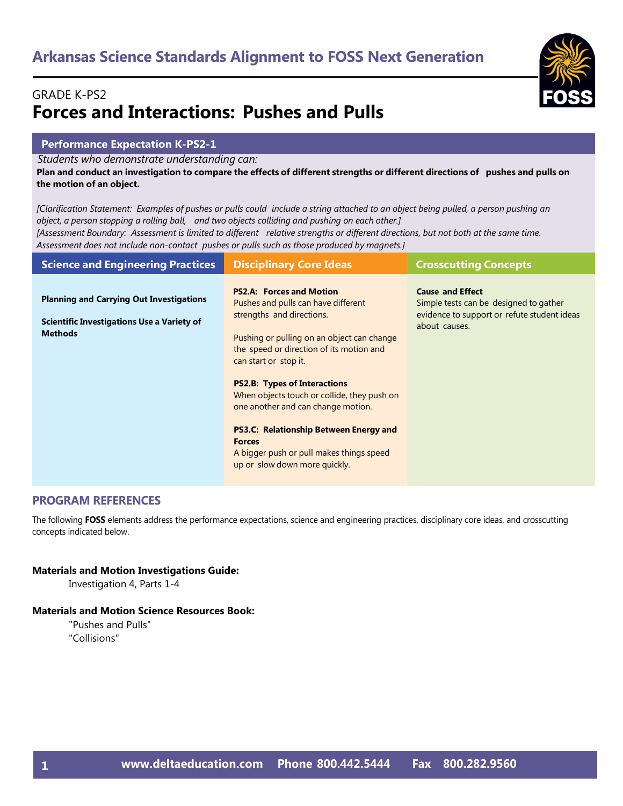### GRADE K-PS2 **Forces and Interactions: Pushes and Pulls**

#### **Performance Expectation K-PS2-1**

*Students who demonstrate understanding can:*

Plan and conduct an investigation to compare the effects of different strengths or different directions of pushes and pulls on **the motion of an object.**

[Clarification Statement: Examples of pushes or pulls could include a string attached to an object being pulled, a person pushing an *object, a person stopping a rolling ball, and two objects colliding and pushing on each other.]* [Assessment Boundary: Assessment is limited to different relative strengths or different directions, but not both at the same time. *Assessment does not include non-contact pushes or pulls such as those produced by magnets.]*

| <b>Science and Engineering Practices</b>                                                                               | <b>Disciplinary Core Ideas</b>                                                                                                                                                                                         | <b>Crosscutting Concepts</b>                                                                                                      |
|------------------------------------------------------------------------------------------------------------------------|------------------------------------------------------------------------------------------------------------------------------------------------------------------------------------------------------------------------|-----------------------------------------------------------------------------------------------------------------------------------|
| <b>Planning and Carrying Out Investigations</b><br><b>Scientific Investigations Use a Variety of</b><br><b>Methods</b> | <b>PS2.A: Forces and Motion</b><br>Pushes and pulls can have different<br>strengths and directions.<br>Pushing or pulling on an object can change<br>the speed or direction of its motion and<br>can start or stop it. | <b>Cause and Effect</b><br>Simple tests can be designed to gather<br>evidence to support or refute student ideas<br>about causes. |
|                                                                                                                        | <b>PS2.B: Types of Interactions</b><br>When objects touch or collide, they push on<br>one another and can change motion.                                                                                               |                                                                                                                                   |
|                                                                                                                        | <b>PS3.C: Relationship Between Energy and</b><br><b>Forces</b><br>A bigger push or pull makes things speed<br>up or slow down more quickly.                                                                            |                                                                                                                                   |

#### **PROGRAM REFERENCES**

The following **FOSS** elements address the performance expectations, science and engineering practices, disciplinary core ideas, and crosscutting concepts indicated below.

#### **Materials and Motion Investigations Guide:**

Investigation 4, Parts 1-4

#### **Materials and Motion Science Resources Book:**

"Pushes and Pulls" "Collisions"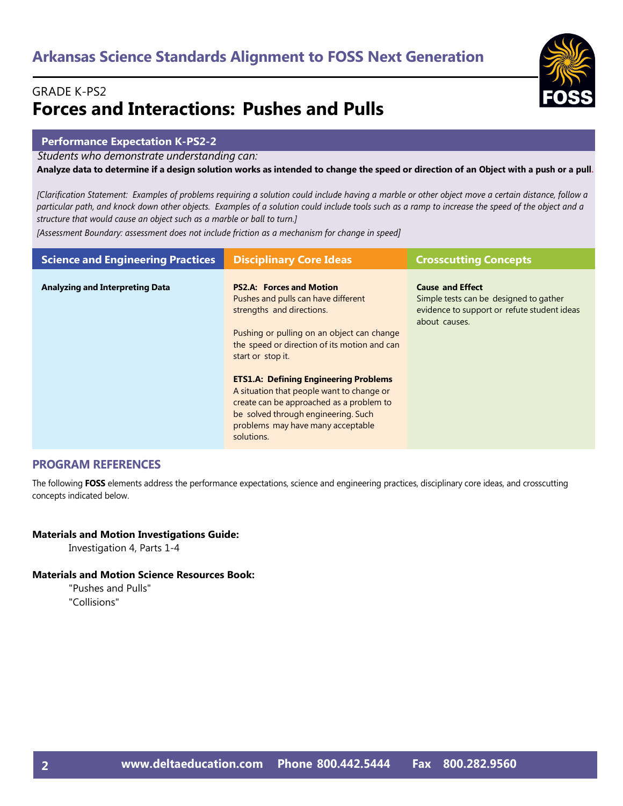### GRADE K-PS2 **Forces and Interactions: Pushes and Pulls**

#### **Performance Expectation K-PS2-2**

*Students who demonstrate understanding can:*

Analyze data to determine if a design solution works as intended to change the speed or direction of an Object with a push or a pull.

*[Clarification Statement: Examples of problems requiring a solution could include having a marble or other object move a certain distance, follow a particular path, and knock down other objects. Examples of a solution could include tools such as a ramp to increase the speed of the object and a structure that would cause an object such as a marble or ball to turn.]*

*[Assessment Boundary: assessment does not include friction as a mechanism for change in speed]* 

| <b>Science and Engineering Practices</b> | <b>Disciplinary Core Ideas</b>                                                                                                                                                                                                                                                                                                                                                                         | <b>Crosscutting Concepts</b>                                                                                                      |
|------------------------------------------|--------------------------------------------------------------------------------------------------------------------------------------------------------------------------------------------------------------------------------------------------------------------------------------------------------------------------------------------------------------------------------------------------------|-----------------------------------------------------------------------------------------------------------------------------------|
| <b>Analyzing and Interpreting Data</b>   | <b>PS2.A: Forces and Motion</b><br>Pushes and pulls can have different<br>strengths and directions.<br>Pushing or pulling on an object can change<br>the speed or direction of its motion and can<br>start or stop it.<br><b>ETS1.A: Defining Engineering Problems</b><br>A situation that people want to change or<br>create can be approached as a problem to<br>be solved through engineering. Such | <b>Cause and Effect</b><br>Simple tests can be designed to gather<br>evidence to support or refute student ideas<br>about causes. |
|                                          | problems may have many acceptable<br>solutions.                                                                                                                                                                                                                                                                                                                                                        |                                                                                                                                   |

#### **PROGRAM REFERENCES**

The following **FOSS** elements address the performance expectations, science and engineering practices, disciplinary core ideas, and crosscutting concepts indicated below.

#### **Materials and Motion Investigations Guide:**

Investigation 4, Parts 1-4

#### **Materials and Motion Science Resources Book:**

"Pushes and Pulls" "Collisions"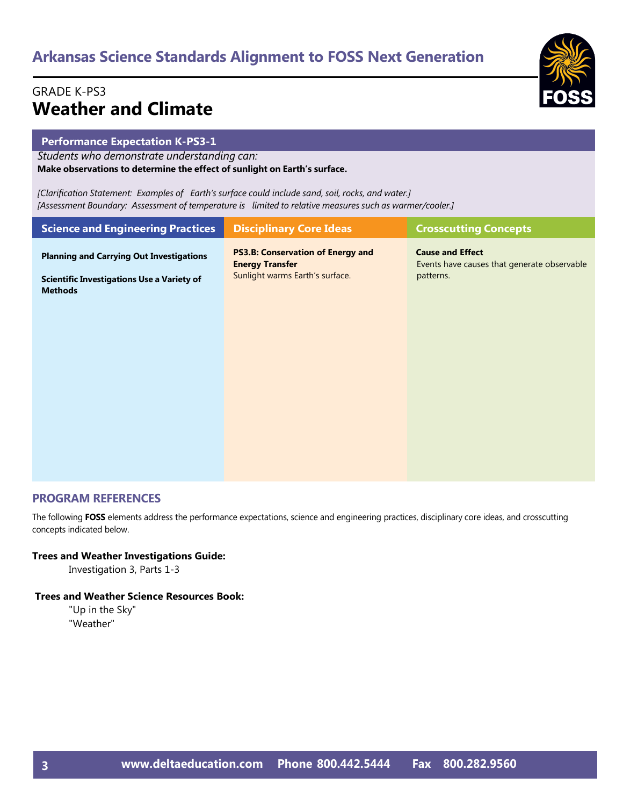### GRADE K-PS3 **Weather and Climate**

#### **Performance Expectation K-PS3-1**

*Students who demonstrate understanding can:* **Make observations to determine the effect of sunlight on Earth's surface.**

*[Clarification Statement: Examples of Earth's surface could include sand, soil, rocks, and water.] [Assessment Boundary: Assessment of temperature is limited to relative measures such as warmer/cooler.]*

| <b>Science and Engineering Practices</b>                            | <b>Disciplinary Core Ideas</b>                                     | <b>Crosscutting Concepts</b>                                           |
|---------------------------------------------------------------------|--------------------------------------------------------------------|------------------------------------------------------------------------|
| <b>Planning and Carrying Out Investigations</b>                     | <b>PS3.B: Conservation of Energy and</b><br><b>Energy Transfer</b> | <b>Cause and Effect</b><br>Events have causes that generate observable |
| <b>Scientific Investigations Use a Variety of</b><br><b>Methods</b> | Sunlight warms Earth's surface.                                    | patterns.                                                              |
|                                                                     |                                                                    |                                                                        |
|                                                                     |                                                                    |                                                                        |
|                                                                     |                                                                    |                                                                        |

#### **PROGRAM REFERENCES**

The following **FOSS** elements address the performance expectations, science and engineering practices, disciplinary core ideas, and crosscutting concepts indicated below.

#### **Trees and Weather Investigations Guide:**

Investigation 3, Parts 1-3

#### **Trees and Weather Science Resources Book:**

"Up in the Sky" "Weather"



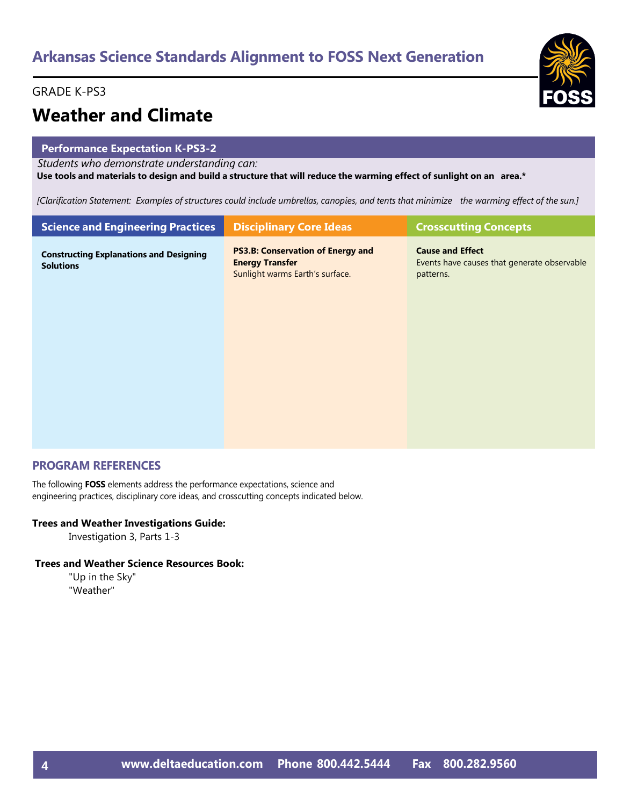#### GRADE K-PS3

## **Weather and Climate**

#### **Performance Expectation K-PS3-2**

*Students who demonstrate understanding can:*

Use tools and materials to design and build a structure that will reduce the warming effect of sunlight on an area.\*

[Clarification Statement: Examples of structures could include umbrellas, canopies, and tents that minimize the warming effect of the sun.]

| <b>Science and Engineering Practices</b>                           | <b>Disciplinary Core Ideas</b>                                                                        | <b>Crosscutting Concepts</b>                                                        |
|--------------------------------------------------------------------|-------------------------------------------------------------------------------------------------------|-------------------------------------------------------------------------------------|
| <b>Constructing Explanations and Designing</b><br><b>Solutions</b> | <b>PS3.B: Conservation of Energy and</b><br><b>Energy Transfer</b><br>Sunlight warms Earth's surface. | <b>Cause and Effect</b><br>Events have causes that generate observable<br>patterns. |
|                                                                    |                                                                                                       |                                                                                     |
|                                                                    |                                                                                                       |                                                                                     |
|                                                                    |                                                                                                       |                                                                                     |

#### **PROGRAM REFERENCES**

The following **FOSS** elements address the performance expectations, science and engineering practices, disciplinary core ideas, and crosscutting concepts indicated below.

#### **Trees and Weather Investigations Guide:**

Investigation 3, Parts 1-3

#### **Trees and Weather Science Resources Book:**

"Up in the Sky" "Weather"

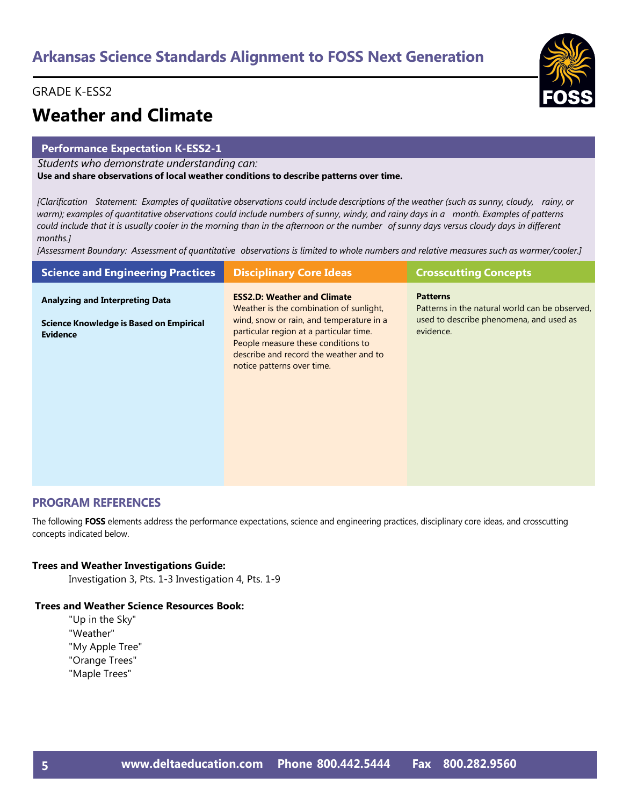#### GRADE K-ESS2

## **Weather and Climate**

#### **Performance Expectation K-ESS2-1**

*Students who demonstrate understanding can:*

**Use and share observations of local weather conditions to describe patterns over time.**

[Clarification Statement: Examples of qualitative observations could include descriptions of the weather (such as sunny, cloudy, rainy, or warm); examples of quantitative observations could include numbers of sunny, windy, and rainy days in a month. Examples of patterns could include that it is usually cooler in the morning than in the afternoon or the number of sunny days versus cloudy days in different *months.]*

[Assessment Boundary: Assessment of quantitative observations is limited to whole numbers and relative measures such as warmer/cooler.]

| <b>Science and Engineering Practices</b>                                                                    | <b>Disciplinary Core Ideas</b>                                                                                                                                                                             | <b>Crosscutting Concepts</b>                                                                                              |
|-------------------------------------------------------------------------------------------------------------|------------------------------------------------------------------------------------------------------------------------------------------------------------------------------------------------------------|---------------------------------------------------------------------------------------------------------------------------|
| <b>Analyzing and Interpreting Data</b><br><b>Science Knowledge is Based on Empirical</b><br><b>Evidence</b> | <b>ESS2.D: Weather and Climate</b><br>Weather is the combination of sunlight,<br>wind, snow or rain, and temperature in a<br>particular region at a particular time.<br>People measure these conditions to | <b>Patterns</b><br>Patterns in the natural world can be observed,<br>used to describe phenomena, and used as<br>evidence. |
|                                                                                                             | describe and record the weather and to<br>notice patterns over time.                                                                                                                                       |                                                                                                                           |

#### **PROGRAM REFERENCES**

The following **FOSS** elements address the performance expectations, science and engineering practices, disciplinary core ideas, and crosscutting concepts indicated below.

#### **Trees and Weather Investigations Guide:**

Investigation 3, Pts. 1-3 Investigation 4, Pts. 1-9

#### **Trees and Weather Science Resources Book:**

"Up in the Sky" "Weather" "My Apple Tree" "Orange Trees" "Maple Trees"

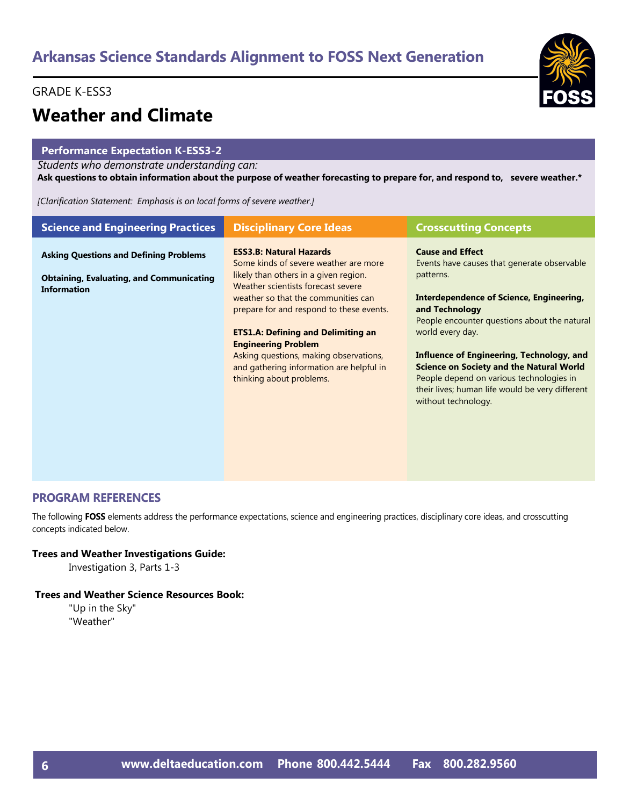#### GRADE K-ESS3

### **Weather and Climate**

#### **Performance Expectation K-ESS3-2**

#### *Students who demonstrate understanding can:*

Ask questions to obtain information about the purpose of weather forecasting to prepare for, and respond to, severe weather.\*

*[Clarification Statement: Emphasis is on local forms of severe weather.]*

| <b>Science and Engineering Practices</b>                                                                               | <b>Disciplinary Core Ideas</b>                                                                                                                                                                                                                                                                                                                                                                                                         | <b>Crosscutting Concepts</b>                                                                                                                                                                                                                                                                                                                                                                                                                |
|------------------------------------------------------------------------------------------------------------------------|----------------------------------------------------------------------------------------------------------------------------------------------------------------------------------------------------------------------------------------------------------------------------------------------------------------------------------------------------------------------------------------------------------------------------------------|---------------------------------------------------------------------------------------------------------------------------------------------------------------------------------------------------------------------------------------------------------------------------------------------------------------------------------------------------------------------------------------------------------------------------------------------|
| <b>Asking Questions and Defining Problems</b><br><b>Obtaining, Evaluating, and Communicating</b><br><b>Information</b> | <b>ESS3.B: Natural Hazards</b><br>Some kinds of severe weather are more<br>likely than others in a given region.<br>Weather scientists forecast severe<br>weather so that the communities can<br>prepare for and respond to these events.<br><b>ETS1.A: Defining and Delimiting an</b><br><b>Engineering Problem</b><br>Asking questions, making observations,<br>and gathering information are helpful in<br>thinking about problems. | <b>Cause and Effect</b><br>Events have causes that generate observable<br>patterns.<br>Interdependence of Science, Engineering,<br>and Technology<br>People encounter questions about the natural<br>world every day.<br>Influence of Engineering, Technology, and<br><b>Science on Society and the Natural World</b><br>People depend on various technologies in<br>their lives; human life would be very different<br>without technology. |

#### **PROGRAM REFERENCES**

The following **FOSS** elements address the performance expectations, science and engineering practices, disciplinary core ideas, and crosscutting concepts indicated below.

#### **Trees and Weather Investigations Guide:**

Investigation 3, Parts 1-3

#### **Trees and Weather Science Resources Book:**

"Up in the Sky" "Weather"

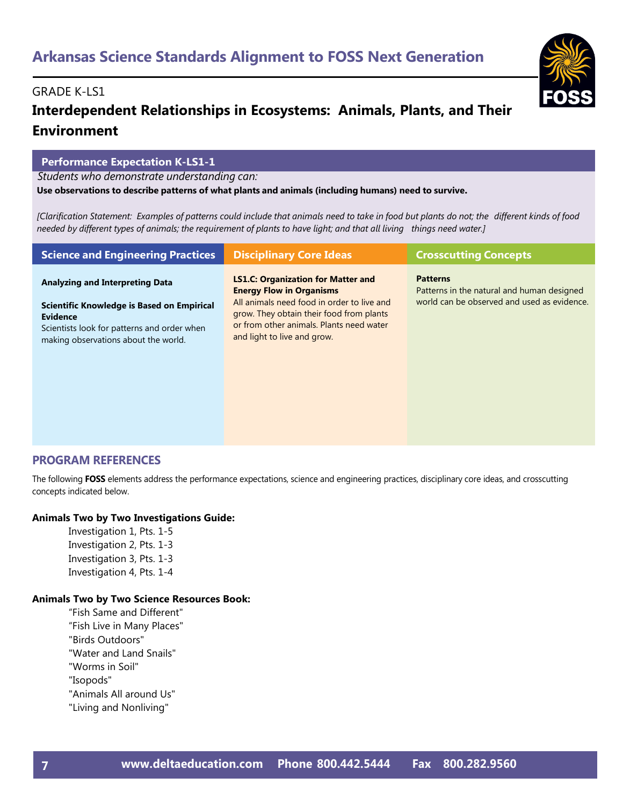#### GRADE K-LS1

### **Interdependent Relationships in Ecosystems: Animals, Plants, and Their Environment**

#### **Performance Expectation K-LS1-1**

*Students who demonstrate understanding can:*

**Use observations to describe patterns of what plants and animals (including humans) need to survive.**

[Clarification Statement: Examples of patterns could include that animals need to take in food but plants do not; the different kinds of food needed by different types of animals; the requirement of plants to have light; and that all living things need water.]

| <b>Science and Engineering Practices</b>                                                                                                                                                              | <b>Disciplinary Core Ideas</b>                                                                                                                                                                                                                    | <b>Crosscutting Concepts</b>                                                                                 |
|-------------------------------------------------------------------------------------------------------------------------------------------------------------------------------------------------------|---------------------------------------------------------------------------------------------------------------------------------------------------------------------------------------------------------------------------------------------------|--------------------------------------------------------------------------------------------------------------|
| <b>Analyzing and Interpreting Data</b><br><b>Scientific Knowledge is Based on Empirical</b><br><b>Evidence</b><br>Scientists look for patterns and order when<br>making observations about the world. | <b>LS1.C: Organization for Matter and</b><br><b>Energy Flow in Organisms</b><br>All animals need food in order to live and<br>grow. They obtain their food from plants<br>or from other animals. Plants need water<br>and light to live and grow. | <b>Patterns</b><br>Patterns in the natural and human designed<br>world can be observed and used as evidence. |

#### **PROGRAM REFERENCES**

The following **FOSS** elements address the performance expectations, science and engineering practices, disciplinary core ideas, and crosscutting concepts indicated below.

#### **Animals Two by Two Investigations Guide:**

Investigation 1, Pts. 1-5 Investigation 2, Pts. 1-3 Investigation 3, Pts. 1-3 Investigation 4, Pts. 1-4

#### **Animals Two by Two Science Resources Book:**

"Fish Same and Different" "Fish Live in Many Places" "Birds Outdoors" "Water and Land Snails" "Worms in Soil" "Isopods" "Animals All around Us" "Living and Nonliving"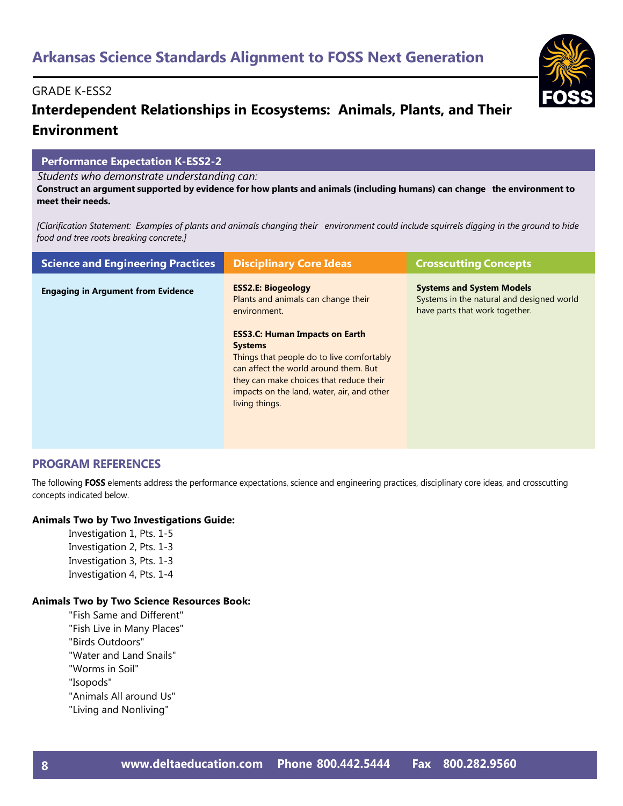### **Interdependent Relationships in Ecosystems: Animals, Plants, and Their Environment**

#### **Performance Expectation K-ESS2-2**

*Students who demonstrate understanding can:*

Construct an argument supported by evidence for how plants and animals (including humans) can change the environment to **meet their needs.**

[Clarification Statement: Examples of plants and animals changing their environment could include squirrels digging in the ground to hide *food and tree roots breaking concrete.]*

| <b>Science and Engineering Practices</b>  | <b>Disciplinary Core Ideas</b>                                                                                                                                                                                                                           | <b>Crosscutting Concepts</b>                                                                                    |
|-------------------------------------------|----------------------------------------------------------------------------------------------------------------------------------------------------------------------------------------------------------------------------------------------------------|-----------------------------------------------------------------------------------------------------------------|
| <b>Engaging in Argument from Evidence</b> | <b>ESS2.E: Biogeology</b><br>Plants and animals can change their<br>environment.                                                                                                                                                                         | <b>Systems and System Models</b><br>Systems in the natural and designed world<br>have parts that work together. |
|                                           | <b>ESS3.C: Human Impacts on Earth</b><br><b>Systems</b><br>Things that people do to live comfortably<br>can affect the world around them. But<br>they can make choices that reduce their<br>impacts on the land, water, air, and other<br>living things. |                                                                                                                 |

#### **PROGRAM REFERENCES**

The following **FOSS** elements address the performance expectations, science and engineering practices, disciplinary core ideas, and crosscutting concepts indicated below.

#### **Animals Two by Two Investigations Guide:**

Investigation 1, Pts. 1-5 Investigation 2, Pts. 1-3 Investigation 3, Pts. 1-3 Investigation 4, Pts. 1-4

#### **Animals Two by Two Science Resources Book:**

- "Fish Same and Different" "Fish Live in Many Places" "Birds Outdoors" "Water and Land Snails" "Worms in Soil"
- "Isopods"
- "Animals All around Us"
- "Living and Nonliving"

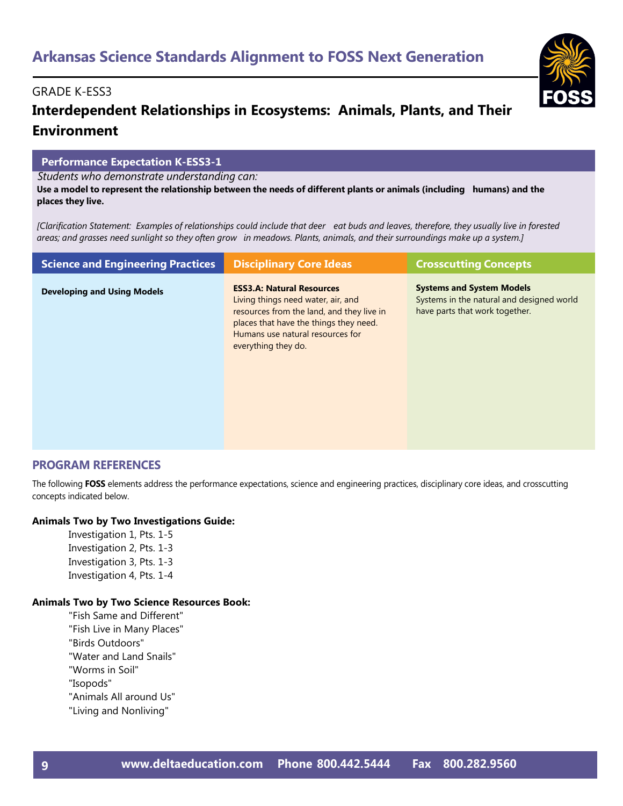### **Interdependent Relationships in Ecosystems: Animals, Plants, and Their Environment**

#### **Performance Expectation K-ESS3-1**

*Students who demonstrate understanding can:*

Use a model to represent the relationship between the needs of different plants or animals (including humans) and the **places they live.**

[Clarification Statement: Examples of relationships could include that deer eat buds and leaves, therefore, they usually live in forested areas; and grasses need sunlight so they often grow in meadows. Plants, animals, and their surroundings make up a system.]

| <b>Science and Engineering Practices</b> | <b>Disciplinary Core Ideas</b>                                                                                                                                                                                           | <b>Crosscutting Concepts</b>                                                                                    |
|------------------------------------------|--------------------------------------------------------------------------------------------------------------------------------------------------------------------------------------------------------------------------|-----------------------------------------------------------------------------------------------------------------|
| <b>Developing and Using Models</b>       | <b>ESS3.A: Natural Resources</b><br>Living things need water, air, and<br>resources from the land, and they live in<br>places that have the things they need.<br>Humans use natural resources for<br>everything they do. | <b>Systems and System Models</b><br>Systems in the natural and designed world<br>have parts that work together. |

#### **PROGRAM REFERENCES**

The following **FOSS** elements address the performance expectations, science and engineering practices, disciplinary core ideas, and crosscutting concepts indicated below.

#### **Animals Two by Two Investigations Guide:**

Investigation 1, Pts. 1-5 Investigation 2, Pts. 1-3 Investigation 3, Pts. 1-3 Investigation 4, Pts. 1-4

#### **Animals Two by Two Science Resources Book:**

"Fish Same and Different" "Fish Live in Many Places" "Birds Outdoors" "Water and Land Snails" "Worms in Soil" "Isopods" "Animals All around Us" "Living and Nonliving"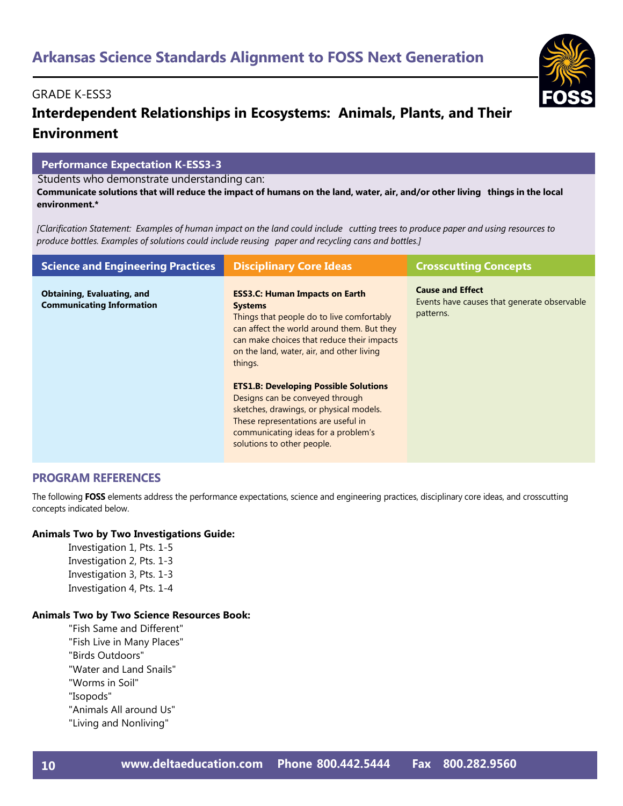### **Interdependent Relationships in Ecosystems: Animals, Plants, and Their Environment**

#### **Performance Expectation K-ESS3-3**

Students who demonstrate understanding can:

Communicate solutions that will reduce the impact of humans on the land, water, air, and/or other living things in the local **environment.\***

[Clarification Statement: Examples of human impact on the land could include cutting trees to produce paper and using resources to *produce bottles. Examples of solutions could include reusing paper and recycling cans and bottles.]*

| <b>Science and Engineering Practices</b>                              | <b>Disciplinary Core Ideas</b>                                                                                                                                                                                                                           | <b>Crosscutting Concepts</b>                                                        |
|-----------------------------------------------------------------------|----------------------------------------------------------------------------------------------------------------------------------------------------------------------------------------------------------------------------------------------------------|-------------------------------------------------------------------------------------|
| <b>Obtaining, Evaluating, and</b><br><b>Communicating Information</b> | <b>ESS3.C: Human Impacts on Earth</b><br><b>Systems</b><br>Things that people do to live comfortably<br>can affect the world around them. But they<br>can make choices that reduce their impacts<br>on the land, water, air, and other living<br>things. | <b>Cause and Effect</b><br>Events have causes that generate observable<br>patterns. |
|                                                                       | <b>ETS1.B: Developing Possible Solutions</b><br>Designs can be conveyed through<br>sketches, drawings, or physical models.<br>These representations are useful in<br>communicating ideas for a problem's<br>solutions to other people.                   |                                                                                     |

#### **PROGRAM REFERENCES**

The following **FOSS** elements address the performance expectations, science and engineering practices, disciplinary core ideas, and crosscutting concepts indicated below.

#### **Animals Two by Two Investigations Guide:**

Investigation 1, Pts. 1-5 Investigation 2, Pts. 1-3 Investigation 3, Pts. 1-3 Investigation 4, Pts. 1-4

#### **Animals Two by Two Science Resources Book:**

"Fish Same and Different" "Fish Live in Many Places" "Birds Outdoors" "Water and Land Snails" "Worms in Soil" "Isopods" "Animals All around Us" "Living and Nonliving"

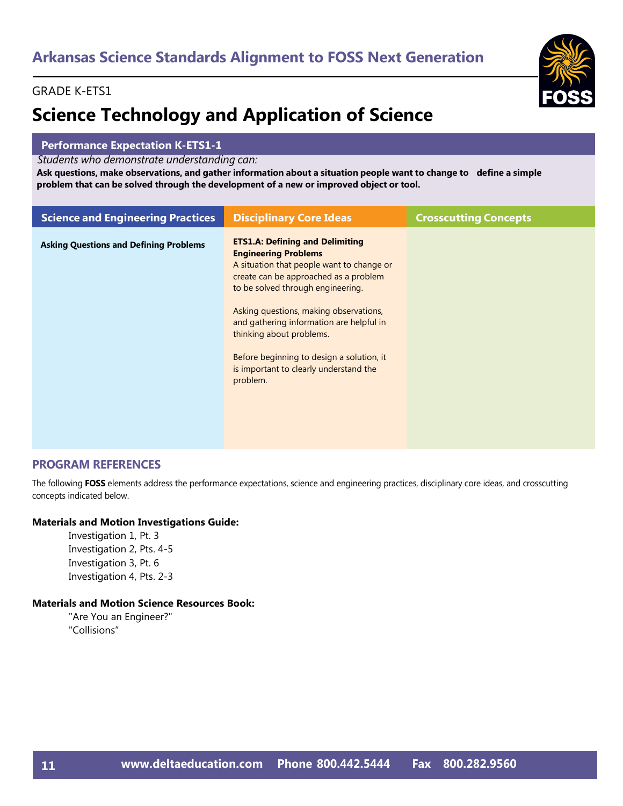#### GRADE K-ETS1

## **Science Technology and Application of Science**

#### **Performance Expectation K-ETS1-1**

*Students who demonstrate understanding can:*

Ask questions, make observations, and gather information about a situation people want to change to define a simple **problem that can be solved through the development of a new or improved object or tool.**

| <b>Science and Engineering Practices</b>      | <b>Disciplinary Core Ideas</b>                                                                                                                                                                                                                                                                                                                                                                                        | <b>Crosscutting Concepts</b> |
|-----------------------------------------------|-----------------------------------------------------------------------------------------------------------------------------------------------------------------------------------------------------------------------------------------------------------------------------------------------------------------------------------------------------------------------------------------------------------------------|------------------------------|
| <b>Asking Questions and Defining Problems</b> | <b>ETS1.A: Defining and Delimiting</b><br><b>Engineering Problems</b><br>A situation that people want to change or<br>create can be approached as a problem<br>to be solved through engineering.<br>Asking questions, making observations,<br>and gathering information are helpful in<br>thinking about problems.<br>Before beginning to design a solution, it<br>is important to clearly understand the<br>problem. |                              |
|                                               |                                                                                                                                                                                                                                                                                                                                                                                                                       |                              |

#### **PROGRAM REFERENCES**

The following **FOSS** elements address the performance expectations, science and engineering practices, disciplinary core ideas, and crosscutting concepts indicated below.

#### **Materials and Motion Investigations Guide:**

Investigation 1, Pt. 3 Investigation 2, Pts. 4-5 Investigation 3, Pt. 6 Investigation 4, Pts. 2-3

#### **Materials and Motion Science Resources Book:**

"Are You an Engineer?" "Collisions"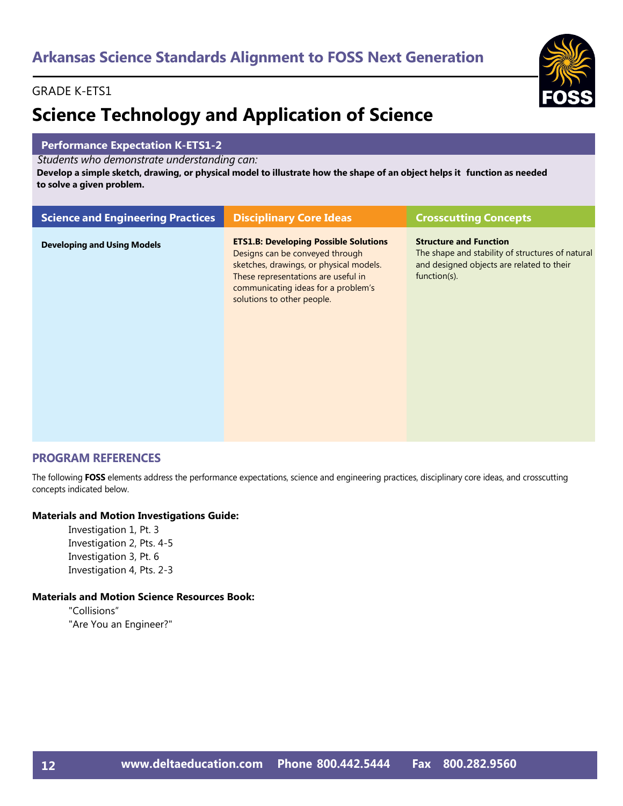#### GRADE K-ETS1

## **Science Technology and Application of Science**

#### **Performance Expectation K-ETS1-2**

*Students who demonstrate understanding can:*

Develop a simple sketch, drawing, or physical model to illustrate how the shape of an object helps it function as needed **to solve a given problem.**

| <b>Science and Engineering Practices</b> | <b>Disciplinary Core Ideas</b>                                                                                                                                                                                                         | <b>Crosscutting Concepts</b>                                                                                                                   |
|------------------------------------------|----------------------------------------------------------------------------------------------------------------------------------------------------------------------------------------------------------------------------------------|------------------------------------------------------------------------------------------------------------------------------------------------|
| <b>Developing and Using Models</b>       | <b>ETS1.B: Developing Possible Solutions</b><br>Designs can be conveyed through<br>sketches, drawings, or physical models.<br>These representations are useful in<br>communicating ideas for a problem's<br>solutions to other people. | <b>Structure and Function</b><br>The shape and stability of structures of natural<br>and designed objects are related to their<br>function(s). |

#### **PROGRAM REFERENCES**

The following **FOSS** elements address the performance expectations, science and engineering practices, disciplinary core ideas, and crosscutting concepts indicated below.

#### **Materials and Motion Investigations Guide:**

Investigation 1, Pt. 3 Investigation 2, Pts. 4-5 Investigation 3, Pt. 6 Investigation 4, Pts. 2-3

#### **Materials and Motion Science Resources Book:**

"Collisions" "Are You an Engineer?"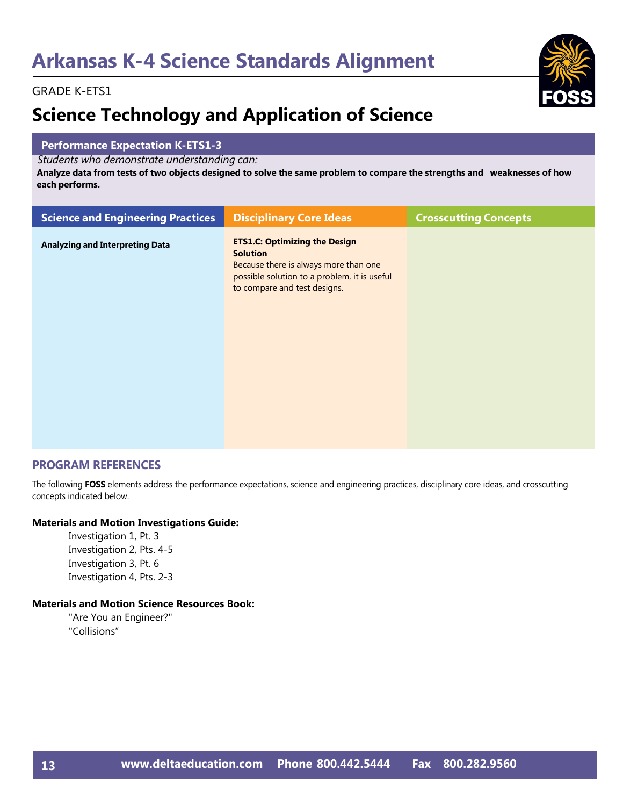

#### GRADE K-ETS1

## **Science Technology and Application of Science**

#### **Performance Expectation K-ETS1-3**

*Students who demonstrate understanding can:*

Analyze data from tests of two objects designed to solve the same problem to compare the strengths and weaknesses of how **each performs.**

| <b>Science and Engineering Practices</b> | <b>Disciplinary Core Ideas</b>                                                                                                                                                   | <b>Crosscutting Concepts</b> |
|------------------------------------------|----------------------------------------------------------------------------------------------------------------------------------------------------------------------------------|------------------------------|
| <b>Analyzing and Interpreting Data</b>   | <b>ETS1.C: Optimizing the Design</b><br><b>Solution</b><br>Because there is always more than one<br>possible solution to a problem, it is useful<br>to compare and test designs. |                              |
|                                          |                                                                                                                                                                                  |                              |

#### **PROGRAM REFERENCES**

The following **FOSS** elements address the performance expectations, science and engineering practices, disciplinary core ideas, and crosscutting concepts indicated below.

#### **Materials and Motion Investigations Guide:**

Investigation 1, Pt. 3 Investigation 2, Pts. 4-5 Investigation 3, Pt. 6 Investigation 4, Pts. 2-3

#### **Materials and Motion Science Resources Book:**

"Are You an Engineer?" "Collisions"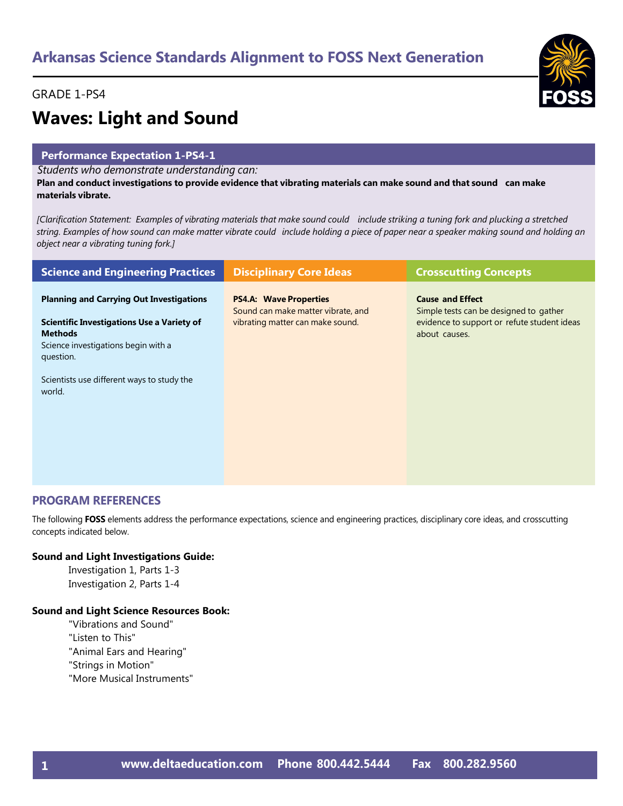#### GRADE 1-PS4



# **Waves: Light and Sound**

#### **Performance Expectation 1-PS4-1**

*Students who demonstrate understanding can:*

Plan and conduct investigations to provide evidence that vibrating materials can make sound and that sound can make **materials vibrate.**

[Clarification Statement: Examples of vibrating materials that make sound could include striking a tuning fork and plucking a stretched string. Examples of how sound can make matter vibrate could include holding a piece of paper near a speaker making sound and holding an *object near a vibrating tuning fork.]*

| <b>Science and Engineering Practices</b>                                                             | <b>Disciplinary Core Ideas</b>                                                                          | <b>Crosscutting Concepts</b>                                                                                     |
|------------------------------------------------------------------------------------------------------|---------------------------------------------------------------------------------------------------------|------------------------------------------------------------------------------------------------------------------|
| <b>Planning and Carrying Out Investigations</b><br><b>Scientific Investigations Use a Variety of</b> | <b>PS4.A: Wave Properties</b><br>Sound can make matter vibrate, and<br>vibrating matter can make sound. | <b>Cause and Effect</b><br>Simple tests can be designed to gather<br>evidence to support or refute student ideas |
| <b>Methods</b><br>Science investigations begin with a<br>question.                                   |                                                                                                         | about causes.                                                                                                    |
| Scientists use different ways to study the<br>world.                                                 |                                                                                                         |                                                                                                                  |
|                                                                                                      |                                                                                                         |                                                                                                                  |

#### **PROGRAM REFERENCES**

The following **FOSS** elements address the performance expectations, science and engineering practices, disciplinary core ideas, and crosscutting concepts indicated below.

#### **Sound and Light Investigations Guide:**

Investigation 1, Parts 1-3 Investigation 2, Parts 1-4

#### **Sound and Light Science Resources Book:**

- "Vibrations and Sound"
- "Listen to This"
- "Animal Ears and Hearing"
- "Strings in Motion"
- "More Musical Instruments"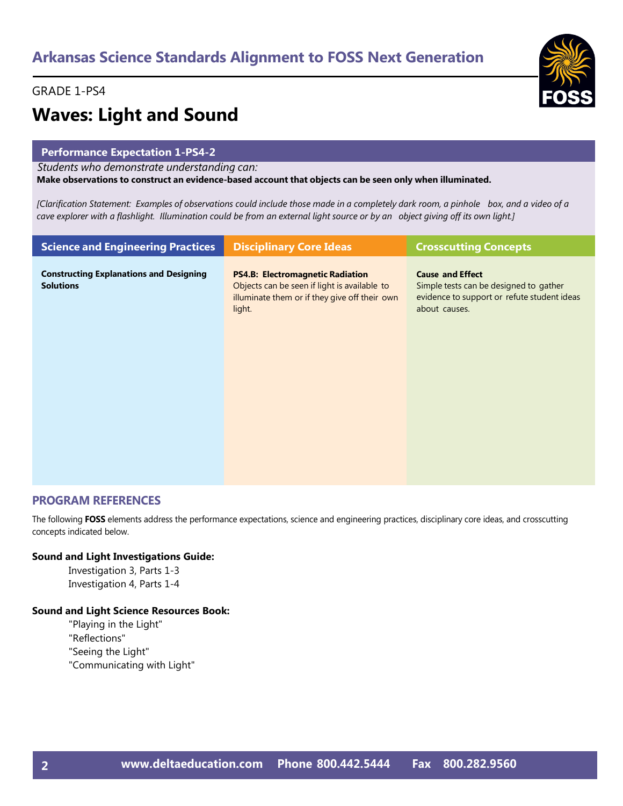#### GRADE 1-PS4



## **Waves: Light and Sound**

#### **Performance Expectation 1-PS4-2**

*Students who demonstrate understanding can:*

**Make observations to construct an evidence-based account that objects can be seen only when illuminated.**

[Clarification Statement: Examples of observations could include those made in a completely dark room, a pinhole box, and a video of a cave explorer with a flashlight. Illumination could be from an external light source or by an object giving off its own light.]

| <b>Science and Engineering Practices</b>                           | <b>Disciplinary Core Ideas</b>                                                                                                                     | <b>Crosscutting Concepts</b>                                                                                                      |
|--------------------------------------------------------------------|----------------------------------------------------------------------------------------------------------------------------------------------------|-----------------------------------------------------------------------------------------------------------------------------------|
| <b>Constructing Explanations and Designing</b><br><b>Solutions</b> | <b>PS4.B: Electromagnetic Radiation</b><br>Objects can be seen if light is available to<br>illuminate them or if they give off their own<br>light. | <b>Cause and Effect</b><br>Simple tests can be designed to gather<br>evidence to support or refute student ideas<br>about causes. |
|                                                                    |                                                                                                                                                    |                                                                                                                                   |

#### **PROGRAM REFERENCES**

The following **FOSS** elements address the performance expectations, science and engineering practices, disciplinary core ideas, and crosscutting concepts indicated below.

#### **Sound and Light Investigations Guide:**

Investigation 3, Parts 1-3 Investigation 4, Parts 1-4

#### **Sound and Light Science Resources Book:**

"Playing in the Light" "Reflections" "Seeing the Light" "Communicating with Light"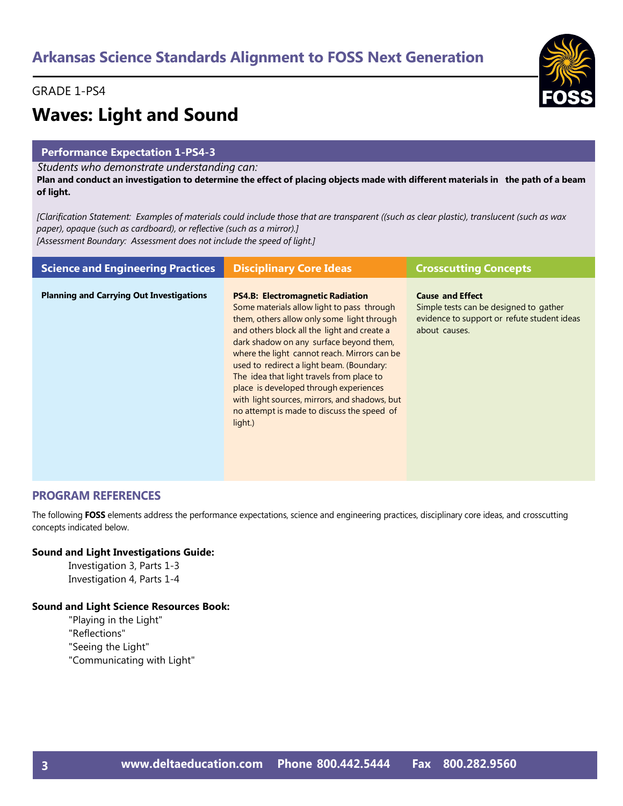#### GRADE 1-PS4

## **Waves: Light and Sound**

#### **Performance Expectation 1-PS4-3**

*Students who demonstrate understanding can:*

Plan and conduct an investigation to determine the effect of placing objects made with different materials in the path of a beam **of light.**

[Clarification Statement: Examples of materials could include those that are transparent ((such as clear plastic), translucent (such as wax *paper), opaque (such as cardboard), or reflective (such as a mirror).] [Assessment Boundary: Assessment does not include the speed of light.]*

| <b>Science and Engineering Practices</b>        | <b>Disciplinary Core Ideas</b>                                                                                                                                                                                                                                                                                                                                                                                                                                                                                              | <b>Crosscutting Concepts</b>                                                                                                      |
|-------------------------------------------------|-----------------------------------------------------------------------------------------------------------------------------------------------------------------------------------------------------------------------------------------------------------------------------------------------------------------------------------------------------------------------------------------------------------------------------------------------------------------------------------------------------------------------------|-----------------------------------------------------------------------------------------------------------------------------------|
| <b>Planning and Carrying Out Investigations</b> | <b>PS4.B: Electromagnetic Radiation</b><br>Some materials allow light to pass through<br>them, others allow only some light through<br>and others block all the light and create a<br>dark shadow on any surface beyond them,<br>where the light cannot reach. Mirrors can be<br>used to redirect a light beam. (Boundary:<br>The idea that light travels from place to<br>place is developed through experiences<br>with light sources, mirrors, and shadows, but<br>no attempt is made to discuss the speed of<br>light.) | <b>Cause and Effect</b><br>Simple tests can be designed to gather<br>evidence to support or refute student ideas<br>about causes. |

#### **PROGRAM REFERENCES**

The following **FOSS** elements address the performance expectations, science and engineering practices, disciplinary core ideas, and crosscutting concepts indicated below.

#### **Sound and Light Investigations Guide:**

Investigation 3, Parts 1-3 Investigation 4, Parts 1-4

#### **Sound and Light Science Resources Book:**

"Playing in the Light" "Reflections" "Seeing the Light" "Communicating with Light"

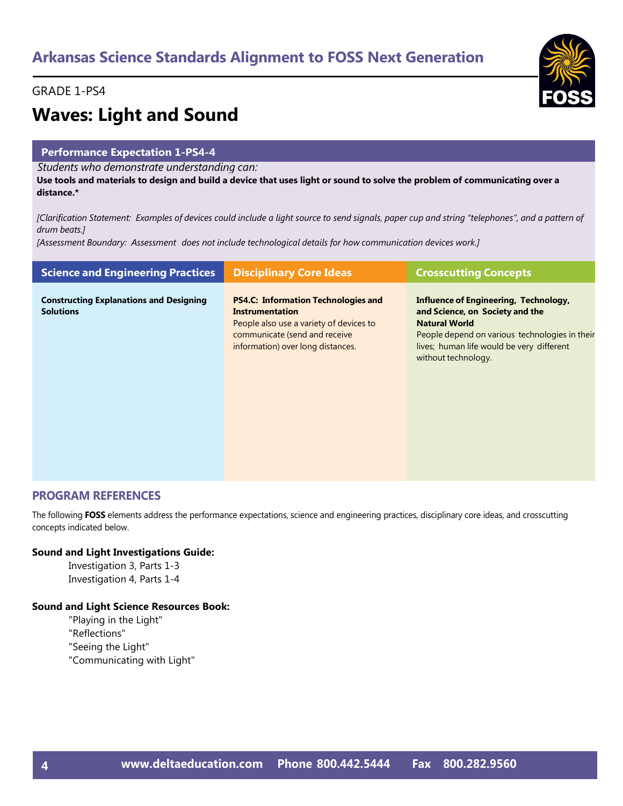#### GRADE 1-PS4



## **Waves: Light and Sound**

#### **Performance Expectation 1-PS4-4**

*Students who demonstrate understanding can:*

Use tools and materials to design and build a device that uses light or sound to solve the problem of communicating over a **distance.\*** 

[Clarification Statement: Examples of devices could include a light source to send signals, paper cup and string "telephones", and a pattern of *drum beats.]*

*[Assessment Boundary: Assessment does not include technological details for how communication devices work.]*

| <b>Science and Engineering Practices</b>                           | <b>Disciplinary Core Ideas</b>                                                                                                                                                        | <b>Crosscutting Concepts</b>                                                                                                                                                                                           |
|--------------------------------------------------------------------|---------------------------------------------------------------------------------------------------------------------------------------------------------------------------------------|------------------------------------------------------------------------------------------------------------------------------------------------------------------------------------------------------------------------|
| <b>Constructing Explanations and Designing</b><br><b>Solutions</b> | <b>PS4.C: Information Technologies and</b><br><b>Instrumentation</b><br>People also use a variety of devices to<br>communicate (send and receive<br>information) over long distances. | Influence of Engineering, Technology,<br>and Science, on Society and the<br><b>Natural World</b><br>People depend on various technologies in their<br>lives; human life would be very different<br>without technology. |

#### **PROGRAM REFERENCES**

The following **FOSS** elements address the performance expectations, science and engineering practices, disciplinary core ideas, and crosscutting concepts indicated below.

#### **Sound and Light Investigations Guide:**

Investigation 3, Parts 1-3 Investigation 4, Parts 1-4

#### **Sound and Light Science Resources Book:**

"Playing in the Light" "Reflections" "Seeing the Light" "Communicating with Light"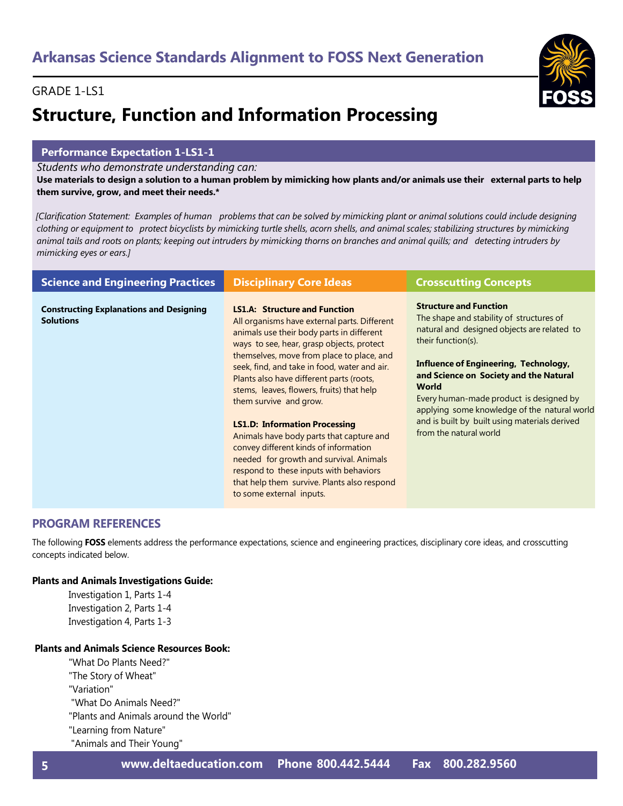#### GRADE 1-LS1

## **Structure, Function and Information Processing**

#### **Performance Expectation 1-LS1-1**

*Students who demonstrate understanding can:*

Use materials to design a solution to a human problem by mimicking how plants and/or animals use their external parts to help **them survive, grow, and meet their needs.\***

[Clarification Statement: Examples of human problems that can be solved by mimicking plant or animal solutions could include designing clothing or equipment to protect bicyclists by mimicking turtle shells, acorn shells, and animal scales; stabilizing structures by mimicking animal tails and roots on plants; keeping out intruders by mimicking thorns on branches and animal quills; and detecting intruders by *mimicking eyes or ears.]*

| <b>Science and Engineering Practices</b>                           | <b>Disciplinary Core Ideas</b>                                                                                                                                                                                                                                                                                                                                                                                                                                                                                                                                                                                                                                                              | <b>Crosscutting Concepts</b>                                                                                                                                                                                                                                                                                                                                                                                                   |
|--------------------------------------------------------------------|---------------------------------------------------------------------------------------------------------------------------------------------------------------------------------------------------------------------------------------------------------------------------------------------------------------------------------------------------------------------------------------------------------------------------------------------------------------------------------------------------------------------------------------------------------------------------------------------------------------------------------------------------------------------------------------------|--------------------------------------------------------------------------------------------------------------------------------------------------------------------------------------------------------------------------------------------------------------------------------------------------------------------------------------------------------------------------------------------------------------------------------|
| <b>Constructing Explanations and Designing</b><br><b>Solutions</b> | <b>LS1.A: Structure and Function</b><br>All organisms have external parts. Different<br>animals use their body parts in different<br>ways to see, hear, grasp objects, protect<br>themselves, move from place to place, and<br>seek, find, and take in food, water and air.<br>Plants also have different parts (roots,<br>stems, leaves, flowers, fruits) that help<br>them survive and grow.<br><b>LS1.D: Information Processing</b><br>Animals have body parts that capture and<br>convey different kinds of information<br>needed for growth and survival. Animals<br>respond to these inputs with behaviors<br>that help them survive. Plants also respond<br>to some external inputs. | <b>Structure and Function</b><br>The shape and stability of structures of<br>natural and designed objects are related to<br>their function(s).<br><b>Influence of Engineering, Technology,</b><br>and Science on Society and the Natural<br><b>World</b><br>Every human-made product is designed by<br>applying some knowledge of the natural world<br>and is built by built using materials derived<br>from the natural world |

#### **PROGRAM REFERENCES**

The following **FOSS** elements address the performance expectations, science and engineering practices, disciplinary core ideas, and crosscutting concepts indicated below.

#### **Plants and Animals Investigations Guide:**

Investigation 1, Parts 1-4 Investigation 2, Parts 1-4 Investigation 4, Parts 1-3

#### **Plants and Animals Science Resources Book:**

"What Do Plants Need?" "The Story of Wheat" "Variation" "What Do Animals Need?" "Plants and Animals around the World" "Learning from Nature"

"Animals and Their Young"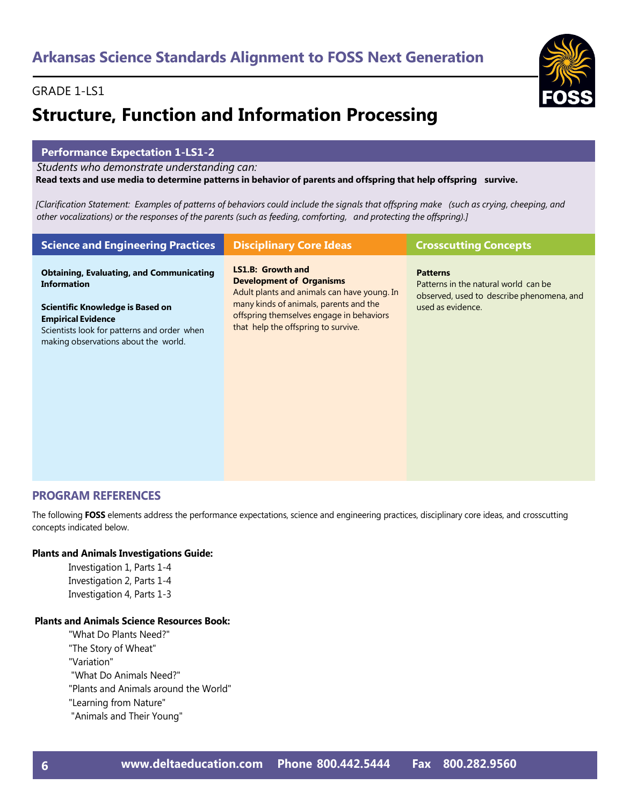#### GRADE 1-LS1

## **Structure, Function and Information Processing**

#### **Performance Expectation 1-LS1-2**

*Students who demonstrate understanding can:*

Read texts and use media to determine patterns in behavior of parents and offspring that help offspring survive.

[Clarification Statement: Examples of patterns of behaviors could include the signals that offspring make (such as crying, cheeping, and other vocalizations) or the responses of the parents (such as feeding, comforting, and protecting the offspring).]

| <b>Science and Engineering Practices</b>                                                                                                             | <b>Disciplinary Core Ideas</b>                                                                                            | <b>Crosscutting Concepts</b>                                                                         |
|------------------------------------------------------------------------------------------------------------------------------------------------------|---------------------------------------------------------------------------------------------------------------------------|------------------------------------------------------------------------------------------------------|
| <b>Obtaining, Evaluating, and Communicating</b><br><b>Information</b>                                                                                | LS1.B: Growth and<br><b>Development of Organisms</b><br>Adult plants and animals can have young. In                       | <b>Patterns</b><br>Patterns in the natural world can be<br>observed, used to describe phenomena, and |
| Scientific Knowledge is Based on<br><b>Empirical Evidence</b><br>Scientists look for patterns and order when<br>making observations about the world. | many kinds of animals, parents and the<br>offspring themselves engage in behaviors<br>that help the offspring to survive. | used as evidence.                                                                                    |

#### **PROGRAM REFERENCES**

The following **FOSS** elements address the performance expectations, science and engineering practices, disciplinary core ideas, and crosscutting concepts indicated below.

#### **Plants and Animals Investigations Guide:**

Investigation 1, Parts 1-4 Investigation 2, Parts 1-4 Investigation 4, Parts 1-3

#### **Plants and Animals Science Resources Book:**

"What Do Plants Need?" "The Story of Wheat" "Variation" "What Do Animals Need?" "Plants and Animals around the World" "Learning from Nature" "Animals and Their Young"

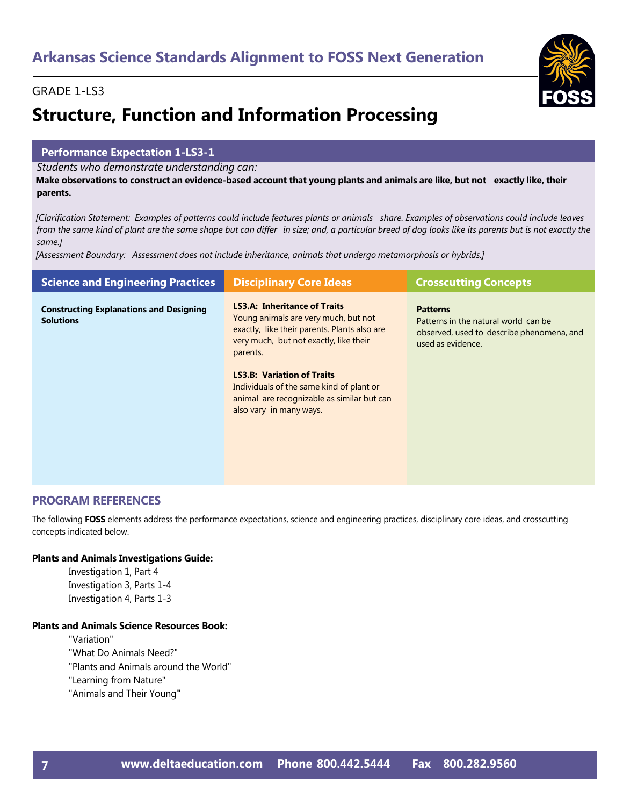#### GRADE 1-LS3

## **Structure, Function and Information Processing**

#### **Performance Expectation 1-LS3-1**

*Students who demonstrate understanding can:*

Make observations to construct an evidence-based account that young plants and animals are like, but not exactly like, their **parents.**

[Clarification Statement: Examples of patterns could include features plants or animals share. Examples of observations could include leaves from the same kind of plant are the same shape but can differ in size; and, a particular breed of dog looks like its parents but is not exactly the *same.]*

*[Assessment Boundary: Assessment does not include inheritance, animals that undergo metamorphosis or hybrids.]*

| <b>Science and Engineering Practices</b>                           | <b>Disciplinary Core Ideas</b>                                                                                                                                                    | <b>Crosscutting Concepts</b>                                                                                              |
|--------------------------------------------------------------------|-----------------------------------------------------------------------------------------------------------------------------------------------------------------------------------|---------------------------------------------------------------------------------------------------------------------------|
| <b>Constructing Explanations and Designing</b><br><b>Solutions</b> | <b>LS3.A: Inheritance of Traits</b><br>Young animals are very much, but not<br>exactly, like their parents. Plants also are<br>very much, but not exactly, like their<br>parents. | <b>Patterns</b><br>Patterns in the natural world can be<br>observed, used to describe phenomena, and<br>used as evidence. |
|                                                                    | <b>LS3.B: Variation of Traits</b><br>Individuals of the same kind of plant or<br>animal are recognizable as similar but can<br>also vary in many ways.                            |                                                                                                                           |

#### **PROGRAM REFERENCES**

The following **FOSS** elements address the performance expectations, science and engineering practices, disciplinary core ideas, and crosscutting concepts indicated below.

#### **Plants and Animals Investigations Guide:**

Investigation 1, Part 4 Investigation 3, Parts 1-4 Investigation 4, Parts 1-3

#### **Plants and Animals Science Resources Book:**

"Variation" "What Do Animals Need?" "Plants and Animals around the World"

"Learning from Nature"

"Animals and Their Young**"**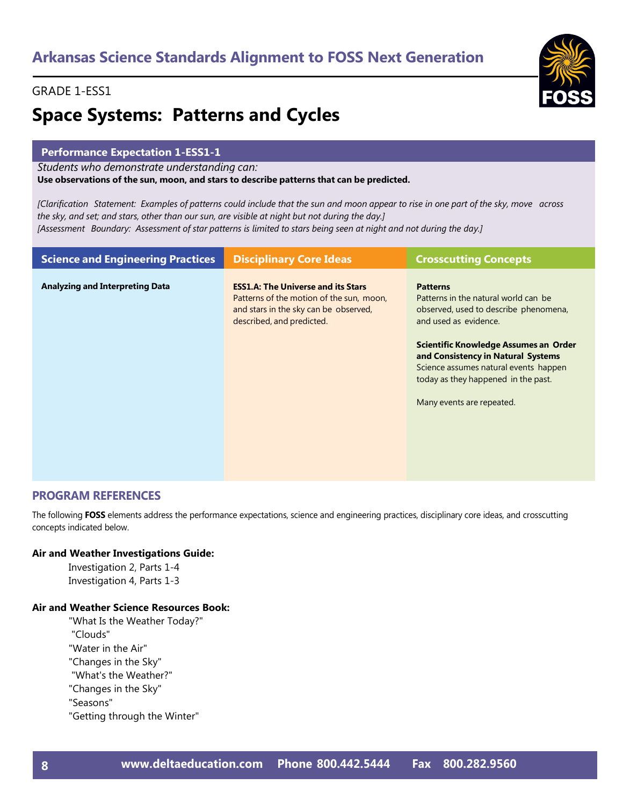## **Space Systems: Patterns and Cycles**

#### **Performance Expectation 1-ESS1-1**

*Students who demonstrate understanding can:*

**Use observations of the sun, moon, and stars to describe patterns that can be predicted.**

[Clarification Statement: Examples of patterns could include that the sun and moon appear to rise in one part of the sky, move across the sky, and set; and stars, other than our sun, are visible at night but not during the day.] [Assessment Boundary: Assessment of star patterns is limited to stars being seen at night and not during the day.]

| <b>Science and Engineering Practices</b> | <b>Disciplinary Core Ideas</b>                                                                                                                              | <b>Crosscutting Concepts</b>                                                                                                                                                                                                                                                                                          |
|------------------------------------------|-------------------------------------------------------------------------------------------------------------------------------------------------------------|-----------------------------------------------------------------------------------------------------------------------------------------------------------------------------------------------------------------------------------------------------------------------------------------------------------------------|
| <b>Analyzing and Interpreting Data</b>   | <b>ESS1.A: The Universe and its Stars</b><br>Patterns of the motion of the sun, moon,<br>and stars in the sky can be observed,<br>described, and predicted. | <b>Patterns</b><br>Patterns in the natural world can be<br>observed, used to describe phenomena,<br>and used as evidence.<br>Scientific Knowledge Assumes an Order<br>and Consistency in Natural Systems<br>Science assumes natural events happen<br>today as they happened in the past.<br>Many events are repeated. |

#### **PROGRAM REFERENCES**

The following **FOSS** elements address the performance expectations, science and engineering practices, disciplinary core ideas, and crosscutting concepts indicated below.

#### **Air and Weather Investigations Guide:**

Investigation 2, Parts 1-4 Investigation 4, Parts 1-3

#### **Air and Weather Science Resources Book:**

- "What Is the Weather Today?" "Clouds"
- "Water in the Air"
- "Changes in the Sky"
- "What's the Weather?"
- "Changes in the Sky"
- "Seasons"
- "Getting through the Winter"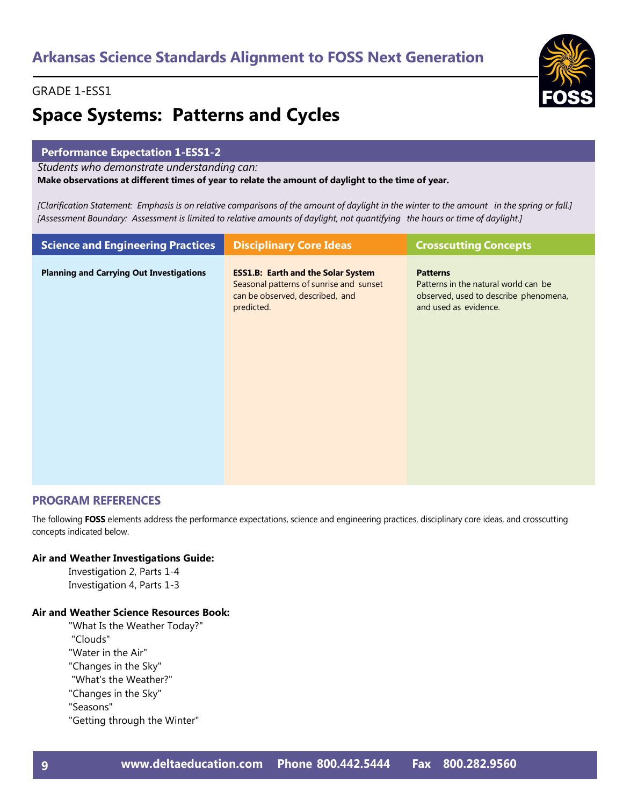## **Space Systems: Patterns and Cycles**

#### **Performance Expectation 1-ESS1-2**

*Students who demonstrate understanding can:*

**Make observations at different times of year to relate the amount of daylight to the time of year.**

[Clarification Statement: Emphasis is on relative comparisons of the amount of daylight in the winter to the amount in the spring or fall.] [Assessment Boundary: Assessment is limited to relative amounts of daylight, not quantifying the hours or time of daylight.]

| <b>Science and Engineering Practices</b>        | <b>Disciplinary Core Ideas</b>                                                                                                        | <b>Crosscutting Concepts</b>                                                                                              |
|-------------------------------------------------|---------------------------------------------------------------------------------------------------------------------------------------|---------------------------------------------------------------------------------------------------------------------------|
| <b>Planning and Carrying Out Investigations</b> | <b>ESS1.B: Earth and the Solar System</b><br>Seasonal patterns of sunrise and sunset<br>can be observed, described, and<br>predicted. | <b>Patterns</b><br>Patterns in the natural world can be<br>observed, used to describe phenomena,<br>and used as evidence. |

#### **PROGRAM REFERENCES**

The following **FOSS** elements address the performance expectations, science and engineering practices, disciplinary core ideas, and crosscutting concepts indicated below.

#### **Air and Weather Investigations Guide:**

Investigation 2, Parts 1-4 Investigation 4, Parts 1-3

#### **Air and Weather Science Resources Book:**

- "What Is the Weather Today?" "Clouds"
- "Water in the Air"
- "Changes in the Sky"
- "What's the Weather?"
- "Changes in the Sky"
- "Seasons"
- "Getting through the Winter"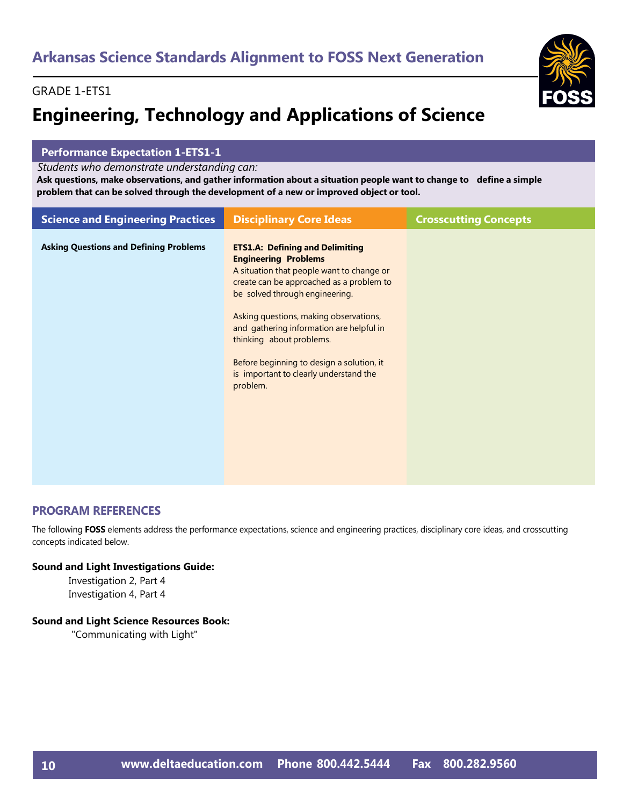#### GRADE 1-ETS1

## **Engineering, Technology and Applications of Science**



#### **Performance Expectation 1-ETS1-1**

*Students who demonstrate understanding can:*

Ask questions, make observations, and gather information about a situation people want to change to define a simple **problem that can be solved through the development of a new or improved object or tool.**

| <b>Science and Engineering Practices</b>      | <b>Disciplinary Core Ideas</b>                                                                                                                                                                                                                                                                                                                                                                                        | <b>Crosscutting Concepts</b> |
|-----------------------------------------------|-----------------------------------------------------------------------------------------------------------------------------------------------------------------------------------------------------------------------------------------------------------------------------------------------------------------------------------------------------------------------------------------------------------------------|------------------------------|
| <b>Asking Questions and Defining Problems</b> | <b>ETS1.A: Defining and Delimiting</b><br><b>Engineering Problems</b><br>A situation that people want to change or<br>create can be approached as a problem to<br>be solved through engineering.<br>Asking questions, making observations,<br>and gathering information are helpful in<br>thinking about problems.<br>Before beginning to design a solution, it<br>is important to clearly understand the<br>problem. |                              |

#### **PROGRAM REFERENCES**

The following **FOSS** elements address the performance expectations, science and engineering practices, disciplinary core ideas, and crosscutting concepts indicated below.

#### **Sound and Light Investigations Guide:**

Investigation 2, Part 4 Investigation 4, Part 4

#### **Sound and Light Science Resources Book:**

"Communicating with Light"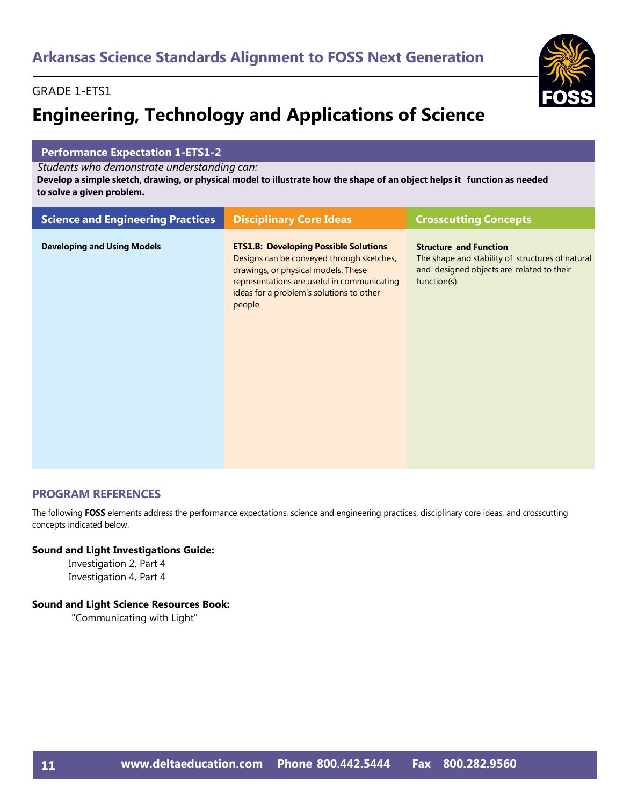#### GRADE 1-ETS1

## **Engineering, Technology and Applications of Science**



#### **Performance Expectation 1-ETS1-2**

*Students who demonstrate understanding can:*

Develop a simple sketch, drawing, or physical model to illustrate how the shape of an object helps it function as needed **to solve a given problem.**

| <b>Science and Engineering Practices</b> | <b>Disciplinary Core Ideas</b>                                                                                                                                                                                                         | <b>Crosscutting Concepts</b>                                                                                                                   |
|------------------------------------------|----------------------------------------------------------------------------------------------------------------------------------------------------------------------------------------------------------------------------------------|------------------------------------------------------------------------------------------------------------------------------------------------|
| <b>Developing and Using Models</b>       | <b>ETS1.B: Developing Possible Solutions</b><br>Designs can be conveyed through sketches,<br>drawings, or physical models. These<br>representations are useful in communicating<br>ideas for a problem's solutions to other<br>people. | <b>Structure and Function</b><br>The shape and stability of structures of natural<br>and designed objects are related to their<br>function(s). |

#### **PROGRAM REFERENCES**

The following **FOSS** elements address the performance expectations, science and engineering practices, disciplinary core ideas, and crosscutting concepts indicated below.

#### **Sound and Light Investigations Guide:**

Investigation 2, Part 4 Investigation 4, Part 4

#### **Sound and Light Science Resources Book:**

"Communicating with Light"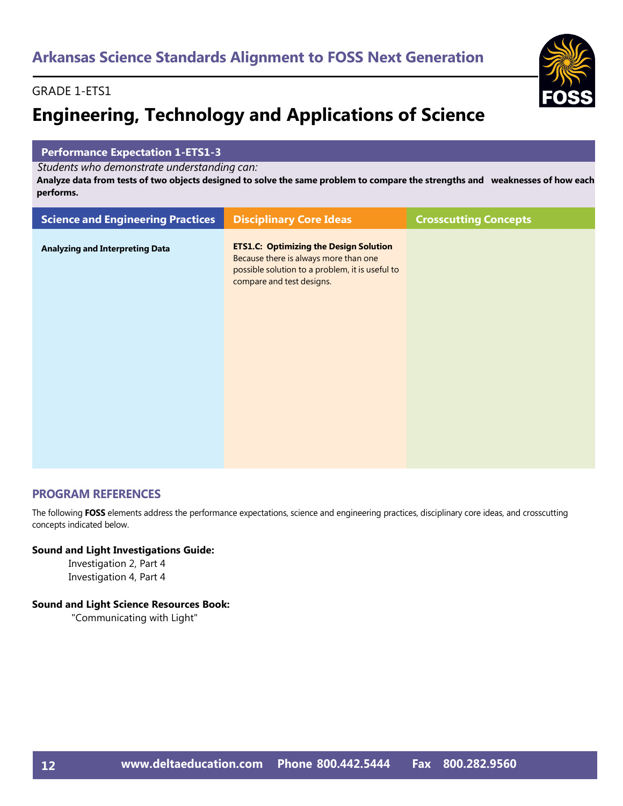#### GRADE 1-ETS1

## **Engineering, Technology and Applications of Science**

#### **Performance Expectation 1-ETS1-3**

*Students who demonstrate understanding can:*

Analyze data from tests of two objects designed to solve the same problem to compare the strengths and weaknesses of how each **performs.**

| <b>Science and Engineering Practices</b> | <b>Disciplinary Core Ideas</b>                                                                                                                                         | <b>Crosscutting Concepts</b> |
|------------------------------------------|------------------------------------------------------------------------------------------------------------------------------------------------------------------------|------------------------------|
| <b>Analyzing and Interpreting Data</b>   | <b>ETS1.C: Optimizing the Design Solution</b><br>Because there is always more than one<br>possible solution to a problem, it is useful to<br>compare and test designs. |                              |
|                                          |                                                                                                                                                                        |                              |

#### **PROGRAM REFERENCES**

The following **FOSS** elements address the performance expectations, science and engineering practices, disciplinary core ideas, and crosscutting concepts indicated below.

#### **Sound and Light Investigations Guide:**

Investigation 2, Part 4 Investigation 4, Part 4

#### **Sound and Light Science Resources Book:**

"Communicating with Light"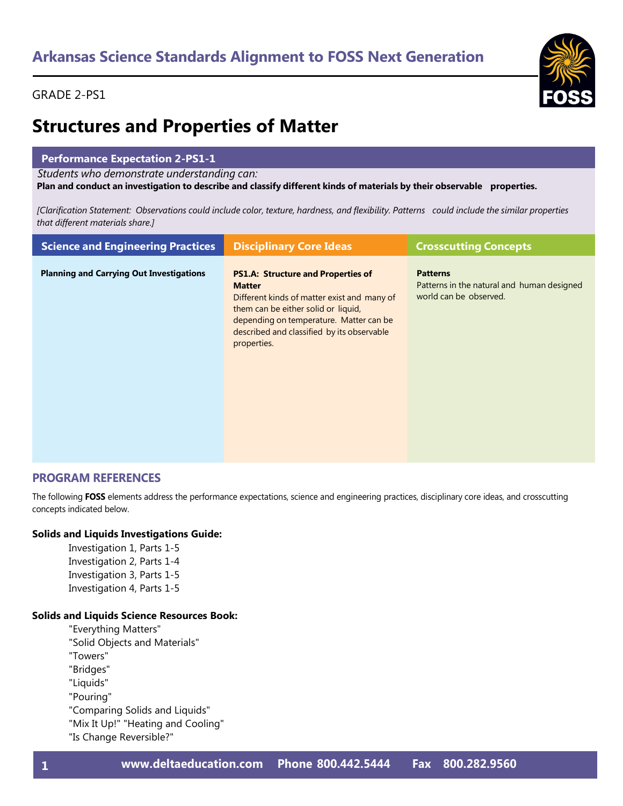

### **Structures and Properties of Matter**

#### **Performance Expectation 2-PS1-1**

*Students who demonstrate understanding can:*

Plan and conduct an investigation to describe and classify different kinds of materials by their observable properties.

[Clarification Statement: Observations could include color, texture, hardness, and flexibility. Patterns could include the similar properties *that different materials share.]*

| <b>Science and Engineering Practices</b>        | <b>Disciplinary Core Ideas</b>                                                                                                                                                                                                                           | <b>Crosscutting Concepts</b>                                                            |
|-------------------------------------------------|----------------------------------------------------------------------------------------------------------------------------------------------------------------------------------------------------------------------------------------------------------|-----------------------------------------------------------------------------------------|
| <b>Planning and Carrying Out Investigations</b> | <b>PS1.A: Structure and Properties of</b><br><b>Matter</b><br>Different kinds of matter exist and many of<br>them can be either solid or liquid,<br>depending on temperature. Matter can be<br>described and classified by its observable<br>properties. | <b>Patterns</b><br>Patterns in the natural and human designed<br>world can be observed. |

#### **PROGRAM REFERENCES**

The following **FOSS** elements address the performance expectations, science and engineering practices, disciplinary core ideas, and crosscutting concepts indicated below.

#### **Solids and Liquids Investigations Guide:**

Investigation 1, Parts 1-5 Investigation 2, Parts 1-4 Investigation 3, Parts 1-5 Investigation 4, Parts 1-5

#### **Solids and Liquids Science Resources Book:**

"Everything Matters" "Solid Objects and Materials" "Towers" "Bridges" "Liquids" "Pouring" "Comparing Solids and Liquids" "Mix It Up!" "Heating and Cooling" "Is Change Reversible?"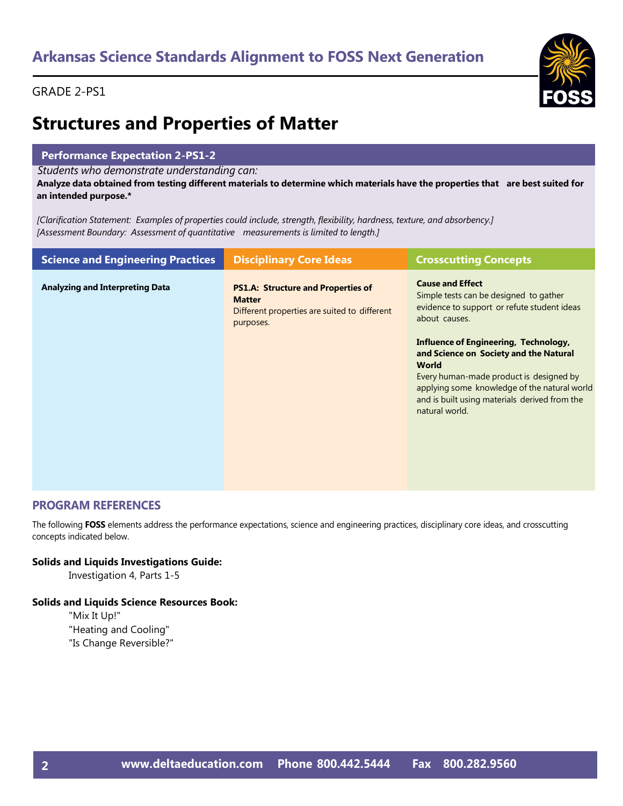

### **Structures and Properties of Matter**

#### **Performance Expectation 2-PS1-2**

*Students who demonstrate understanding can:*

Analyze data obtained from testing different materials to determine which materials have the properties that are best suited for **an intended purpose.\***

*[Clarification Statement: Examples of properties could include, strength, flexibility, hardness, texture, and absorbency.] [Assessment Boundary: Assessment of quantitative measurements is limited to length.]*

| <b>Science and Engineering Practices</b> | <b>Disciplinary Core Ideas</b>                                                                                          | <b>Crosscutting Concepts</b>                                                                                                                                                                                                                                         |
|------------------------------------------|-------------------------------------------------------------------------------------------------------------------------|----------------------------------------------------------------------------------------------------------------------------------------------------------------------------------------------------------------------------------------------------------------------|
| <b>Analyzing and Interpreting Data</b>   | <b>PS1.A: Structure and Properties of</b><br><b>Matter</b><br>Different properties are suited to different<br>purposes. | <b>Cause and Effect</b><br>Simple tests can be designed to gather<br>evidence to support or refute student ideas<br>about causes.                                                                                                                                    |
|                                          |                                                                                                                         | <b>Influence of Engineering, Technology,</b><br>and Science on Society and the Natural<br><b>World</b><br>Every human-made product is designed by<br>applying some knowledge of the natural world<br>and is built using materials derived from the<br>natural world. |

#### **PROGRAM REFERENCES**

The following **FOSS** elements address the performance expectations, science and engineering practices, disciplinary core ideas, and crosscutting concepts indicated below.

#### **Solids and Liquids Investigations Guide:**

Investigation 4, Parts 1-5

#### **Solids and Liquids Science Resources Book:**

"Mix It Up!" "Heating and Cooling" "Is Change Reversible?"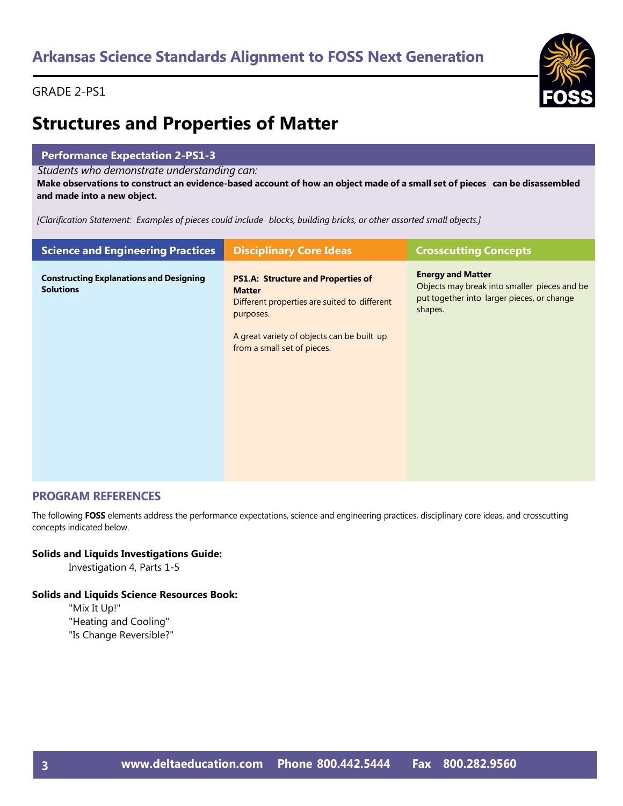

### **Structures and Properties of Matter**

#### **Performance Expectation 2-PS1-3**

*Students who demonstrate understanding can:*

Make observations to construct an evidence-based account of how an object made of a small set of pieces can be disassembled **and made into a new object.**

*[Clarification Statement: Examples of pieces could include blocks, building bricks, or other assorted small objects.]*

| <b>Science and Engineering Practices</b>                           | <b>Disciplinary Core Ideas</b>                                                                                                                                                                       | <b>Crosscutting Concepts</b>                                                                                                      |
|--------------------------------------------------------------------|------------------------------------------------------------------------------------------------------------------------------------------------------------------------------------------------------|-----------------------------------------------------------------------------------------------------------------------------------|
| <b>Constructing Explanations and Designing</b><br><b>Solutions</b> | <b>PS1.A: Structure and Properties of</b><br><b>Matter</b><br>Different properties are suited to different<br>purposes.<br>A great variety of objects can be built up<br>from a small set of pieces. | <b>Energy and Matter</b><br>Objects may break into smaller pieces and be<br>put together into larger pieces, or change<br>shapes. |

#### **PROGRAM REFERENCES**

The following **FOSS** elements address the performance expectations, science and engineering practices, disciplinary core ideas, and crosscutting concepts indicated below.

#### **Solids and Liquids Investigations Guide:**

Investigation 4, Parts 1-5

#### **Solids and Liquids Science Resources Book:**

"Mix It Up!" "Heating and Cooling" "Is Change Reversible?"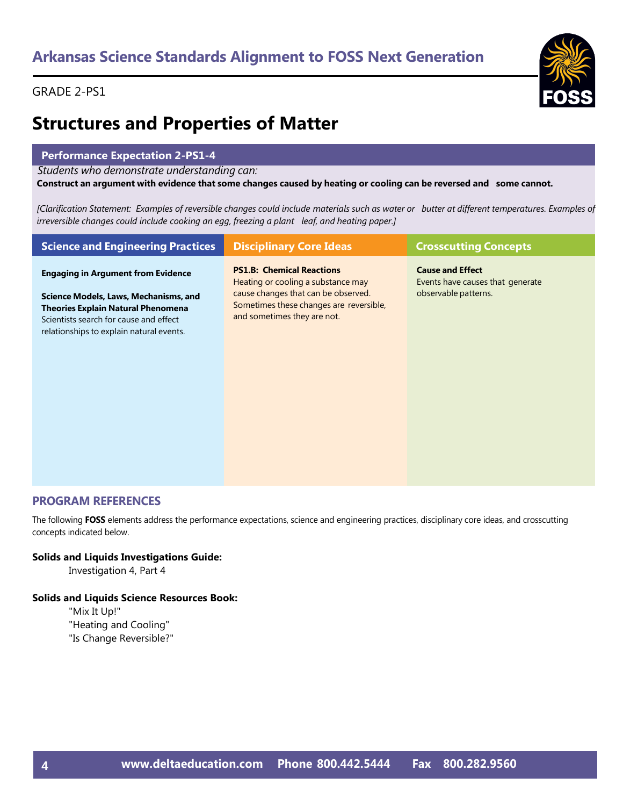

### **Structures and Properties of Matter**

#### **Performance Expectation 2-PS1-4**

*Students who demonstrate understanding can:*

Construct an argument with evidence that some changes caused by heating or cooling can be reversed and some cannot.

[Clarification Statement: Examples of reversible changes could include materials such as water or butter at different temperatures. Examples of *irreversible changes could include cooking an egg, freezing a plant leaf, and heating paper.]*

| <b>Science and Engineering Practices</b>                                                                                                                                                                              | <b>Disciplinary Core Ideas</b>                                                                                                                                                          | <b>Crosscutting Concepts</b>                                                        |
|-----------------------------------------------------------------------------------------------------------------------------------------------------------------------------------------------------------------------|-----------------------------------------------------------------------------------------------------------------------------------------------------------------------------------------|-------------------------------------------------------------------------------------|
| <b>Engaging in Argument from Evidence</b><br>Science Models, Laws, Mechanisms, and<br><b>Theories Explain Natural Phenomena</b><br>Scientists search for cause and effect<br>relationships to explain natural events. | <b>PS1.B: Chemical Reactions</b><br>Heating or cooling a substance may<br>cause changes that can be observed.<br>Sometimes these changes are reversible,<br>and sometimes they are not. | <b>Cause and Effect</b><br>Events have causes that generate<br>observable patterns. |

#### **PROGRAM REFERENCES**

The following **FOSS** elements address the performance expectations, science and engineering practices, disciplinary core ideas, and crosscutting concepts indicated below.

#### **Solids and Liquids Investigations Guide:**

Investigation 4, Part 4

#### **Solids and Liquids Science Resources Book:**

"Mix It Up!" "Heating and Cooling" "Is Change Reversible?"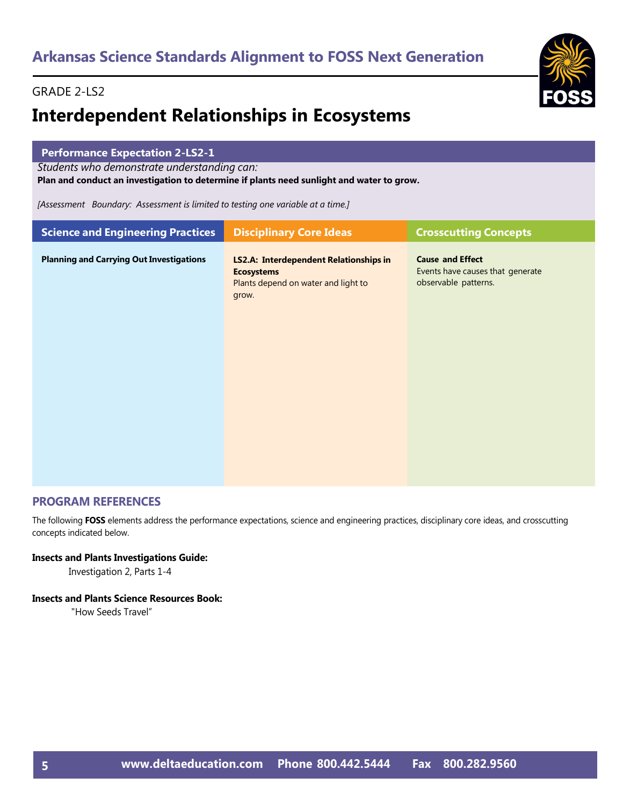#### GRADE 2-LS2

### **Interdependent Relationships in Ecosystems**



#### **PROGRAM REFERENCES**

The following **FOSS** elements address the performance expectations, science and engineering practices, disciplinary core ideas, and crosscutting concepts indicated below.

#### **Insects and Plants Investigations Guide:**

Investigation 2, Parts 1-4

#### **Insects and Plants Science Resources Book:**

"How Seeds Travel"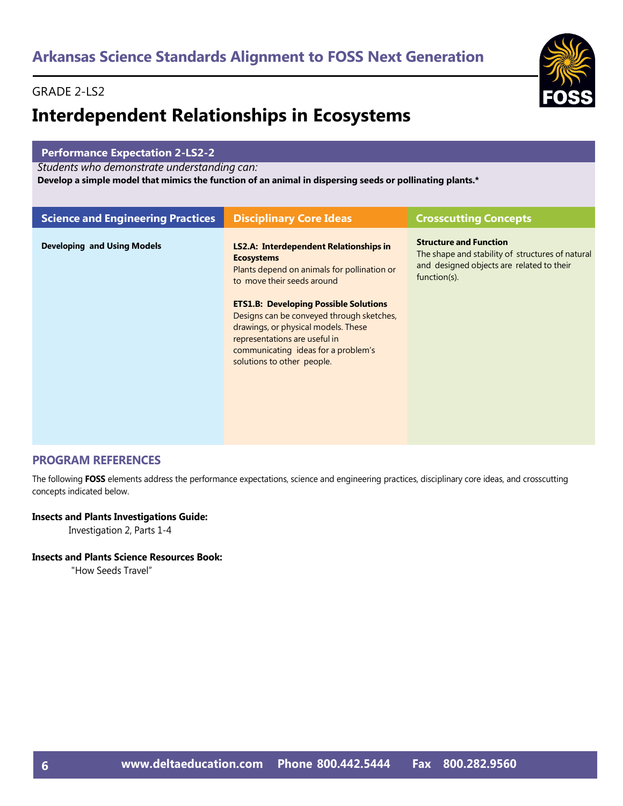#### GRADE 2-LS2

### **Interdependent Relationships in Ecosystems**



#### **Performance Expectation 2-LS2-2**

*Students who demonstrate understanding can:*

**Develop a simple model that mimics the function of an animal in dispersing seeds or pollinating plants.\***

| <b>Science and Engineering Practices</b> | <b>Disciplinary Core Ideas</b>                                                                                                                                                                                                                                                                                                                                                            | <b>Crosscutting Concepts</b>                                                                                                                   |
|------------------------------------------|-------------------------------------------------------------------------------------------------------------------------------------------------------------------------------------------------------------------------------------------------------------------------------------------------------------------------------------------------------------------------------------------|------------------------------------------------------------------------------------------------------------------------------------------------|
| <b>Developing and Using Models</b>       | <b>LS2.A: Interdependent Relationships in</b><br><b>Ecosystems</b><br>Plants depend on animals for pollination or<br>to move their seeds around<br><b>ETS1.B: Developing Possible Solutions</b><br>Designs can be conveyed through sketches,<br>drawings, or physical models. These<br>representations are useful in<br>communicating ideas for a problem's<br>solutions to other people. | <b>Structure and Function</b><br>The shape and stability of structures of natural<br>and designed objects are related to their<br>function(s). |
|                                          |                                                                                                                                                                                                                                                                                                                                                                                           |                                                                                                                                                |

#### **PROGRAM REFERENCES**

The following **FOSS** elements address the performance expectations, science and engineering practices, disciplinary core ideas, and crosscutting concepts indicated below.

#### **Insects and Plants Investigations Guide:**

Investigation 2, Parts 1-4

#### **Insects and Plants Science Resources Book:**

"How Seeds Travel"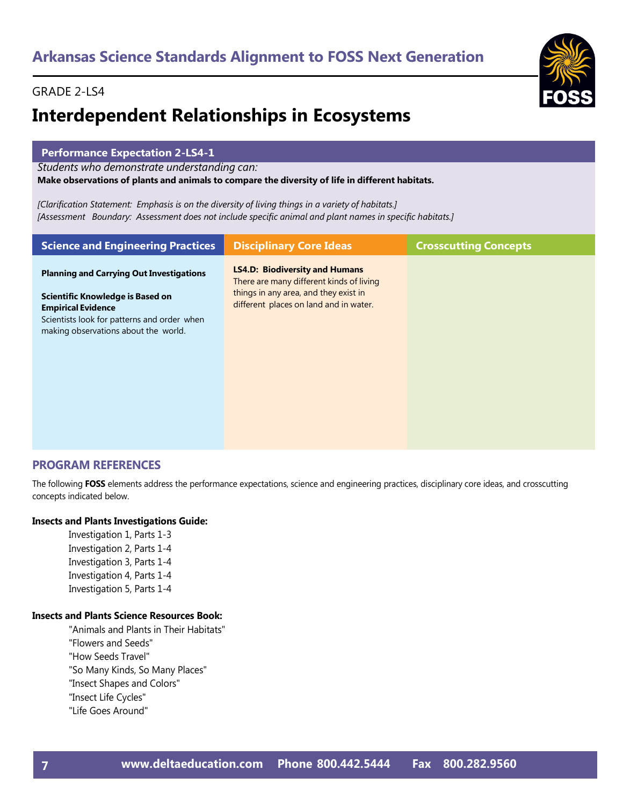### GRADE 2-LS4

## **Interdependent Relationships in Ecosystems**

#### **Performance Expectation 2-LS4-1**

*Students who demonstrate understanding can:*

#### **Make observations of plants and animals to compare the diversity of life in different habitats.**

*[Clarification Statement: Emphasis is on the diversity of living things in a variety of habitats.] [Assessment Boundary: Assessment does not include specific animal and plant names in specific habitats.]*

| <b>Science and Engineering Practices</b>                                                                                                                                                                | <b>Disciplinary Core Ideas</b>                                                                                                                                       | <b>Crosscutting Concepts</b> |
|---------------------------------------------------------------------------------------------------------------------------------------------------------------------------------------------------------|----------------------------------------------------------------------------------------------------------------------------------------------------------------------|------------------------------|
| <b>Planning and Carrying Out Investigations</b><br>Scientific Knowledge is Based on<br><b>Empirical Evidence</b><br>Scientists look for patterns and order when<br>making observations about the world. | <b>LS4.D: Biodiversity and Humans</b><br>There are many different kinds of living<br>things in any area, and they exist in<br>different places on land and in water. |                              |

#### **PROGRAM REFERENCES**

The following **FOSS** elements address the performance expectations, science and engineering practices, disciplinary core ideas, and crosscutting concepts indicated below.

#### **Insects and Plants Investigations Guide:**

Investigation 1, Parts 1-3 Investigation 2, Parts 1-4 Investigation 3, Parts 1-4 Investigation 4, Parts 1-4 Investigation 5, Parts 1-4

#### **Insects and Plants Science Resources Book:**

"Animals and Plants in Their Habitats" "Flowers and Seeds" "How Seeds Travel" "So Many Kinds, So Many Places" "Insect Shapes and Colors" "Insect Life Cycles" "Life Goes Around"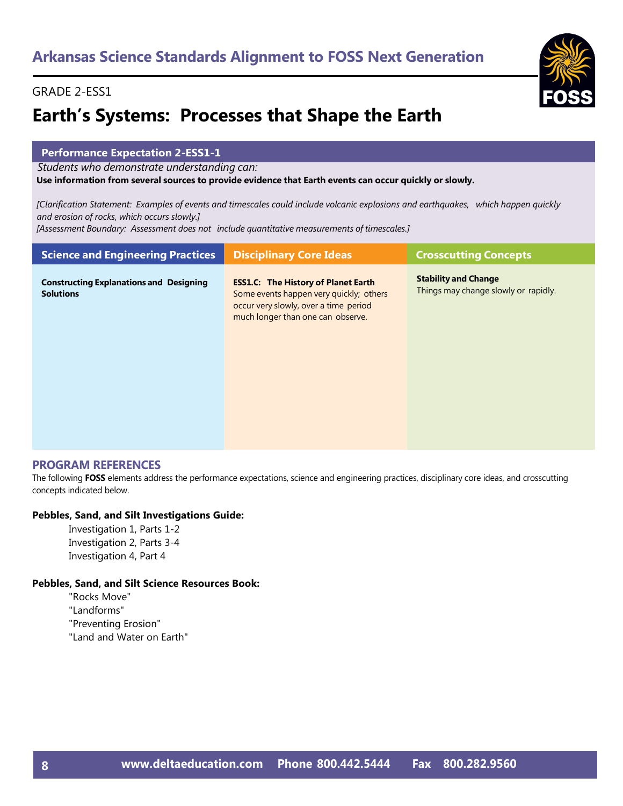## **Earth's Systems: Processes that Shape the Earth**

#### **Performance Expectation 2-ESS1-1**

*Students who demonstrate understanding can:*

#### **Use information from several sources to provide evidence that Earth events can occur quickly or slowly.**

[Clarification Statement: Examples of events and timescales could include volcanic explosions and earthquakes, which happen quickly *and erosion of rocks, which occurs slowly.]*

*[Assessment Boundary: Assessment does not include quantitative measurements of timescales.]*

| <b>Science and Engineering Practices</b>                           | <b>Disciplinary Core Ideas</b>                                                                                                                                      | <b>Crosscutting Concepts</b>                                        |
|--------------------------------------------------------------------|---------------------------------------------------------------------------------------------------------------------------------------------------------------------|---------------------------------------------------------------------|
| <b>Constructing Explanations and Designing</b><br><b>Solutions</b> | <b>ESS1.C: The History of Planet Earth</b><br>Some events happen very quickly; others<br>occur very slowly, over a time period<br>much longer than one can observe. | <b>Stability and Change</b><br>Things may change slowly or rapidly. |

#### **PROGRAM REFERENCES**

The following **FOSS** elements address the performance expectations, science and engineering practices, disciplinary core ideas, and crosscutting concepts indicated below.

#### **Pebbles, Sand, and Silt Investigations Guide:**

Investigation 1, Parts 1-2 Investigation 2, Parts 3-4 Investigation 4, Part 4

#### **Pebbles, Sand, and Silt Science Resources Book:**

"Rocks Move"

"Landforms"

"Preventing Erosion"

"Land and Water on Earth"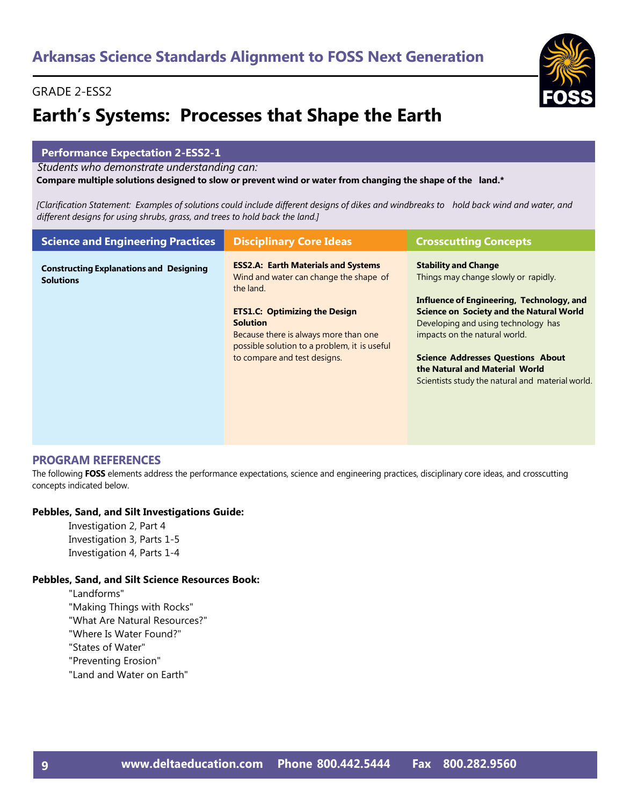## **Earth's Systems: Processes that Shape the Earth**

#### **Performance Expectation 2-ESS2-1**

*Students who demonstrate understanding can:*

Compare multiple solutions designed to slow or prevent wind or water from changing the shape of the land.\*

[Clarification Statement: Examples of solutions could include different designs of dikes and windbreaks to hold back wind and water, and *different designs for using shrubs, grass, and trees to hold back the land.]*

| <b>Science and Engineering Practices</b>                           | <b>Disciplinary Core Ideas</b>                                                                                                                                                                                                                                                        | <b>Crosscutting Concepts</b>                                                                                                                                                                                                                                                                                                                                                  |
|--------------------------------------------------------------------|---------------------------------------------------------------------------------------------------------------------------------------------------------------------------------------------------------------------------------------------------------------------------------------|-------------------------------------------------------------------------------------------------------------------------------------------------------------------------------------------------------------------------------------------------------------------------------------------------------------------------------------------------------------------------------|
| <b>Constructing Explanations and Designing</b><br><b>Solutions</b> | <b>ESS2.A: Earth Materials and Systems</b><br>Wind and water can change the shape of<br>the land.<br><b>ETS1.C: Optimizing the Design</b><br><b>Solution</b><br>Because there is always more than one<br>possible solution to a problem, it is useful<br>to compare and test designs. | <b>Stability and Change</b><br>Things may change slowly or rapidly.<br>Influence of Engineering, Technology, and<br><b>Science on Society and the Natural World</b><br>Developing and using technology has<br>impacts on the natural world.<br><b>Science Addresses Questions About</b><br>the Natural and Material World<br>Scientists study the natural and material world. |
|                                                                    |                                                                                                                                                                                                                                                                                       |                                                                                                                                                                                                                                                                                                                                                                               |

#### **PROGRAM REFERENCES**

The following **FOSS** elements address the performance expectations, science and engineering practices, disciplinary core ideas, and crosscutting concepts indicated below.

#### **Pebbles, Sand, and Silt Investigations Guide:**

Investigation 2, Part 4 Investigation 3, Parts 1-5 Investigation 4, Parts 1-4

#### **Pebbles, Sand, and Silt Science Resources Book:**

"Landforms" "Making Things with Rocks" "What Are Natural Resources?" "Where Is Water Found?" "States of Water" "Preventing Erosion" "Land and Water on Earth"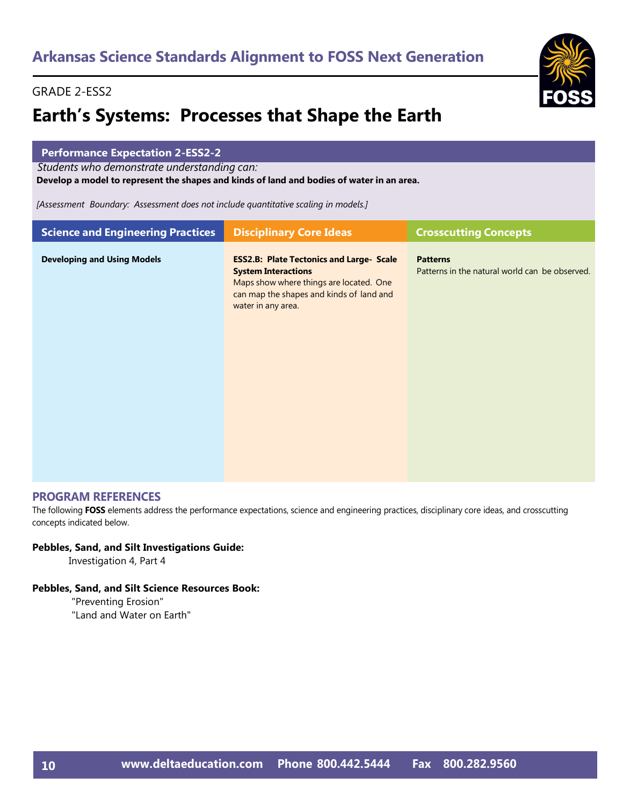### **Earth's Systems: Processes that Shape the Earth**

| <b>Performance Expectation 2-ESS2-2</b><br>Students who demonstrate understanding can:<br>Develop a model to represent the shapes and kinds of land and bodies of water in an area.<br>[Assessment Boundary: Assessment does not include quantitative scaling in models.] |                                                                                                                                                                                            |                                                                   |
|---------------------------------------------------------------------------------------------------------------------------------------------------------------------------------------------------------------------------------------------------------------------------|--------------------------------------------------------------------------------------------------------------------------------------------------------------------------------------------|-------------------------------------------------------------------|
| <b>Science and Engineering Practices</b><br><b>Disciplinary Core Ideas</b><br><b>Crosscutting Concepts</b>                                                                                                                                                                |                                                                                                                                                                                            |                                                                   |
| <b>Developing and Using Models</b>                                                                                                                                                                                                                                        | <b>ESS2.B: Plate Tectonics and Large- Scale</b><br><b>System Interactions</b><br>Maps show where things are located. One<br>can map the shapes and kinds of land and<br>water in any area. | <b>Patterns</b><br>Patterns in the natural world can be observed. |

#### **PROGRAM REFERENCES**

The following **FOSS** elements address the performance expectations, science and engineering practices, disciplinary core ideas, and crosscutting concepts indicated below.

#### **Pebbles, Sand, and Silt Investigations Guide:**

Investigation 4, Part 4

#### **Pebbles, Sand, and Silt Science Resources Book:**

"Preventing Erosion" "Land and Water on Earth"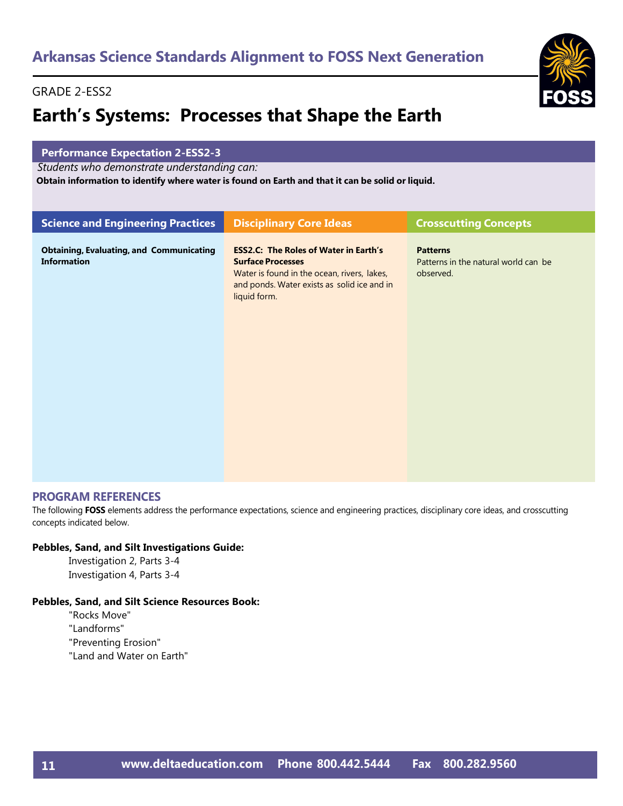## **Earth's Systems: Processes that Shape the Earth**

#### **Performance Expectation 2-ESS2-3**

*Students who demonstrate understanding can:*

**Obtain information to identify where water is found on Earth and that it can be solid or liquid.**

| <b>Science and Engineering Practices</b>                              | <b>Disciplinary Core Ideas</b>                                                                                                                                                         | <b>Crosscutting Concepts</b>                                         |
|-----------------------------------------------------------------------|----------------------------------------------------------------------------------------------------------------------------------------------------------------------------------------|----------------------------------------------------------------------|
| <b>Obtaining, Evaluating, and Communicating</b><br><b>Information</b> | <b>ESS2.C: The Roles of Water in Earth's</b><br><b>Surface Processes</b><br>Water is found in the ocean, rivers, lakes,<br>and ponds. Water exists as solid ice and in<br>liquid form. | <b>Patterns</b><br>Patterns in the natural world can be<br>observed. |
|                                                                       |                                                                                                                                                                                        |                                                                      |

#### **PROGRAM REFERENCES**

The following **FOSS** elements address the performance expectations, science and engineering practices, disciplinary core ideas, and crosscutting concepts indicated below.

#### **Pebbles, Sand, and Silt Investigations Guide:**

Investigation 2, Parts 3-4 Investigation 4, Parts 3-4

#### **Pebbles, Sand, and Silt Science Resources Book:**

"Rocks Move"

"Landforms"

"Preventing Erosion"

"Land and Water on Earth"

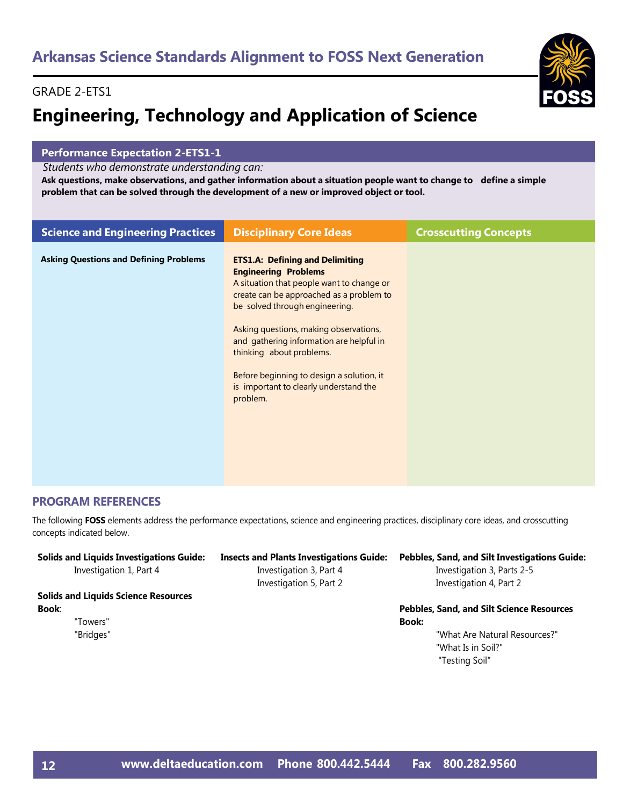## GRADE 2-ETS1

# **Engineering, Technology and Application of Science**



## **Performance Expectation 2-ETS1-1**

*Students who demonstrate understanding can:*

Ask questions, make observations, and gather information about a situation people want to change to define a simple **problem that can be solved through the development of a new or improved object or tool.**

| <b>Science and Engineering Practices</b>      | <b>Disciplinary Core Ideas</b>                                                                                                                                                                                                                                                                                                                                                                                        | <b>Crosscutting Concepts</b> |
|-----------------------------------------------|-----------------------------------------------------------------------------------------------------------------------------------------------------------------------------------------------------------------------------------------------------------------------------------------------------------------------------------------------------------------------------------------------------------------------|------------------------------|
| <b>Asking Questions and Defining Problems</b> | <b>ETS1.A: Defining and Delimiting</b><br><b>Engineering Problems</b><br>A situation that people want to change or<br>create can be approached as a problem to<br>be solved through engineering.<br>Asking questions, making observations,<br>and gathering information are helpful in<br>thinking about problems.<br>Before beginning to design a solution, it<br>is important to clearly understand the<br>problem. |                              |

## **PROGRAM REFERENCES**

The following **FOSS** elements address the performance expectations, science and engineering practices, disciplinary core ideas, and crosscutting concepts indicated below.

| <b>Solids and Liquids Investigations Guide:</b><br>Investigation 1, Part 4 | <b>Insects and Plants Investigations Guide:</b><br>Investigation 3, Part 4<br>Investigation 5, Part 2 | Pebbles, Sand, and Silt Investigations Guide:<br>Investigation 3, Parts 2-5<br>Investigation 4, Part 2 |
|----------------------------------------------------------------------------|-------------------------------------------------------------------------------------------------------|--------------------------------------------------------------------------------------------------------|
| <b>Solids and Liquids Science Resources</b>                                |                                                                                                       |                                                                                                        |
| Book:                                                                      |                                                                                                       | Pebbles, Sand, and Silt Science Resources                                                              |
| "Towers"                                                                   |                                                                                                       | <b>Book:</b>                                                                                           |
| "Bridges"                                                                  |                                                                                                       | "What Are Natural Resources?"                                                                          |
|                                                                            |                                                                                                       | "What Is in Soil?"                                                                                     |
|                                                                            |                                                                                                       | "Testing Soil"                                                                                         |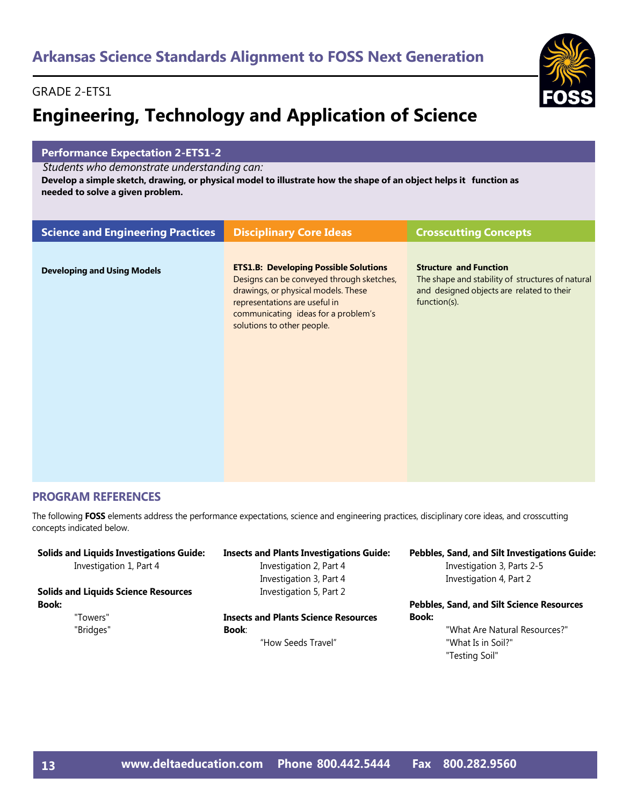## GRADE 2-ETS1

# **Engineering, Technology and Application of Science**



## **Performance Expectation 2-ETS1-2**

*Students who demonstrate understanding can:*

Develop a simple sketch, drawing, or physical model to illustrate how the shape of an object helps it function as **needed to solve a given problem.**

| <b>Science and Engineering Practices</b> | <b>Disciplinary Core Ideas</b>                                                                                                                                                                                                         | <b>Crosscutting Concepts</b>                                                                                                                   |
|------------------------------------------|----------------------------------------------------------------------------------------------------------------------------------------------------------------------------------------------------------------------------------------|------------------------------------------------------------------------------------------------------------------------------------------------|
| <b>Developing and Using Models</b>       | <b>ETS1.B: Developing Possible Solutions</b><br>Designs can be conveyed through sketches,<br>drawings, or physical models. These<br>representations are useful in<br>communicating ideas for a problem's<br>solutions to other people. | <b>Structure and Function</b><br>The shape and stability of structures of natural<br>and designed objects are related to their<br>function(s). |
|                                          |                                                                                                                                                                                                                                        |                                                                                                                                                |
|                                          |                                                                                                                                                                                                                                        |                                                                                                                                                |

## **PROGRAM REFERENCES**

The following **FOSS** elements address the performance expectations, science and engineering practices, disciplinary core ideas, and crosscutting concepts indicated below.

| <b>Solids and Liquids Investigations Guide:</b> | <b>Insects and Plants Investigations Guide:</b> | Pebbles, Sand, and Silt Investigations Guide:    |
|-------------------------------------------------|-------------------------------------------------|--------------------------------------------------|
| Investigation 1, Part 4                         | Investigation 2, Part 4                         | Investigation 3, Parts 2-5                       |
|                                                 | Investigation 3, Part 4                         | Investigation 4, Part 2                          |
| <b>Solids and Liquids Science Resources</b>     | Investigation 5, Part 2                         |                                                  |
| <b>Book:</b>                                    |                                                 | <b>Pebbles, Sand, and Silt Science Resources</b> |
| "Towers"                                        | <b>Insects and Plants Science Resources</b>     | Book:                                            |
| "Bridges"                                       | <b>Book:</b>                                    | "What Are Natural Resources?"                    |
|                                                 | "How Seeds Travel"                              | "What Is in Soil?"                               |
|                                                 |                                                 | "Testing Soil"                                   |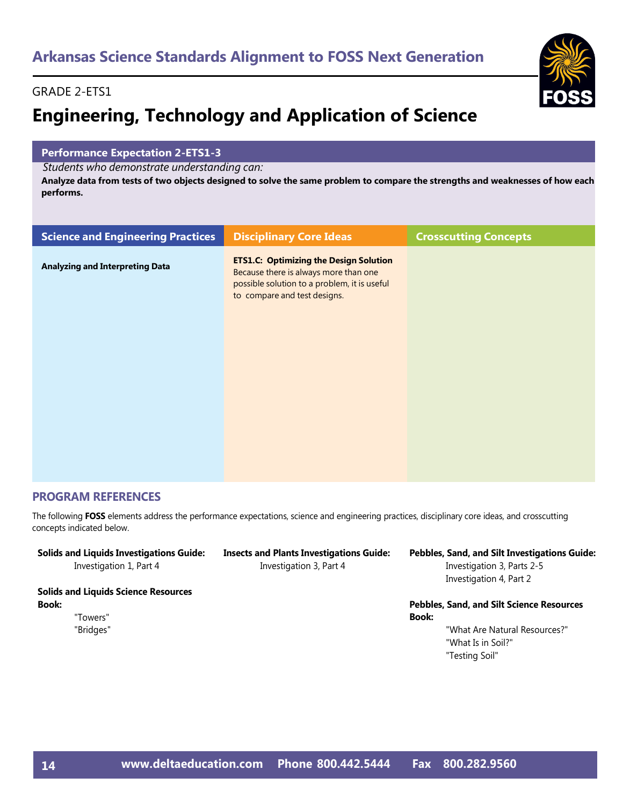## GRADE 2-ETS1

# **Engineering, Technology and Application of Science**

## **Performance Expectation 2-ETS1-3**

*Students who demonstrate understanding can:*

Analyze data from tests of two objects designed to solve the same problem to compare the strengths and weaknesses of how each **performs.**

| <b>Science and Engineering Practices</b> | <b>Disciplinary Core Ideas</b>                                                                                                                                         | <b>Crosscutting Concepts</b> |
|------------------------------------------|------------------------------------------------------------------------------------------------------------------------------------------------------------------------|------------------------------|
| <b>Analyzing and Interpreting Data</b>   | <b>ETS1.C: Optimizing the Design Solution</b><br>Because there is always more than one<br>possible solution to a problem, it is useful<br>to compare and test designs. |                              |
|                                          |                                                                                                                                                                        |                              |

## **PROGRAM REFERENCES**

The following **FOSS** elements address the performance expectations, science and engineering practices, disciplinary core ideas, and crosscutting concepts indicated below.

| <b>Solids and Liquids Investigations Guide:</b> | <b>Insects and Plants Investigations Guide:</b> | Pebbles, Sand, and Silt Investigations Guide:    |
|-------------------------------------------------|-------------------------------------------------|--------------------------------------------------|
| Investigation 1, Part 4                         | Investigation 3, Part 4                         | Investigation 3, Parts 2-5                       |
|                                                 |                                                 | Investigation 4, Part 2                          |
| <b>Solids and Liquids Science Resources</b>     |                                                 |                                                  |
| <b>Book:</b>                                    |                                                 | <b>Pebbles, Sand, and Silt Science Resources</b> |
| "Towers"                                        |                                                 | Book:                                            |
| "Bridges"                                       |                                                 | "What Are Natural Resources?"                    |
|                                                 |                                                 | "What Is in Soil?"                               |

"Testing Soil"

**[www.deltaeducation.com](http://www.deltaeducation.com/) Phone 800.442.5444 Fax 800.282.9560**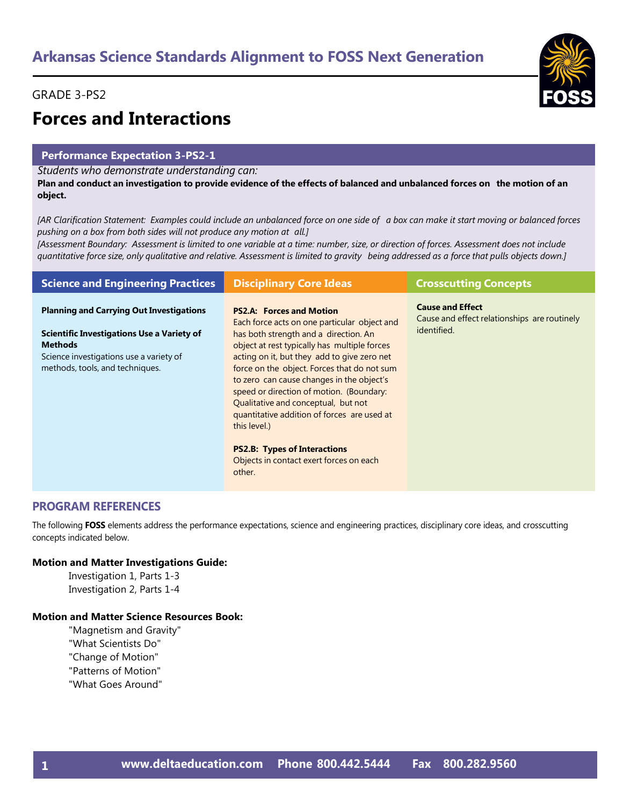## GRADE 3-PS2



## **Forces and Interactions**

## **Performance Expectation 3-PS2-1**

*Students who demonstrate understanding can:*

Plan and conduct an investigation to provide evidence of the effects of balanced and unbalanced forces on the motion of an **object.**

[AR Clarification Statement: Examples could include an unbalanced force on one side of a box can make it start moving or balanced forces *pushing on a box from both sides will not produce any motion at all.]*

[Assessment Boundary: Assessment is limited to one variable at a time: number, size, or direction of forces. Assessment does not include quantitative force size, only qualitative and relative. Assessment is limited to gravity being addressed as a force that pulls objects down.]

| <b>Science and Engineering Practices</b>                                                                                                                                                             | <b>Disciplinary Core Ideas</b>                                                                                                                                                                                                                                                                                                                                                                                                                                                                                                                                    | <b>Crosscutting Concepts</b>                                                           |
|------------------------------------------------------------------------------------------------------------------------------------------------------------------------------------------------------|-------------------------------------------------------------------------------------------------------------------------------------------------------------------------------------------------------------------------------------------------------------------------------------------------------------------------------------------------------------------------------------------------------------------------------------------------------------------------------------------------------------------------------------------------------------------|----------------------------------------------------------------------------------------|
| <b>Planning and Carrying Out Investigations</b><br><b>Scientific Investigations Use a Variety of</b><br><b>Methods</b><br>Science investigations use a variety of<br>methods, tools, and techniques. | <b>PS2.A: Forces and Motion</b><br>Each force acts on one particular object and<br>has both strength and a direction. An<br>object at rest typically has multiple forces<br>acting on it, but they add to give zero net<br>force on the object. Forces that do not sum<br>to zero can cause changes in the object's<br>speed or direction of motion. (Boundary:<br>Qualitative and conceptual, but not<br>quantitative addition of forces are used at<br>this level.)<br><b>PS2.B: Types of Interactions</b><br>Objects in contact exert forces on each<br>other. | <b>Cause and Effect</b><br>Cause and effect relationships are routinely<br>identified. |

## **PROGRAM REFERENCES**

The following **FOSS** elements address the performance expectations, science and engineering practices, disciplinary core ideas, and crosscutting concepts indicated below.

### **Motion and Matter Investigations Guide:**

Investigation 1, Parts 1-3 Investigation 2, Parts 1-4

## **Motion and Matter Science Resources Book:**

"Magnetism and Gravity" "What Scientists Do" "Change of Motion" "Patterns of Motion" "What Goes Around"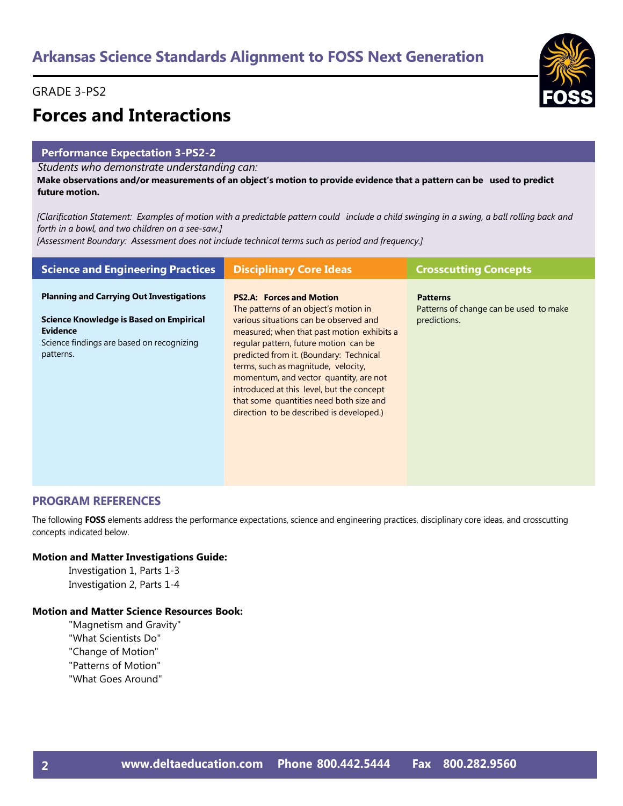## GRADE 3-PS2



# **Forces and Interactions**

## **Performance Expectation 3-PS2-2**

*Students who demonstrate understanding can:*

Make observations and/or measurements of an object's motion to provide evidence that a pattern can be used to predict **future motion.**

[Clarification Statement: Examples of motion with a predictable pattern could include a child swinging in a swing, a ball rolling back and *forth in a bowl, and two children on a see-saw.]*

*[Assessment Boundary: Assessment does not include technical terms such as period and frequency.]*

| <b>Science and Engineering Practices</b>                                                                                                                                       | <b>Disciplinary Core Ideas</b>                                                                                                                                                                                                                                                                                                                                                                                                | <b>Crosscutting Concepts</b>                                              |
|--------------------------------------------------------------------------------------------------------------------------------------------------------------------------------|-------------------------------------------------------------------------------------------------------------------------------------------------------------------------------------------------------------------------------------------------------------------------------------------------------------------------------------------------------------------------------------------------------------------------------|---------------------------------------------------------------------------|
| <b>Planning and Carrying Out Investigations</b><br><b>Science Knowledge is Based on Empirical</b><br><b>Evidence</b><br>Science findings are based on recognizing<br>patterns. | <b>PS2.A: Forces and Motion</b><br>The patterns of an object's motion in<br>various situations can be observed and<br>measured; when that past motion exhibits a<br>regular pattern, future motion can be<br>predicted from it. (Boundary: Technical<br>terms, such as magnitude, velocity,<br>momentum, and vector quantity, are not<br>introduced at this level, but the concept<br>that some quantities need both size and | <b>Patterns</b><br>Patterns of change can be used to make<br>predictions. |
|                                                                                                                                                                                | direction to be described is developed.)                                                                                                                                                                                                                                                                                                                                                                                      |                                                                           |

## **PROGRAM REFERENCES**

The following **FOSS** elements address the performance expectations, science and engineering practices, disciplinary core ideas, and crosscutting concepts indicated below.

## **Motion and Matter Investigations Guide:**

Investigation 1, Parts 1-3 Investigation 2, Parts 1-4

## **Motion and Matter Science Resources Book:**

"Magnetism and Gravity" "What Scientists Do" "Change of Motion" "Patterns of Motion" "What Goes Around"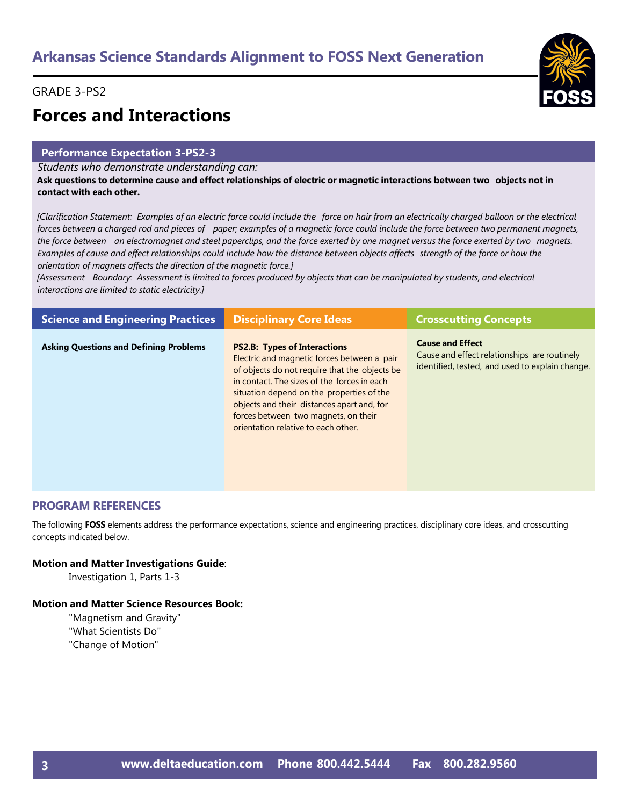## GRADE 3-PS2



# **Forces and Interactions**

## **Performance Expectation 3-PS2-3**

*Students who demonstrate understanding can:*

Ask questions to determine cause and effect relationships of electric or magnetic interactions between two objects not in **contact with each other.**

[Clarification Statement: Examples of an electric force could include the force on hair from an electrically charged balloon or the electrical forces between a charged rod and pieces of paper; examples of a magnetic force could include the force between two permanent magnets, the force between an electromagnet and steel paperclips, and the force exerted by one magnet versus the force exerted by two magnets. Examples of cause and effect relationships could include how the distance between objects affects strength of the force or how the *orientation of magnets affects the direction of the magnetic force.]*

[Assessment Boundary: Assessment is limited to forces produced by objects that can be manipulated by students, and electrical *interactions are limited to static electricity.]*

| <b>Science and Engineering Practices</b>      | <b>Disciplinary Core Ideas</b>                                                                                                                                                                                                                                                                                                                               | <b>Crosscutting Concepts</b>                                                                                               |
|-----------------------------------------------|--------------------------------------------------------------------------------------------------------------------------------------------------------------------------------------------------------------------------------------------------------------------------------------------------------------------------------------------------------------|----------------------------------------------------------------------------------------------------------------------------|
| <b>Asking Questions and Defining Problems</b> | <b>PS2.B: Types of Interactions</b><br>Electric and magnetic forces between a pair<br>of objects do not require that the objects be<br>in contact. The sizes of the forces in each<br>situation depend on the properties of the<br>objects and their distances apart and, for<br>forces between two magnets, on their<br>orientation relative to each other. | <b>Cause and Effect</b><br>Cause and effect relationships are routinely<br>identified, tested, and used to explain change. |

## **PROGRAM REFERENCES**

The following **FOSS** elements address the performance expectations, science and engineering practices, disciplinary core ideas, and crosscutting concepts indicated below.

## **Motion and Matter Investigations Guide**:

Investigation 1, Parts 1-3

## **Motion and Matter Science Resources Book:**

"Magnetism and Gravity" "What Scientists Do" "Change of Motion"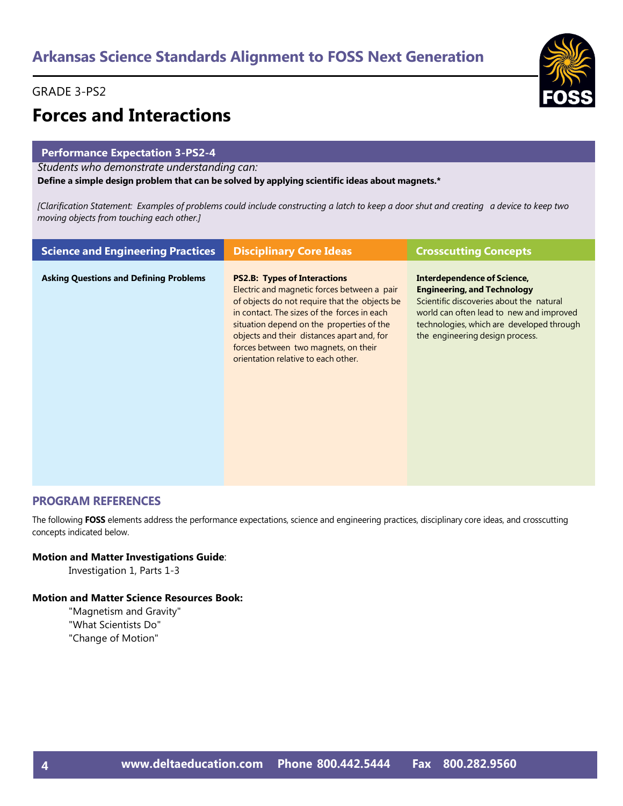## GRADE 3-PS2



# **Forces and Interactions**

## **Performance Expectation 3-PS2-4**

*Students who demonstrate understanding can:*

**Define a simple design problem that can be solved by applying scientific ideas about magnets.\***

[Clarification Statement: Examples of problems could include constructing a latch to keep a door shut and creating a device to keep two *moving objects from touching each other.]*

| <b>Science and Engineering Practices</b>      | <b>Disciplinary Core Ideas</b>                                                                                                                                                                                                                                                                                                                               | <b>Crosscutting Concepts</b>                                                                                                                                                                                                                     |
|-----------------------------------------------|--------------------------------------------------------------------------------------------------------------------------------------------------------------------------------------------------------------------------------------------------------------------------------------------------------------------------------------------------------------|--------------------------------------------------------------------------------------------------------------------------------------------------------------------------------------------------------------------------------------------------|
| <b>Asking Questions and Defining Problems</b> | <b>PS2.B: Types of Interactions</b><br>Electric and magnetic forces between a pair<br>of objects do not require that the objects be<br>in contact. The sizes of the forces in each<br>situation depend on the properties of the<br>objects and their distances apart and, for<br>forces between two magnets, on their<br>orientation relative to each other. | <b>Interdependence of Science,</b><br><b>Engineering, and Technology</b><br>Scientific discoveries about the natural<br>world can often lead to new and improved<br>technologies, which are developed through<br>the engineering design process. |

## **PROGRAM REFERENCES**

The following **FOSS** elements address the performance expectations, science and engineering practices, disciplinary core ideas, and crosscutting concepts indicated below.

## **Motion and Matter Investigations Guide**:

Investigation 1, Parts 1-3

## **Motion and Matter Science Resources Book:**

"Magnetism and Gravity" "What Scientists Do" "Change of Motion"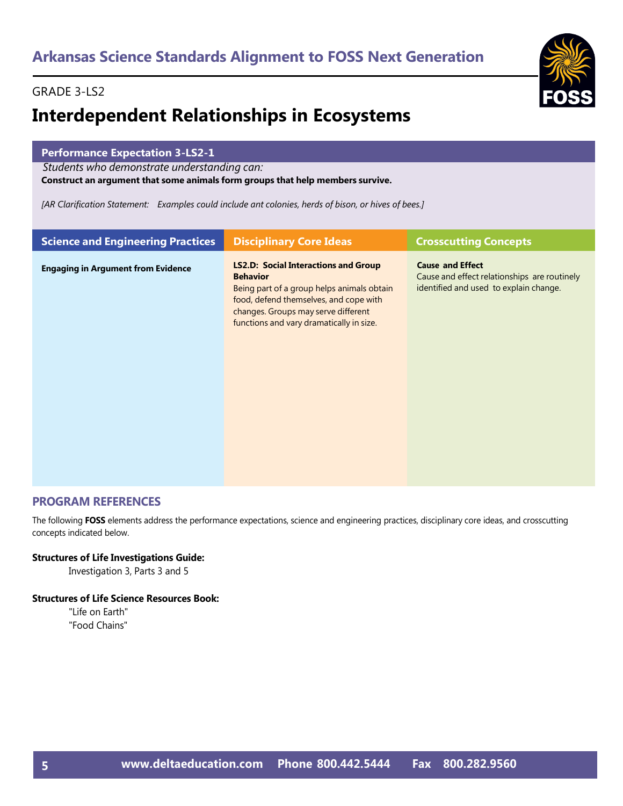## GRADE 3-LS2

# **Interdependent Relationships in Ecosystems**

|  | <b>Performance Expectation 3-LS2-1</b><br>Students who demonstrate understanding can:                |  |
|--|------------------------------------------------------------------------------------------------------|--|
|  |                                                                                                      |  |
|  | Construct an argument that some animals form groups that help members survive.                       |  |
|  | [AR Clarification Statement: Examples could include ant colonies, herds of bison, or hives of bees.] |  |
|  |                                                                                                      |  |

| <b>Science and Engineering Practices</b>  | <b>Disciplinary Core Ideas</b>                                                                                                                                                                                                            | <b>Crosscutting Concepts</b>                                                                                      |
|-------------------------------------------|-------------------------------------------------------------------------------------------------------------------------------------------------------------------------------------------------------------------------------------------|-------------------------------------------------------------------------------------------------------------------|
| <b>Engaging in Argument from Evidence</b> | <b>LS2.D: Social Interactions and Group</b><br><b>Behavior</b><br>Being part of a group helps animals obtain<br>food, defend themselves, and cope with<br>changes. Groups may serve different<br>functions and vary dramatically in size. | <b>Cause and Effect</b><br>Cause and effect relationships are routinely<br>identified and used to explain change. |

## **PROGRAM REFERENCES**

The following **FOSS** elements address the performance expectations, science and engineering practices, disciplinary core ideas, and crosscutting concepts indicated below.

## **Structures of Life Investigations Guide:**

Investigation 3, Parts 3 and 5

## **Structures of Life Science Resources Book:**

"Life on Earth" "Food Chains"

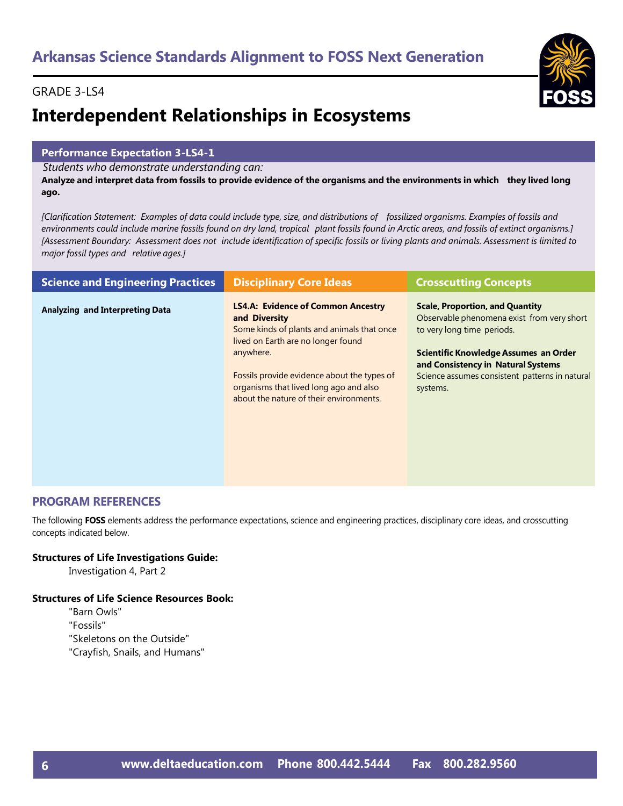# **Interdependent Relationships in Ecosystems**

## **Performance Expectation 3-LS4-1**

*Students who demonstrate understanding can:*

Analyze and interpret data from fossils to provide evidence of the organisms and the environments in which they lived long **ago.**

[Clarification Statement: Examples of data could include type, size, and distributions of fossilized organisms. Examples of fossils and environments could include marine fossils found on dry land, tropical plant fossils found in Arctic areas, and fossils of extinct organisms.] [Assessment Boundary: Assessment does not include identification of specific fossils or living plants and animals. Assessment is limited to *major fossil types and relative ages.]*

| <b>Science and Engineering Practices</b> | <b>Disciplinary Core Ideas</b>                                                                                                                 | <b>Crosscutting Concepts</b>                                                                                                              |
|------------------------------------------|------------------------------------------------------------------------------------------------------------------------------------------------|-------------------------------------------------------------------------------------------------------------------------------------------|
| <b>Analyzing and Interpreting Data</b>   | <b>LS4.A: Evidence of Common Ancestry</b><br>and Diversity<br>Some kinds of plants and animals that once<br>lived on Earth are no longer found | <b>Scale, Proportion, and Quantity</b><br>Observable phenomena exist from very short<br>to very long time periods.                        |
|                                          | anywhere.<br>Fossils provide evidence about the types of<br>organisms that lived long ago and also<br>about the nature of their environments.  | Scientific Knowledge Assumes an Order<br>and Consistency in Natural Systems<br>Science assumes consistent patterns in natural<br>systems. |

## **PROGRAM REFERENCES**

The following **FOSS** elements address the performance expectations, science and engineering practices, disciplinary core ideas, and crosscutting concepts indicated below.

## **Structures of Life Investigations Guide:**

Investigation 4, Part 2

## **Structures of Life Science Resources Book:**

- "Barn Owls"
- "Fossils"
- "Skeletons on the Outside"
- "Crayfish, Snails, and Humans"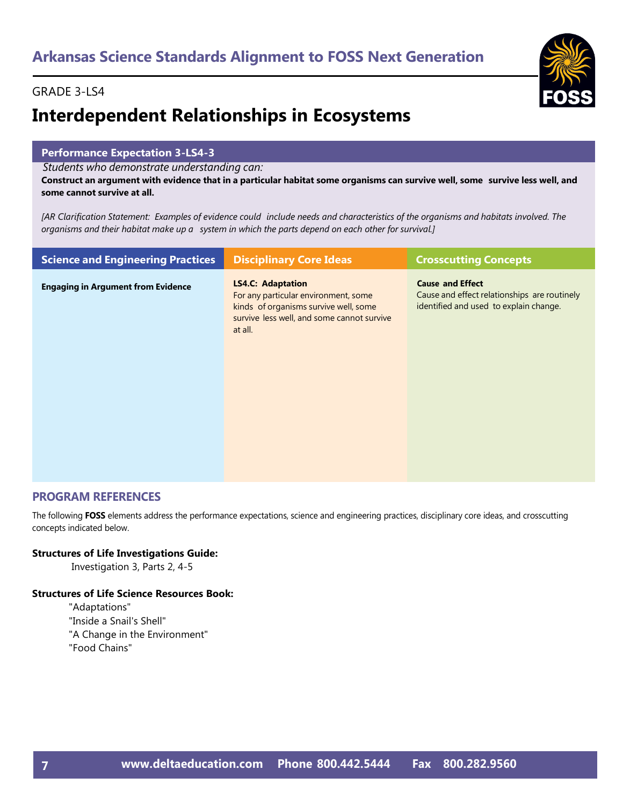# **Interdependent Relationships in Ecosystems**

## **Performance Expectation 3-LS4-3**

*Students who demonstrate understanding can:*

Construct an argument with evidence that in a particular habitat some organisms can survive well, some survive less well, and **some cannot survive at all.**

[AR Clarification Statement: Examples of evidence could include needs and characteristics of the organisms and habitats involved. The *organisms and their habitat make up a system in which the parts depend on each other for survival.]*

| <b>Science and Engineering Practices</b>  | <b>Disciplinary Core Ideas</b>                                                                                                                                     | <b>Crosscutting Concepts</b>                                                                                      |
|-------------------------------------------|--------------------------------------------------------------------------------------------------------------------------------------------------------------------|-------------------------------------------------------------------------------------------------------------------|
| <b>Engaging in Argument from Evidence</b> | <b>LS4.C: Adaptation</b><br>For any particular environment, some<br>kinds of organisms survive well, some<br>survive less well, and some cannot survive<br>at all. | <b>Cause and Effect</b><br>Cause and effect relationships are routinely<br>identified and used to explain change. |

## **PROGRAM REFERENCES**

The following **FOSS** elements address the performance expectations, science and engineering practices, disciplinary core ideas, and crosscutting concepts indicated below.

## **Structures of Life Investigations Guide:**

Investigation 3, Parts 2, 4-5

## **Structures of Life Science Resources Book:**

"Adaptations" "Inside a Snail's Shell" "A Change in the Environment" "Food Chains"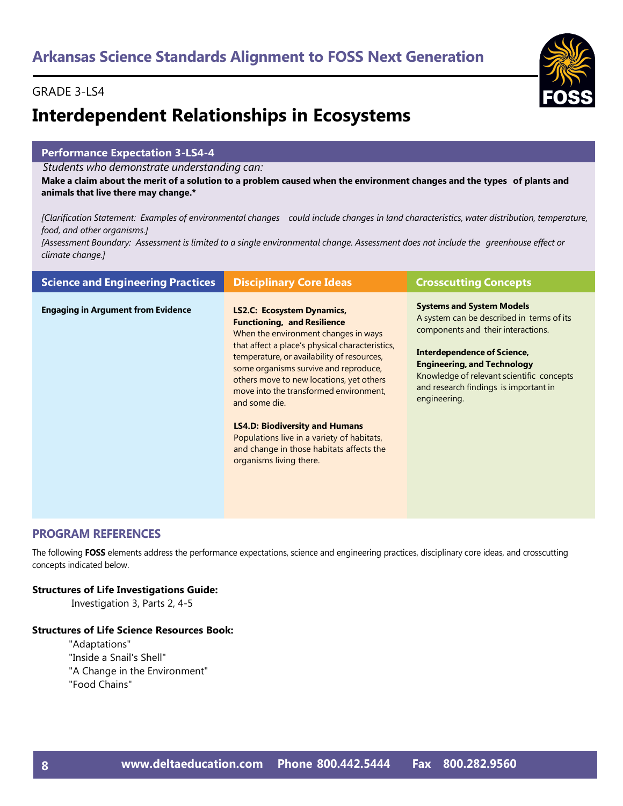## GRADE 3-LS4

# **Interdependent Relationships in Ecosystems**

## **Performance Expectation 3-LS4-4**

*Students who demonstrate understanding can:*

Make a claim about the merit of a solution to a problem caused when the environment changes and the types of plants and **animals that live there may change.\***

[Clarification Statement: Examples of environmental changes could include changes in land characteristics, water distribution, temperature, *food, and other organisms.]*

[Assessment Boundary: Assessment is limited to a single environmental change. Assessment does not include the greenhouse effect or *climate change.]*

| <b>Science and Engineering Practices</b>  | <b>Disciplinary Core Ideas</b>                                                                                                                                                                                                                                                                                                                                                                                                                                                                                                 | <b>Crosscutting Concepts</b>                                                                                                                                                                                                                                                                   |
|-------------------------------------------|--------------------------------------------------------------------------------------------------------------------------------------------------------------------------------------------------------------------------------------------------------------------------------------------------------------------------------------------------------------------------------------------------------------------------------------------------------------------------------------------------------------------------------|------------------------------------------------------------------------------------------------------------------------------------------------------------------------------------------------------------------------------------------------------------------------------------------------|
| <b>Engaging in Argument from Evidence</b> | <b>LS2.C: Ecosystem Dynamics,</b><br><b>Functioning, and Resilience</b><br>When the environment changes in ways<br>that affect a place's physical characteristics,<br>temperature, or availability of resources,<br>some organisms survive and reproduce,<br>others move to new locations, yet others<br>move into the transformed environment,<br>and some die.<br><b>LS4.D: Biodiversity and Humans</b><br>Populations live in a variety of habitats,<br>and change in those habitats affects the<br>organisms living there. | <b>Systems and System Models</b><br>A system can be described in terms of its<br>components and their interactions.<br>Interdependence of Science,<br><b>Engineering, and Technology</b><br>Knowledge of relevant scientific concepts<br>and research findings is important in<br>engineering. |

## **PROGRAM REFERENCES**

The following **FOSS** elements address the performance expectations, science and engineering practices, disciplinary core ideas, and crosscutting concepts indicated below.

## **Structures of Life Investigations Guide:**

Investigation 3, Parts 2, 4-5

## **Structures of Life Science Resources Book:**

"Adaptations" "Inside a Snail's Shell" "A Change in the Environment" "Food Chains"

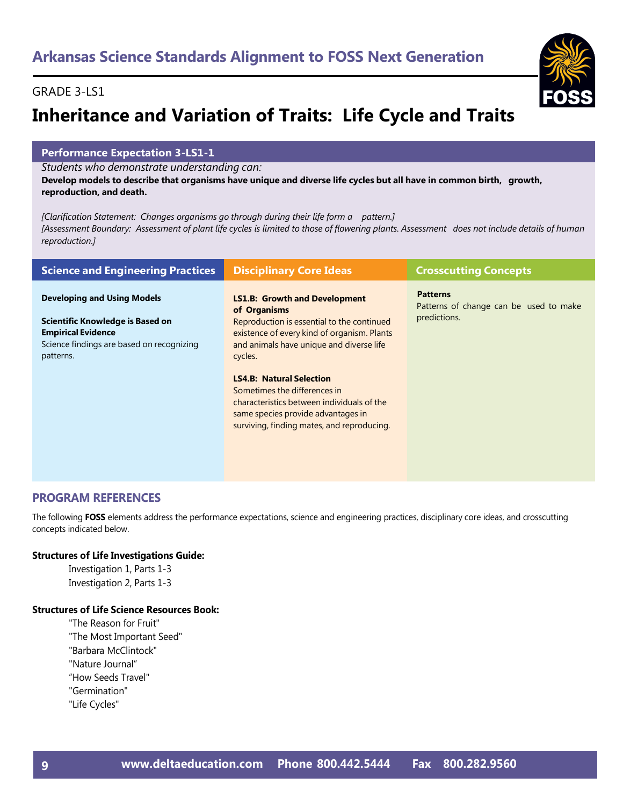# **Inheritance and Variation of Traits: Life Cycle and Traits**

## **Performance Expectation 3-LS1-1**

*Students who demonstrate understanding can:*

Develop models to describe that organisms have unique and diverse life cycles but all have in common birth, growth, **reproduction, and death.**

*[Clarification Statement: Changes organisms go through during their life form a pattern.]* [Assessment Boundary: Assessment of plant life cycles is limited to those of flowering plants. Assessment does not include details of human *reproduction.]*

| <b>Science and Engineering Practices</b>                                                                                                                      | <b>Disciplinary Core Ideas</b>                                                                                                                                                                           | <b>Crosscutting Concepts</b>                                              |
|---------------------------------------------------------------------------------------------------------------------------------------------------------------|----------------------------------------------------------------------------------------------------------------------------------------------------------------------------------------------------------|---------------------------------------------------------------------------|
| <b>Developing and Using Models</b><br>Scientific Knowledge is Based on<br><b>Empirical Evidence</b><br>Science findings are based on recognizing<br>patterns. | <b>LS1.B: Growth and Development</b><br>of Organisms<br>Reproduction is essential to the continued<br>existence of every kind of organism. Plants<br>and animals have unique and diverse life<br>cycles. | <b>Patterns</b><br>Patterns of change can be used to make<br>predictions. |
|                                                                                                                                                               | <b>LS4.B: Natural Selection</b><br>Sometimes the differences in<br>characteristics between individuals of the<br>same species provide advantages in<br>surviving, finding mates, and reproducing.        |                                                                           |

## **PROGRAM REFERENCES**

The following **FOSS** elements address the performance expectations, science and engineering practices, disciplinary core ideas, and crosscutting concepts indicated below.

## **Structures of Life Investigations Guide:**

Investigation 1, Parts 1-3 Investigation 2, Parts 1-3

## **Structures of Life Science Resources Book:**

- "The Reason for Fruit"
- "The Most Important Seed"
- "Barbara McClintock"
- "Nature Journal"
- "How Seeds Travel"
- "Germination"
- "Life Cycles"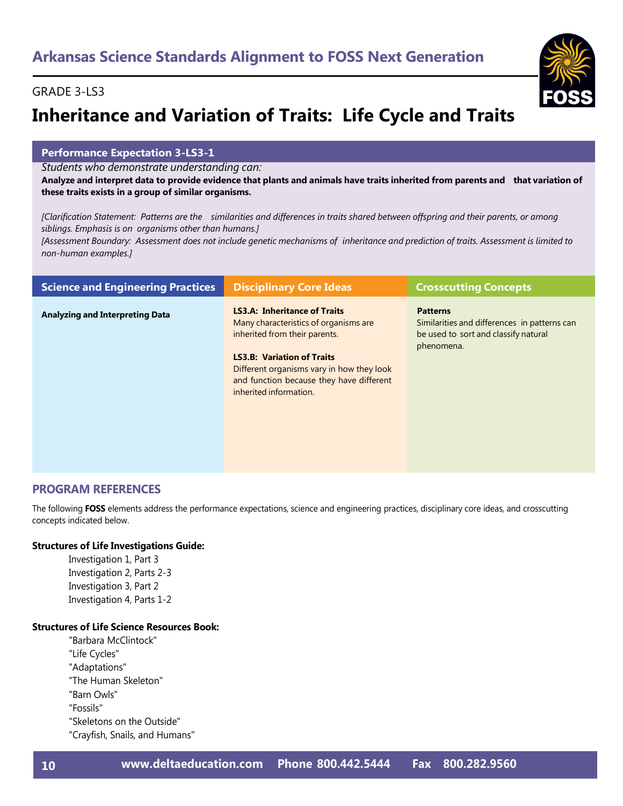# **Inheritance and Variation of Traits: Life Cycle and Traits**

## **Performance Expectation 3-LS3-1**

*Students who demonstrate understanding can:*

Analyze and interpret data to provide evidence that plants and animals have traits inherited from parents and that variation of **these traits exists in a group of similar organisms.**

[Clarification Statement: Patterns are the similarities and differences in traits shared between offspring and their parents, or among *siblings. Emphasis is on organisms other than humans.]*

[Assessment Boundary: Assessment does not include genetic mechanisms of inheritance and prediction of traits. Assessment is limited to *non-human examples.]*

| <b>Science and Engineering Practices</b> | <b>Disciplinary Core Ideas</b>                                                                                                                                                                                                                                        | <b>Crosscutting Concepts</b>                                                                                          |
|------------------------------------------|-----------------------------------------------------------------------------------------------------------------------------------------------------------------------------------------------------------------------------------------------------------------------|-----------------------------------------------------------------------------------------------------------------------|
| <b>Analyzing and Interpreting Data</b>   | <b>LS3.A: Inheritance of Traits</b><br>Many characteristics of organisms are<br>inherited from their parents.<br><b>LS3.B: Variation of Traits</b><br>Different organisms vary in how they look<br>and function because they have different<br>inherited information. | <b>Patterns</b><br>Similarities and differences in patterns can<br>be used to sort and classify natural<br>phenomena. |

## **PROGRAM REFERENCES**

The following **FOSS** elements address the performance expectations, science and engineering practices, disciplinary core ideas, and crosscutting concepts indicated below.

## **Structures of Life Investigations Guide:**

Investigation 1, Part 3 Investigation 2, Parts 2-3 Investigation 3, Part 2 Investigation 4, Parts 1-2

## **Structures of Life Science Resources Book:**

"Barbara McClintock" "Life Cycles" "Adaptations" "The Human Skeleton" "Barn Owls" "Fossils" "Skeletons on the Outside" "Crayfish, Snails, and Humans"

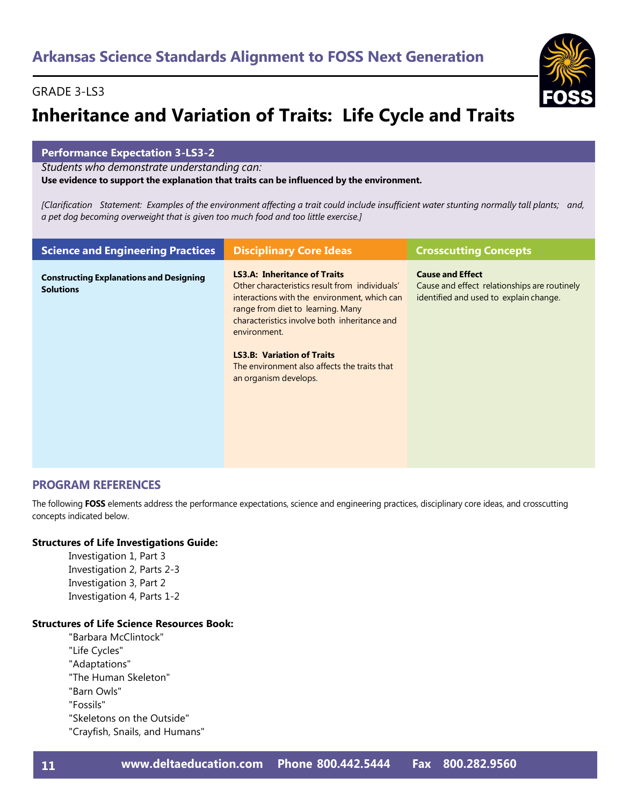# **Inheritance and Variation of Traits: Life Cycle and Traits**

## **Performance Expectation 3-LS3-2**

*Students who demonstrate understanding can:*

## **Use evidence to support the explanation that traits can be influenced by the environment.**

[Clarification Statement: Examples of the environment affecting a trait could include insufficient water stunting normally tall plants; and, *a pet dog becoming overweight that is given too much food and too little exercise.]*

| <b>Science and Engineering Practices</b>                           | <b>Disciplinary Core Ideas</b>                                                                                                                                                                                                                                                                                                                           | <b>Crosscutting Concepts</b>                                                                                      |
|--------------------------------------------------------------------|----------------------------------------------------------------------------------------------------------------------------------------------------------------------------------------------------------------------------------------------------------------------------------------------------------------------------------------------------------|-------------------------------------------------------------------------------------------------------------------|
| <b>Constructing Explanations and Designing</b><br><b>Solutions</b> | <b>LS3.A: Inheritance of Traits</b><br>Other characteristics result from individuals'<br>interactions with the environment, which can<br>range from diet to learning. Many<br>characteristics involve both inheritance and<br>environment.<br><b>LS3.B: Variation of Traits</b><br>The environment also affects the traits that<br>an organism develops. | <b>Cause and Effect</b><br>Cause and effect relationships are routinely<br>identified and used to explain change. |

## **PROGRAM REFERENCES**

The following **FOSS** elements address the performance expectations, science and engineering practices, disciplinary core ideas, and crosscutting concepts indicated below.

## **Structures of Life Investigations Guide:**

Investigation 1, Part 3 Investigation 2, Parts 2-3 Investigation 3, Part 2 Investigation 4, Parts 1-2

## **Structures of Life Science Resources Book:**

"Barbara McClintock" "Life Cycles" "Adaptations" "The Human Skeleton" "Barn Owls" "Fossils" "Skeletons on the Outside" "Crayfish, Snails, and Humans"

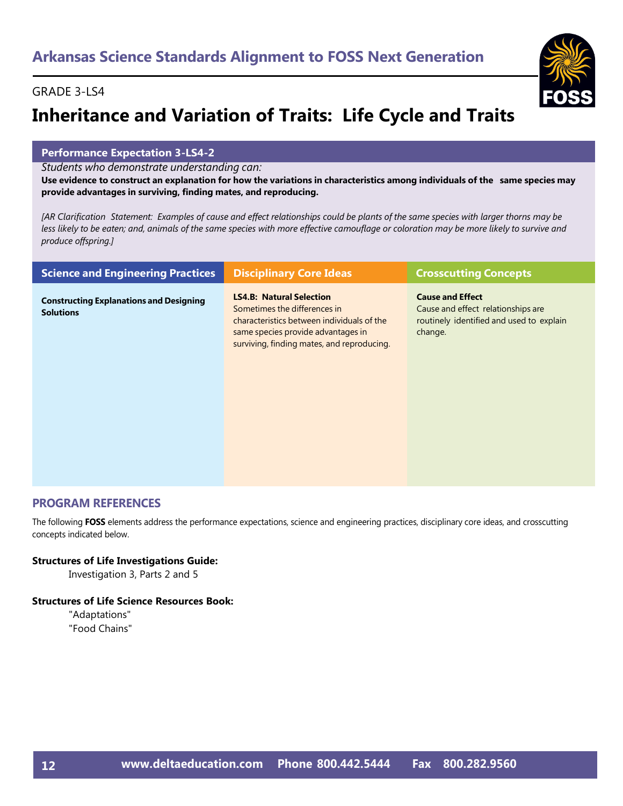# **Inheritance and Variation of Traits: Life Cycle and Traits**

## **Performance Expectation 3-LS4-2**

*Students who demonstrate understanding can:*

Use evidence to construct an explanation for how the variations in characteristics among individuals of the same species may **provide advantages in surviving, finding mates, and reproducing.**

[AR Clarification Statement: Examples of cause and effect relationships could be plants of the same species with larger thorns may be less likely to be eaten; and, animals of the same species with more effective camouflage or coloration may be more likely to survive and *produce offspring.]*

| <b>Science and Engineering Practices</b>                           | <b>Disciplinary Core Ideas</b>                                                                                                                                                                    | <b>Crosscutting Concepts</b>                                                                                         |
|--------------------------------------------------------------------|---------------------------------------------------------------------------------------------------------------------------------------------------------------------------------------------------|----------------------------------------------------------------------------------------------------------------------|
| <b>Constructing Explanations and Designing</b><br><b>Solutions</b> | <b>LS4.B: Natural Selection</b><br>Sometimes the differences in<br>characteristics between individuals of the<br>same species provide advantages in<br>surviving, finding mates, and reproducing. | <b>Cause and Effect</b><br>Cause and effect relationships are<br>routinely identified and used to explain<br>change. |

## **PROGRAM REFERENCES**

The following **FOSS** elements address the performance expectations, science and engineering practices, disciplinary core ideas, and crosscutting concepts indicated below.

## **Structures of Life Investigations Guide:**

Investigation 3, Parts 2 and 5

## **Structures of Life Science Resources Book:**

"Adaptations" "Food Chains"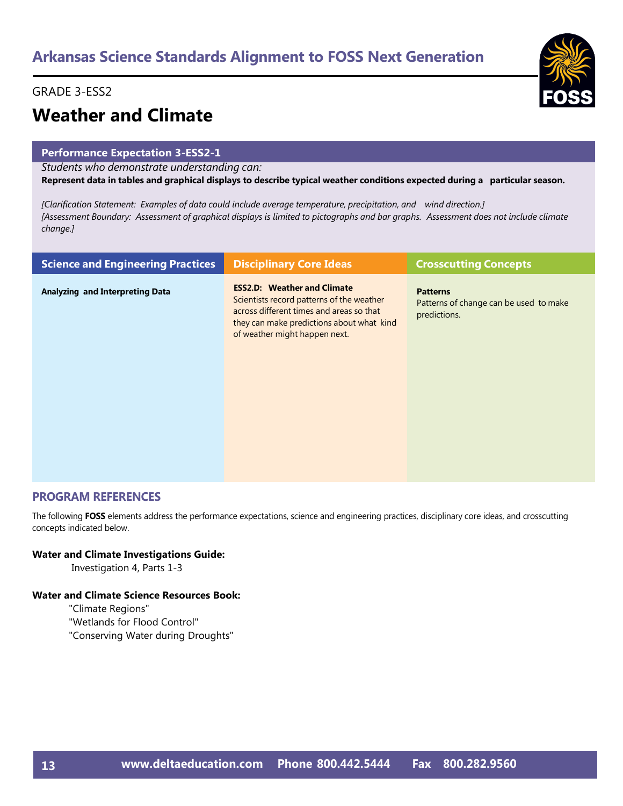## GRADE 3-ESS2



# **Weather and Climate**

## **Performance Expectation 3-ESS2-1**

*Students who demonstrate understanding can:*

Represent data in tables and graphical displays to describe typical weather conditions expected during a particular season.

*[Clarification Statement: Examples of data could include average temperature, precipitation, and wind direction.]* [Assessment Boundary: Assessment of graphical displays is limited to pictographs and bar graphs. Assessment does not include climate *change.]*

| <b>Science and Engineering Practices</b> | <b>Disciplinary Core Ideas</b>                                                                                                                                                                            | <b>Crosscutting Concepts</b>                                              |
|------------------------------------------|-----------------------------------------------------------------------------------------------------------------------------------------------------------------------------------------------------------|---------------------------------------------------------------------------|
| <b>Analyzing and Interpreting Data</b>   | <b>ESS2.D: Weather and Climate</b><br>Scientists record patterns of the weather<br>across different times and areas so that<br>they can make predictions about what kind<br>of weather might happen next. | <b>Patterns</b><br>Patterns of change can be used to make<br>predictions. |
|                                          |                                                                                                                                                                                                           |                                                                           |

## **PROGRAM REFERENCES**

The following **FOSS** elements address the performance expectations, science and engineering practices, disciplinary core ideas, and crosscutting concepts indicated below.

## **Water and Climate Investigations Guide:**

Investigation 4, Parts 1-3

## **Water and Climate Science Resources Book:**

"Climate Regions"

- "Wetlands for Flood Control"
- "Conserving Water during Droughts"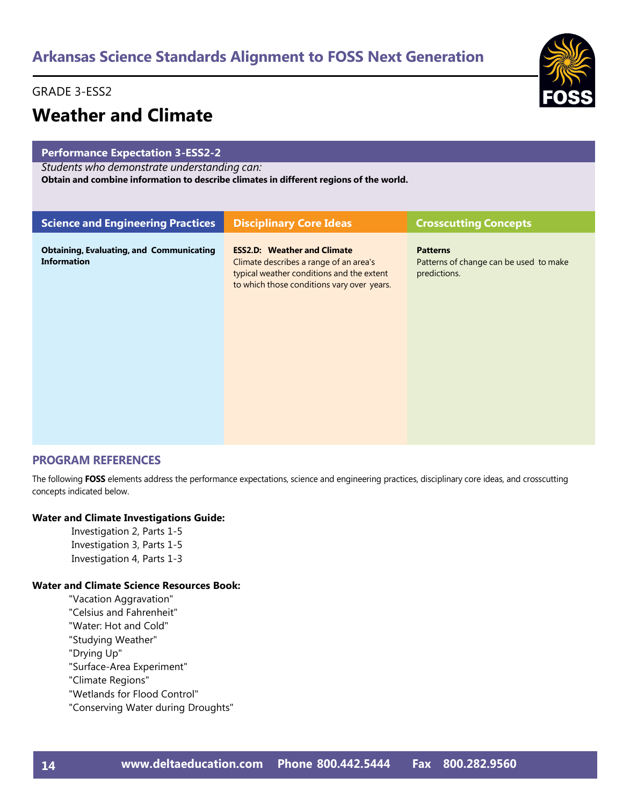## GRADE 3-ESS2

## **Weather and Climate**

## **Performance Expectation 3-ESS2-2**

*Students who demonstrate understanding can:*

**Obtain and combine information to describe climates in different regions of the world.**

| <b>Science and Engineering Practices</b>                              | <b>Disciplinary Core Ideas</b>                                                                                                                                          | <b>Crosscutting Concepts</b>                                              |
|-----------------------------------------------------------------------|-------------------------------------------------------------------------------------------------------------------------------------------------------------------------|---------------------------------------------------------------------------|
| <b>Obtaining, Evaluating, and Communicating</b><br><b>Information</b> | <b>ESS2.D: Weather and Climate</b><br>Climate describes a range of an area's<br>typical weather conditions and the extent<br>to which those conditions vary over years. | <b>Patterns</b><br>Patterns of change can be used to make<br>predictions. |

## **PROGRAM REFERENCES**

The following **FOSS** elements address the performance expectations, science and engineering practices, disciplinary core ideas, and crosscutting concepts indicated below.

## **Water and Climate Investigations Guide:**

Investigation 2, Parts 1-5 Investigation 3, Parts 1-5 Investigation 4, Parts 1-3

## **Water and Climate Science Resources Book:**

"Vacation Aggravation" "Celsius and Fahrenheit" "Water: Hot and Cold" "Studying Weather" "Drying Up" "Surface-Area Experiment" "Climate Regions" "Wetlands for Flood Control" "Conserving Water during Droughts"

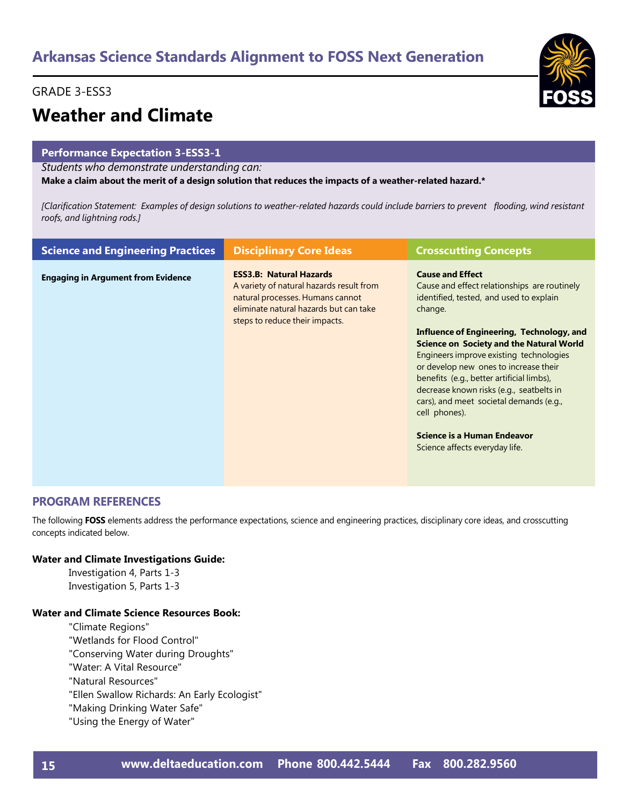## GRADE 3-ESS3



# **Weather and Climate**

## **Performance Expectation 3-ESS3-1**

*Students who demonstrate understanding can:*

Make a claim about the merit of a design solution that reduces the impacts of a weather-related hazard.\*

[Clarification Statement: Examples of design solutions to weather-related hazards could include barriers to prevent flooding, wind resistant *roofs, and lightning rods.]*

| <b>Science and Engineering Practices</b>  | <b>Disciplinary Core Ideas</b>                                                                                                                                                             | <b>Crosscutting Concepts</b>                                                                                                                                                                                                                                                                                                                                                                                                                                                                                                            |
|-------------------------------------------|--------------------------------------------------------------------------------------------------------------------------------------------------------------------------------------------|-----------------------------------------------------------------------------------------------------------------------------------------------------------------------------------------------------------------------------------------------------------------------------------------------------------------------------------------------------------------------------------------------------------------------------------------------------------------------------------------------------------------------------------------|
| <b>Engaging in Argument from Evidence</b> | <b>ESS3.B: Natural Hazards</b><br>A variety of natural hazards result from<br>natural processes. Humans cannot<br>eliminate natural hazards but can take<br>steps to reduce their impacts. | <b>Cause and Effect</b><br>Cause and effect relationships are routinely<br>identified, tested, and used to explain<br>change.<br>Influence of Engineering, Technology, and<br><b>Science on Society and the Natural World</b><br>Engineers improve existing technologies<br>or develop new ones to increase their<br>benefits (e.g., better artificial limbs),<br>decrease known risks (e.g., seatbelts in<br>cars), and meet societal demands (e.g.,<br>cell phones).<br>Science is a Human Endeavor<br>Science affects everyday life. |

## **PROGRAM REFERENCES**

The following **FOSS** elements address the performance expectations, science and engineering practices, disciplinary core ideas, and crosscutting concepts indicated below.

## **Water and Climate Investigations Guide:**

Investigation 4, Parts 1-3 Investigation 5, Parts 1-3

## **Water and Climate Science Resources Book:**

"Climate Regions"

- "Wetlands for Flood Control"
- "Conserving Water during Droughts"
- "Water: A Vital Resource"
- "Natural Resources"
- "Ellen Swallow Richards: An Early Ecologist"
- "Making Drinking Water Safe"
- "Using the Energy of Water"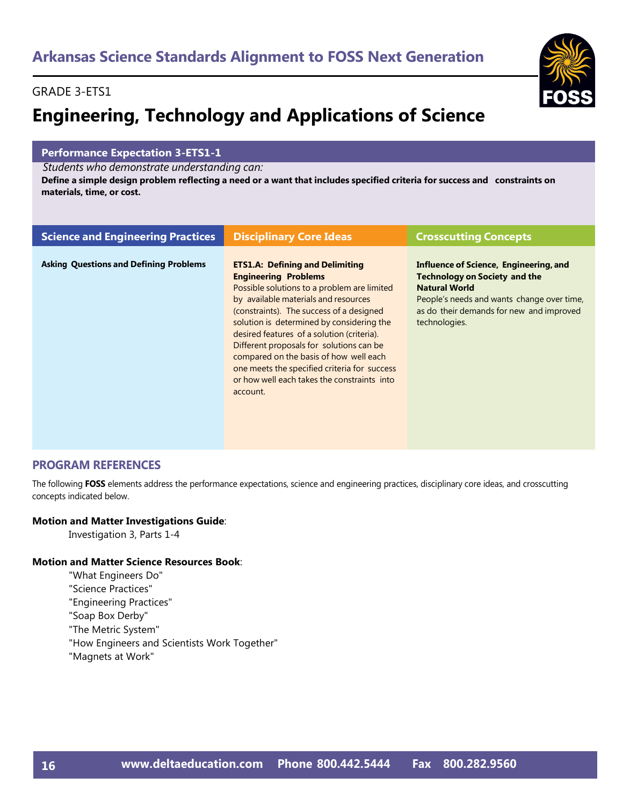## GRADE 3-ETS1

# **Engineering, Technology and Applications of Science**

## **Performance Expectation 3-ETS1-1**

*Students who demonstrate understanding can:*

Define a simple design problem reflecting a need or a want that includes specified criteria for success and constraints on **materials, time, or cost.**

| <b>Science and Engineering Practices</b>      | <b>Disciplinary Core Ideas</b>                                                                                                                                                                                                                                                                                                                                                                                                                                                                       | <b>Crosscutting Concepts</b>                                                                                                                                                                                      |
|-----------------------------------------------|------------------------------------------------------------------------------------------------------------------------------------------------------------------------------------------------------------------------------------------------------------------------------------------------------------------------------------------------------------------------------------------------------------------------------------------------------------------------------------------------------|-------------------------------------------------------------------------------------------------------------------------------------------------------------------------------------------------------------------|
| <b>Asking Questions and Defining Problems</b> | <b>ETS1.A: Defining and Delimiting</b><br><b>Engineering Problems</b><br>Possible solutions to a problem are limited<br>by available materials and resources<br>(constraints). The success of a designed<br>solution is determined by considering the<br>desired features of a solution (criteria).<br>Different proposals for solutions can be<br>compared on the basis of how well each<br>one meets the specified criteria for success<br>or how well each takes the constraints into<br>account. | Influence of Science, Engineering, and<br><b>Technology on Society and the</b><br><b>Natural World</b><br>People's needs and wants change over time,<br>as do their demands for new and improved<br>technologies. |

## **PROGRAM REFERENCES**

The following **FOSS** elements address the performance expectations, science and engineering practices, disciplinary core ideas, and crosscutting concepts indicated below.

## **Motion and Matter Investigations Guide**:

Investigation 3, Parts 1-4

## **Motion and Matter Science Resources Book**:

- "What Engineers Do"
- "Science Practices"
- "Engineering Practices"
- "Soap Box Derby"
- "The Metric System"
- "How Engineers and Scientists Work Together"
- "Magnets at Work"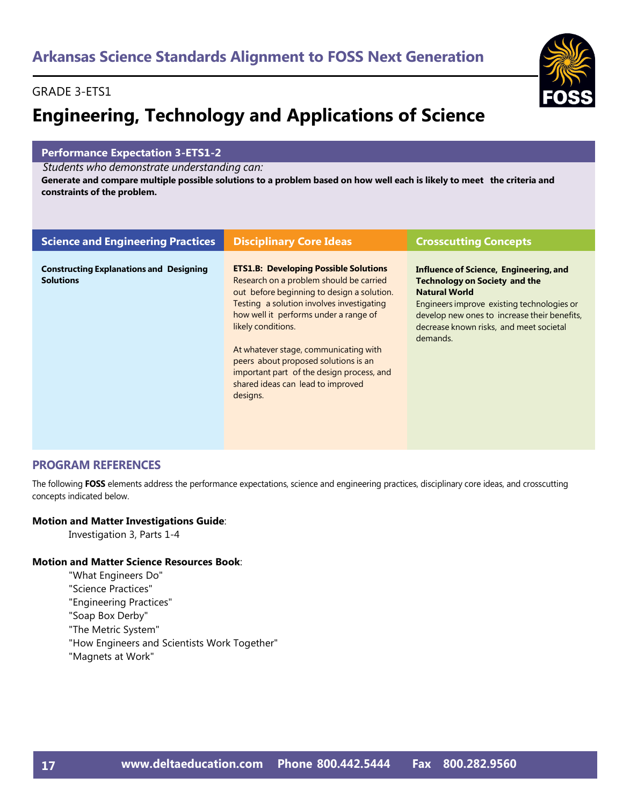## GRADE 3-ETS1

# **Engineering, Technology and Applications of Science**

## **Performance Expectation 3-ETS1-2**

*Students who demonstrate understanding can:*

Generate and compare multiple possible solutions to a problem based on how well each is likely to meet the criteria and **constraints of the problem.**

| <b>Science and Engineering Practices</b>                           | <b>Disciplinary Core Ideas</b>                                                                                                                                                                                                                                                                                                                                                                                                   | <b>Crosscutting Concepts</b>                                                                                                                                                                                                                                |
|--------------------------------------------------------------------|----------------------------------------------------------------------------------------------------------------------------------------------------------------------------------------------------------------------------------------------------------------------------------------------------------------------------------------------------------------------------------------------------------------------------------|-------------------------------------------------------------------------------------------------------------------------------------------------------------------------------------------------------------------------------------------------------------|
| <b>Constructing Explanations and Designing</b><br><b>Solutions</b> | <b>ETS1.B: Developing Possible Solutions</b><br>Research on a problem should be carried<br>out before beginning to design a solution.<br>Testing a solution involves investigating<br>how well it performs under a range of<br>likely conditions.<br>At whatever stage, communicating with<br>peers about proposed solutions is an<br>important part of the design process, and<br>shared ideas can lead to improved<br>designs. | Influence of Science, Engineering, and<br><b>Technology on Society and the</b><br><b>Natural World</b><br>Engineers improve existing technologies or<br>develop new ones to increase their benefits,<br>decrease known risks, and meet societal<br>demands. |

## **PROGRAM REFERENCES**

The following **FOSS** elements address the performance expectations, science and engineering practices, disciplinary core ideas, and crosscutting concepts indicated below.

## **Motion and Matter Investigations Guide**:

Investigation 3, Parts 1-4

## **Motion and Matter Science Resources Book**:

- "What Engineers Do"
- "Science Practices"
- "Engineering Practices"
- "Soap Box Derby"
- "The Metric System"
- "How Engineers and Scientists Work Together"
- "Magnets at Work"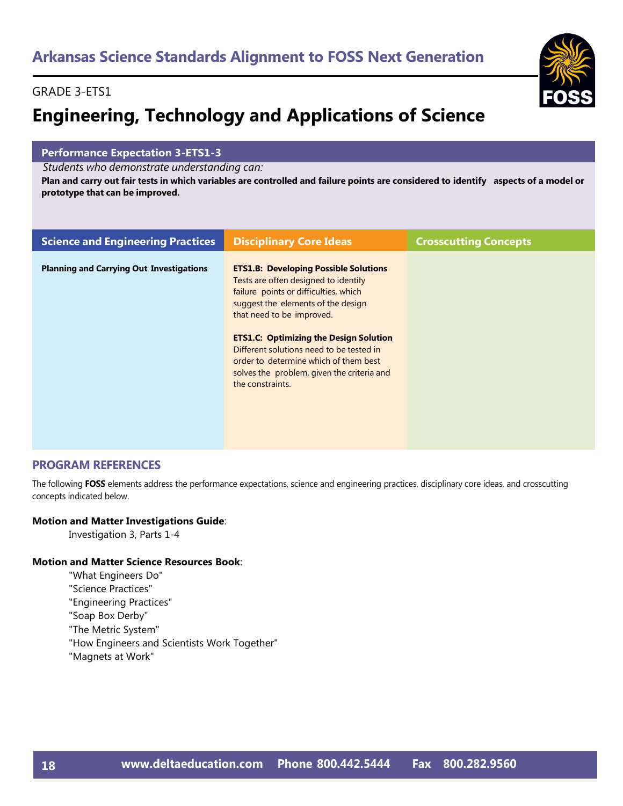## GRADE 3-ETS1

# **Engineering, Technology and Applications of Science**

## **Performance Expectation 3-ETS1-3**

*Students who demonstrate understanding can:*

Plan and carry out fair tests in which variables are controlled and failure points are considered to identify aspects of a model or **prototype that can be improved.**

| <b>Science and Engineering Practices</b>        | <b>Disciplinary Core Ideas</b>                                                                                                                                                                                                                                                                                                                                                                           | <b>Crosscutting Concepts</b> |
|-------------------------------------------------|----------------------------------------------------------------------------------------------------------------------------------------------------------------------------------------------------------------------------------------------------------------------------------------------------------------------------------------------------------------------------------------------------------|------------------------------|
| <b>Planning and Carrying Out Investigations</b> | <b>ETS1.B: Developing Possible Solutions</b><br>Tests are often designed to identify<br>failure points or difficulties, which<br>suggest the elements of the design<br>that need to be improved.<br><b>ETS1.C: Optimizing the Design Solution</b><br>Different solutions need to be tested in<br>order to determine which of them best<br>solves the problem, given the criteria and<br>the constraints. |                              |
|                                                 |                                                                                                                                                                                                                                                                                                                                                                                                          |                              |

## **PROGRAM REFERENCES**

The following **FOSS** elements address the performance expectations, science and engineering practices, disciplinary core ideas, and crosscutting concepts indicated below.

## **Motion and Matter Investigations Guide**:

Investigation 3, Parts 1-4

## **Motion and Matter Science Resources Book**:

- "What Engineers Do"
- "Science Practices"
- "Engineering Practices"
- "Soap Box Derby"
- "The Metric System"
- "How Engineers and Scientists Work Together"
- "Magnets at Work"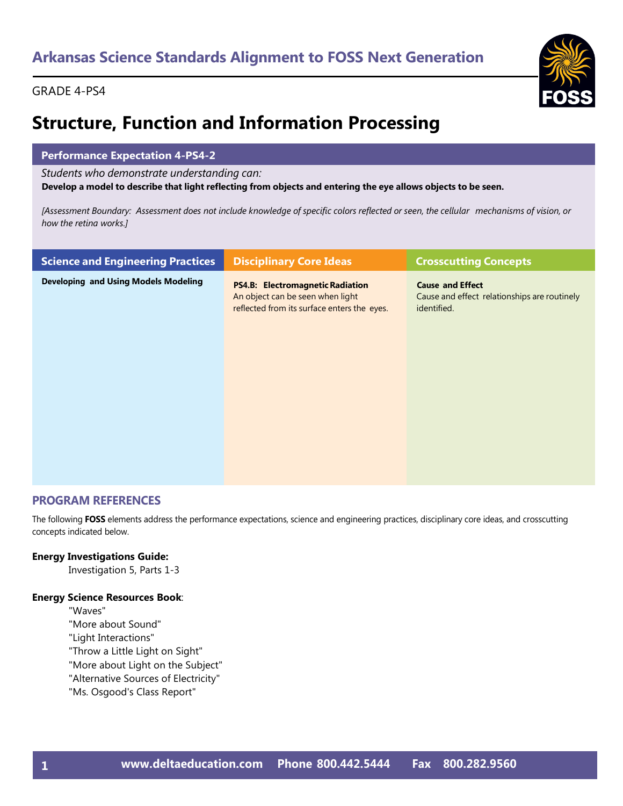## GRADE 4-PS4



# **Structure, Function and Information Processing**

## **Performance Expectation 4-PS4-2**

*Students who demonstrate understanding can:*

Develop a model to describe that light reflecting from objects and entering the eye allows objects to be seen.

[Assessment Boundary: Assessment does not include knowledge of specific colors reflected or seen, the cellular mechanisms of vision, or *how the retina works.]*

| <b>Science and Engineering Practices</b>    | <b>Disciplinary Core Ideas</b>                                                                                             | <b>Crosscutting Concepts</b>                                                           |
|---------------------------------------------|----------------------------------------------------------------------------------------------------------------------------|----------------------------------------------------------------------------------------|
| <b>Developing and Using Models Modeling</b> | <b>PS4.B: Electromagnetic Radiation</b><br>An object can be seen when light<br>reflected from its surface enters the eyes. | <b>Cause and Effect</b><br>Cause and effect relationships are routinely<br>identified. |

## **PROGRAM REFERENCES**

The following **FOSS** elements address the performance expectations, science and engineering practices, disciplinary core ideas, and crosscutting concepts indicated below.

## **Energy Investigations Guide:**

Investigation 5, Parts 1-3

## **Energy Science Resources Book**:

"Waves"

- "More about Sound"
- "Light Interactions"
- "Throw a Little Light on Sight"
- "More about Light on the Subject"
- "Alternative Sources of Electricity"
- "Ms. Osgood's Class Report"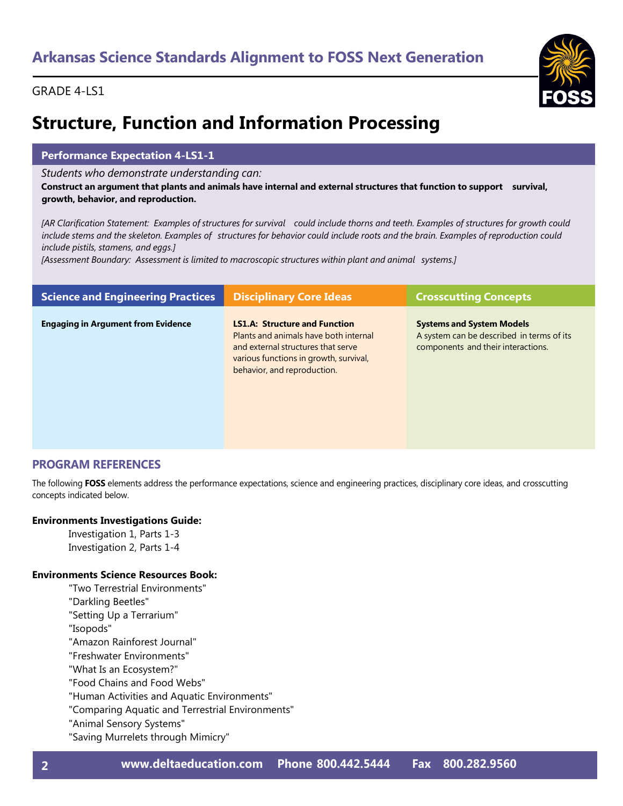## GRADE 4-LS1



# **Structure, Function and Information Processing**

## **Performance Expectation 4-LS1-1**

*Students who demonstrate understanding can:*

Construct an argument that plants and animals have internal and external structures that function to support survival, **growth, behavior, and reproduction.**

[AR Clarification Statement: Examples of structures for survival could include thorns and teeth. Examples of structures for growth could include stems and the skeleton. Examples of structures for behavior could include roots and the brain. Examples of reproduction could *include pistils, stamens, and eggs.]*

*[Assessment Boundary: Assessment is limited to macroscopic structures within plant and animal systems.]*

| <b>Science and Engineering Practices</b>  | <b>Disciplinary Core Ideas</b>                                                                                                                                                               | <b>Crosscutting Concepts</b>                                                                                        |
|-------------------------------------------|----------------------------------------------------------------------------------------------------------------------------------------------------------------------------------------------|---------------------------------------------------------------------------------------------------------------------|
| <b>Engaging in Argument from Evidence</b> | <b>LS1.A: Structure and Function</b><br>Plants and animals have both internal<br>and external structures that serve<br>various functions in growth, survival,<br>behavior, and reproduction. | <b>Systems and System Models</b><br>A system can be described in terms of its<br>components and their interactions. |

## **PROGRAM REFERENCES**

The following **FOSS** elements address the performance expectations, science and engineering practices, disciplinary core ideas, and crosscutting concepts indicated below.

## **Environments Investigations Guide:**

Investigation 1, Parts 1-3 Investigation 2, Parts 1-4

## **Environments Science Resources Book:**

- "Two Terrestrial Environments"
- "Darkling Beetles"
- "Setting Up a Terrarium"
- "Isopods"
- "Amazon Rainforest Journal"
- "Freshwater Environments"
- "What Is an Ecosystem?"
- "Food Chains and Food Webs"
- "Human Activities and Aquatic Environments"
- "Comparing Aquatic and Terrestrial Environments"
- "Animal Sensory Systems"
- "Saving Murrelets through Mimicry"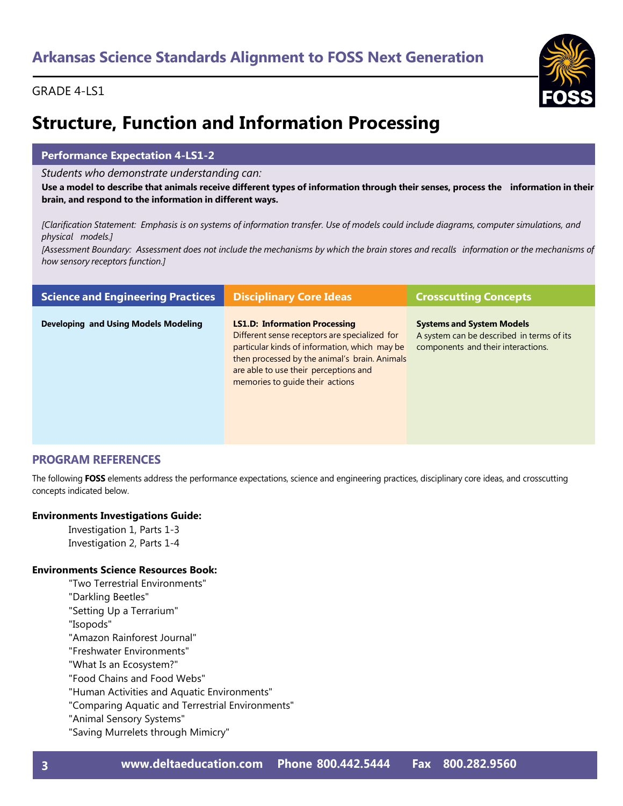## GRADE 4-LS1



# **Structure, Function and Information Processing**

## **Performance Expectation 4-LS1-2**

### *Students who demonstrate understanding can:*

Use a model to describe that animals receive different types of information through their senses, process the information in their **brain, and respond to the information in different ways.**

[Clarification Statement: Emphasis is on systems of information transfer. Use of models could include diagrams, computer simulations, and *physical models.]*

[Assessment Boundary: Assessment does not include the mechanisms by which the brain stores and recalls information or the mechanisms of *how sensory receptors function.]*

| <b>Science and Engineering Practices</b> | <b>Disciplinary Core Ideas</b>                                                                                                                                                                                                                                      | <b>Crosscutting Concepts</b>                                                                                        |
|------------------------------------------|---------------------------------------------------------------------------------------------------------------------------------------------------------------------------------------------------------------------------------------------------------------------|---------------------------------------------------------------------------------------------------------------------|
| Developing and Using Models Modeling     | <b>LS1.D: Information Processing</b><br>Different sense receptors are specialized for<br>particular kinds of information, which may be<br>then processed by the animal's brain. Animals<br>are able to use their perceptions and<br>memories to quide their actions | <b>Systems and System Models</b><br>A system can be described in terms of its<br>components and their interactions. |

## **PROGRAM REFERENCES**

The following **FOSS** elements address the performance expectations, science and engineering practices, disciplinary core ideas, and crosscutting concepts indicated below.

## **Environments Investigations Guide:**

Investigation 1, Parts 1-3 Investigation 2, Parts 1-4

## **Environments Science Resources Book:**

- "Two Terrestrial Environments"
- "Darkling Beetles"
- "Setting Up a Terrarium"
- "Isopods"
- "Amazon Rainforest Journal"
- "Freshwater Environments"
- "What Is an Ecosystem?"
- "Food Chains and Food Webs"
- "Human Activities and Aquatic Environments"
- "Comparing Aquatic and Terrestrial Environments"
- "Animal Sensory Systems"
- "Saving Murrelets through Mimicry"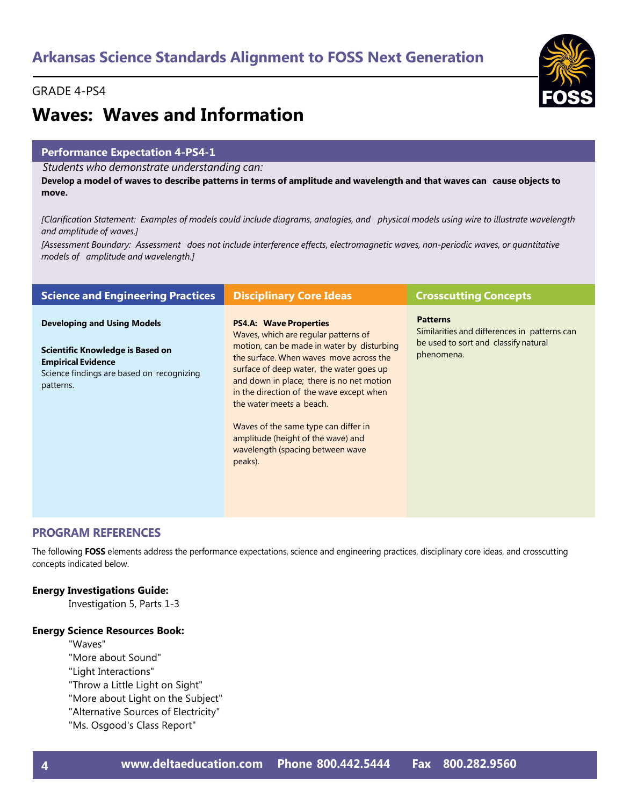## GRADE 4-PS4



# **Waves: Waves and Information**

## **Performance Expectation 4-PS4-1**

*Students who demonstrate understanding can:*

Develop a model of waves to describe patterns in terms of amplitude and wavelength and that waves can cause objects to **move.**

[Clarification Statement: Examples of models could include diagrams, analogies, and physical models using wire to illustrate wavelength *and amplitude of waves.]*

[Assessment Boundary: Assessment does not include interference effects, electromagnetic waves, non-periodic waves, or quantitative *models of amplitude and wavelength.]*

| <b>Science and Engineering Practices</b>                                                                                                                      | <b>Disciplinary Core Ideas</b>                                                                                                                                                                                                                                                                                                                                                                                                                               | <b>Crosscutting Concepts</b>                                                                                          |
|---------------------------------------------------------------------------------------------------------------------------------------------------------------|--------------------------------------------------------------------------------------------------------------------------------------------------------------------------------------------------------------------------------------------------------------------------------------------------------------------------------------------------------------------------------------------------------------------------------------------------------------|-----------------------------------------------------------------------------------------------------------------------|
| <b>Developing and Using Models</b><br>Scientific Knowledge is Based on<br><b>Empirical Evidence</b><br>Science findings are based on recognizing<br>patterns. | <b>PS4.A: Wave Properties</b><br>Waves, which are regular patterns of<br>motion, can be made in water by disturbing<br>the surface. When waves move across the<br>surface of deep water, the water goes up<br>and down in place; there is no net motion<br>in the direction of the wave except when<br>the water meets a beach.<br>Waves of the same type can differ in<br>amplitude (height of the wave) and<br>wavelength (spacing between wave<br>peaks). | <b>Patterns</b><br>Similarities and differences in patterns can<br>be used to sort and classify natural<br>phenomena. |
|                                                                                                                                                               |                                                                                                                                                                                                                                                                                                                                                                                                                                                              |                                                                                                                       |

## **PROGRAM REFERENCES**

The following **FOSS** elements address the performance expectations, science and engineering practices, disciplinary core ideas, and crosscutting concepts indicated below.

## **Energy Investigations Guide:**

Investigation 5, Parts 1-3

## **Energy Science Resources Book:**

"Waves"

- "More about Sound"
- "Light Interactions"
- "Throw a Little Light on Sight"
- "More about Light on the Subject"
- "Alternative Sources of Electricity"
- "Ms. Osgood's Class Report"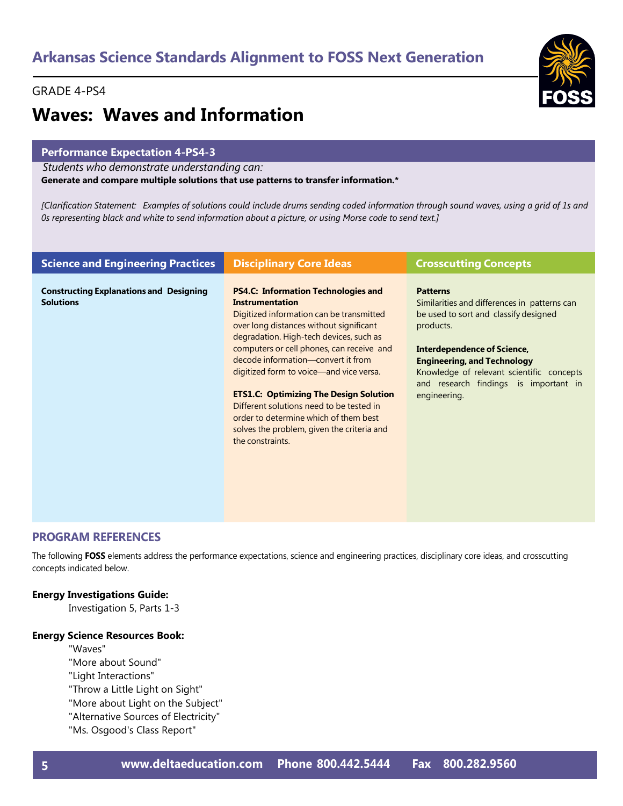## GRADE 4-PS4

# **Waves: Waves and Information**

## **Performance Expectation 4-PS4-3**

*Students who demonstrate understanding can:*

**Generate and compare multiple solutions that use patterns to transfer information.\*** 

[Clarification Statement: Examples of solutions could include drums sending coded information through sound waves, using a grid of 1s and Os representing black and white to send information about a picture, or using Morse code to send text.]

| <b>Science and Engineering Practices</b>                           | <b>Disciplinary Core Ideas</b>                                                                                                                                                                                                                                                                                                                                                                                                                                                                                                        | <b>Crosscutting Concepts</b>                                                                                                                                                                                                                                                                     |
|--------------------------------------------------------------------|---------------------------------------------------------------------------------------------------------------------------------------------------------------------------------------------------------------------------------------------------------------------------------------------------------------------------------------------------------------------------------------------------------------------------------------------------------------------------------------------------------------------------------------|--------------------------------------------------------------------------------------------------------------------------------------------------------------------------------------------------------------------------------------------------------------------------------------------------|
| <b>Constructing Explanations and Designing</b><br><b>Solutions</b> | <b>PS4.C: Information Technologies and</b><br>Instrumentation<br>Digitized information can be transmitted<br>over long distances without significant<br>degradation. High-tech devices, such as<br>computers or cell phones, can receive and<br>decode information—convert it from<br>digitized form to voice—and vice versa.<br><b>ETS1.C: Optimizing The Design Solution</b><br>Different solutions need to be tested in<br>order to determine which of them best<br>solves the problem, given the criteria and<br>the constraints. | <b>Patterns</b><br>Similarities and differences in patterns can<br>be used to sort and classify designed<br>products.<br>Interdependence of Science,<br><b>Engineering, and Technology</b><br>Knowledge of relevant scientific concepts<br>and research findings is important in<br>engineering. |
|                                                                    |                                                                                                                                                                                                                                                                                                                                                                                                                                                                                                                                       |                                                                                                                                                                                                                                                                                                  |

## **PROGRAM REFERENCES**

The following **FOSS** elements address the performance expectations, science and engineering practices, disciplinary core ideas, and crosscutting concepts indicated below.

## **Energy Investigations Guide:**

Investigation 5, Parts 1-3

### **Energy Science Resources Book:**

"Waves"

- "More about Sound"
- "Light Interactions"
- "Throw a Little Light on Sight"
- "More about Light on the Subject"
- "Alternative Sources of Electricity"
- "Ms. Osgood's Class Report"



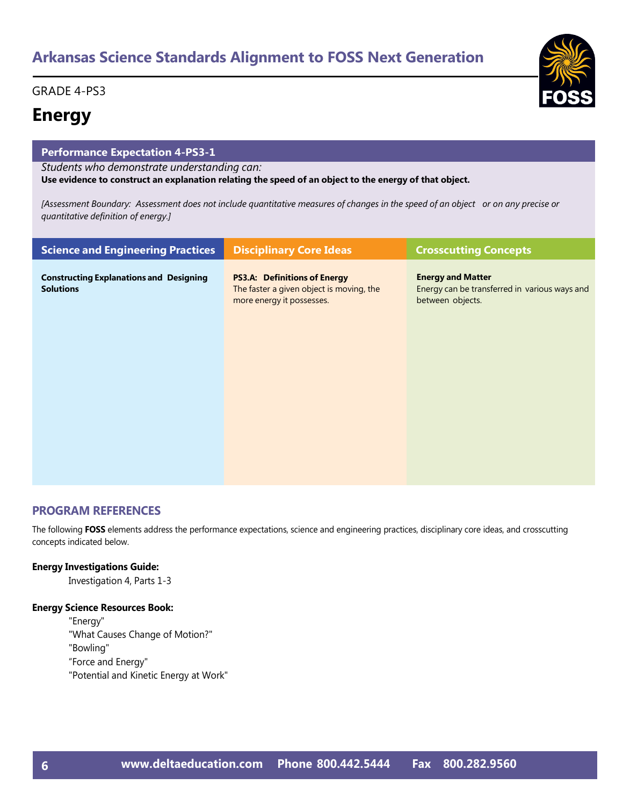## GRADE 4-PS3

## **Energy**

| <b>Performance Expectation 4-PS3-1</b>                                                                                                                                   |                                                                                                              |                                                                                               |
|--------------------------------------------------------------------------------------------------------------------------------------------------------------------------|--------------------------------------------------------------------------------------------------------------|-----------------------------------------------------------------------------------------------|
| Students who demonstrate understanding can:<br>Use evidence to construct an explanation relating the speed of an object to the energy of that object.                    |                                                                                                              |                                                                                               |
| [Assessment Boundary: Assessment does not include quantitative measures of changes in the speed of an object or on any precise or<br>quantitative definition of energy.] |                                                                                                              |                                                                                               |
| <b>Science and Engineering Practices</b><br><b>Disciplinary Core Ideas</b><br><b>Crosscutting Concepts</b>                                                               |                                                                                                              |                                                                                               |
| <b>Constructing Explanations and Designing</b><br><b>Solutions</b>                                                                                                       | <b>PS3.A: Definitions of Energy</b><br>The faster a given object is moving, the<br>more energy it possesses. | <b>Energy and Matter</b><br>Energy can be transferred in various ways and<br>between objects. |

## **PROGRAM REFERENCES**

The following **FOSS** elements address the performance expectations, science and engineering practices, disciplinary core ideas, and crosscutting concepts indicated below.

## **Energy Investigations Guide:**

Investigation 4, Parts 1-3

## **Energy Science Resources Book:**

"Energy" "What Causes Change of Motion?" "Bowling" "Force and Energy" "Potential and Kinetic Energy at Work"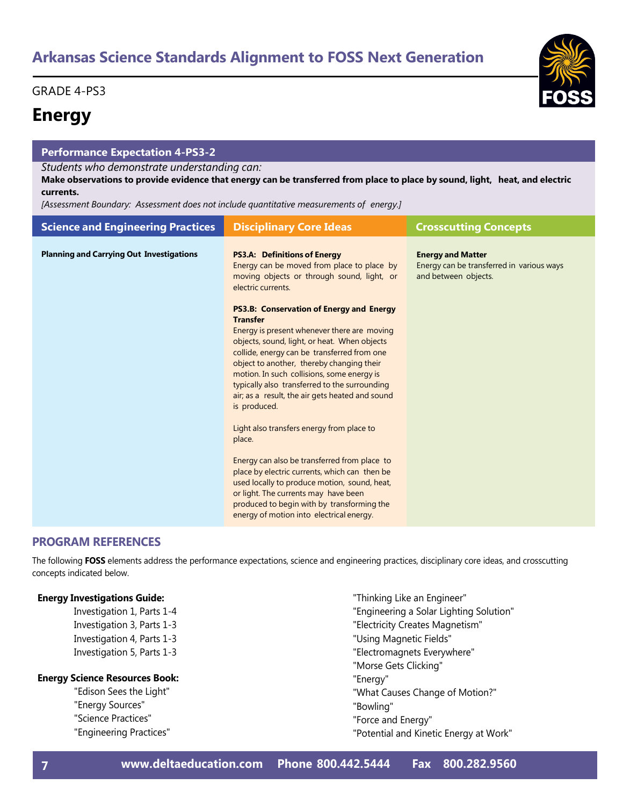GRADE 4-PS3

## **Energy**

## **Performance Expectation 4-PS3-2**

## *Students who demonstrate understanding can:*

Make observations to provide evidence that energy can be transferred from place to place by sound, light, heat, and electric **currents.**

*[Assessment Boundary: Assessment does not include quantitative measurements of energy.]*

| <b>Science and Engineering Practices</b>        | <b>Disciplinary Core Ideas</b>                                                                                                                                                                                                                                                                                                                                                                                                                                                                                                                                                                                                                                                                                                                                                                                                                                                                                                     | <b>Crosscutting Concepts</b>                                                                  |
|-------------------------------------------------|------------------------------------------------------------------------------------------------------------------------------------------------------------------------------------------------------------------------------------------------------------------------------------------------------------------------------------------------------------------------------------------------------------------------------------------------------------------------------------------------------------------------------------------------------------------------------------------------------------------------------------------------------------------------------------------------------------------------------------------------------------------------------------------------------------------------------------------------------------------------------------------------------------------------------------|-----------------------------------------------------------------------------------------------|
| <b>Planning and Carrying Out Investigations</b> | <b>PS3.A: Definitions of Energy</b><br>Energy can be moved from place to place by<br>moving objects or through sound, light, or<br>electric currents.<br><b>PS3.B: Conservation of Energy and Energy</b><br><b>Transfer</b><br>Energy is present whenever there are moving<br>objects, sound, light, or heat. When objects<br>collide, energy can be transferred from one<br>object to another, thereby changing their<br>motion. In such collisions, some energy is<br>typically also transferred to the surrounding<br>air; as a result, the air gets heated and sound<br>is produced.<br>Light also transfers energy from place to<br>place.<br>Energy can also be transferred from place to<br>place by electric currents, which can then be<br>used locally to produce motion, sound, heat,<br>or light. The currents may have been<br>produced to begin with by transforming the<br>energy of motion into electrical energy. | <b>Energy and Matter</b><br>Energy can be transferred in various ways<br>and between objects. |

## **PROGRAM REFERENCES**

The following **FOSS** elements address the performance expectations, science and engineering practices, disciplinary core ideas, and crosscutting concepts indicated below.

## **Energy Investigations Guide:**

Investigation 1, Parts 1-4 Investigation 3, Parts 1-3 Investigation 4, Parts 1-3 Investigation 5, Parts 1-3

## **Energy Science Resources Book:**

"Edison Sees the Light" "Energy Sources" "Science Practices" "Engineering Practices"

- "Thinking Like an Engineer"
- "Engineering a Solar Lighting Solution"
- "Electricity Creates Magnetism"
- "Using Magnetic Fields"
- "Electromagnets Everywhere"
- "Morse Gets Clicking"
- "Energy"
- "What Causes Change of Motion?"
- "Bowling"
- "Force and Energy"
- "Potential and Kinetic Energy at Work"

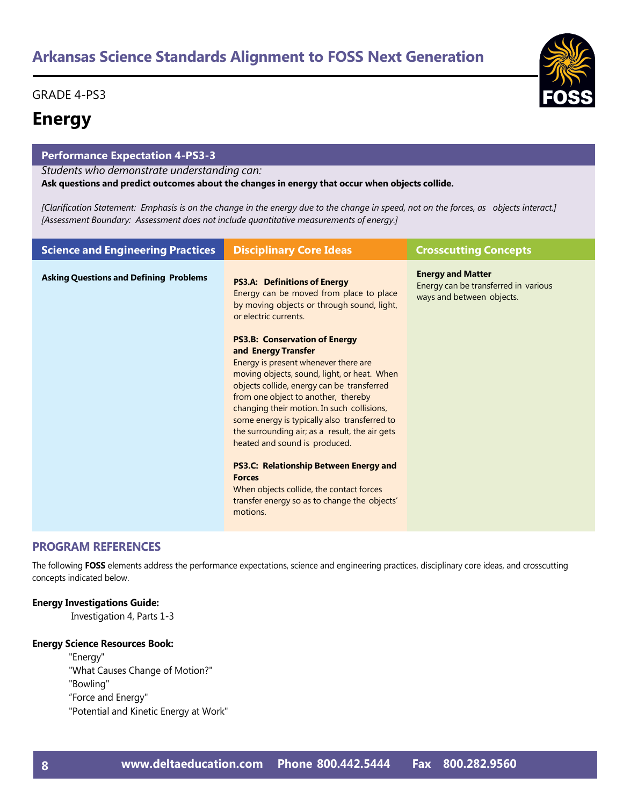## GRADE 4-PS3

## **Energy**

## **Performance Expectation 4-PS3-3**

*Students who demonstrate understanding can:*

**Ask questions and predict outcomes about the changes in energy that occur when objects collide.**

[Clarification Statement: Emphasis is on the change in the energy due to the change in speed, not on the forces, as objects interact.] *[Assessment Boundary: Assessment does not include quantitative measurements of energy.]*

| <b>Science and Engineering Practices</b>      | <b>Disciplinary Core Ideas</b>                                                                                                                                                                                                                                                                                                                                                                                                                                                                                                                                                                     | <b>Crosscutting Concepts</b>                                                                  |
|-----------------------------------------------|----------------------------------------------------------------------------------------------------------------------------------------------------------------------------------------------------------------------------------------------------------------------------------------------------------------------------------------------------------------------------------------------------------------------------------------------------------------------------------------------------------------------------------------------------------------------------------------------------|-----------------------------------------------------------------------------------------------|
| <b>Asking Questions and Defining Problems</b> | <b>PS3.A: Definitions of Energy</b><br>Energy can be moved from place to place<br>by moving objects or through sound, light,<br>or electric currents.                                                                                                                                                                                                                                                                                                                                                                                                                                              | <b>Energy and Matter</b><br>Energy can be transferred in various<br>ways and between objects. |
|                                               | <b>PS3.B: Conservation of Energy</b><br>and Energy Transfer<br>Energy is present whenever there are<br>moving objects, sound, light, or heat. When<br>objects collide, energy can be transferred<br>from one object to another, thereby<br>changing their motion. In such collisions,<br>some energy is typically also transferred to<br>the surrounding air; as a result, the air gets<br>heated and sound is produced.<br><b>PS3.C: Relationship Between Energy and</b><br><b>Forces</b><br>When objects collide, the contact forces<br>transfer energy so as to change the objects'<br>motions. |                                                                                               |

## **PROGRAM REFERENCES**

The following **FOSS** elements address the performance expectations, science and engineering practices, disciplinary core ideas, and crosscutting concepts indicated below.

## **Energy Investigations Guide:**

Investigation 4, Parts 1-3

## **Energy Science Resources Book:**

"Energy" "What Causes Change of Motion?" "Bowling" "Force and Energy" "Potential and Kinetic Energy at Work"

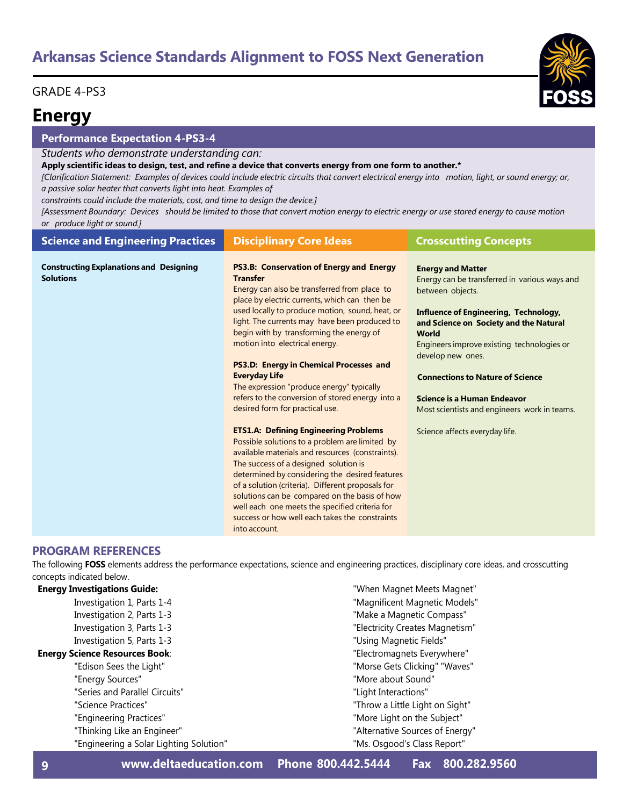## GRADE 4-PS3

## **Energy**

## **Performance Expectation 4-PS3-4**

*Students who demonstrate understanding can:*

Apply scientific ideas to design, test, and refine a device that converts energy from one form to another.\*

[Clarification Statement: Examples of devices could include electric circuits that convert electrical energy into motion, light, or sound energy; or, *a passive solar heater that converts light into heat. Examples of*

*constraints could include the materials, cost, and time to design the device.]*

[Assessment Boundary: Devices should be limited to those that convert motion energy to electric energy or use stored energy to cause motion *or produce light or sound.]*

| <b>Science and Engineering Practices</b>                           | <b>Disciplinary Core Ideas</b>                                                                                                                                                                                                                                                                                                                                                                                                                                                                                                                               | <b>Crosscutting Concepts</b>                                                                                                                                                                                                                                                                                                                                                                         |
|--------------------------------------------------------------------|--------------------------------------------------------------------------------------------------------------------------------------------------------------------------------------------------------------------------------------------------------------------------------------------------------------------------------------------------------------------------------------------------------------------------------------------------------------------------------------------------------------------------------------------------------------|------------------------------------------------------------------------------------------------------------------------------------------------------------------------------------------------------------------------------------------------------------------------------------------------------------------------------------------------------------------------------------------------------|
| <b>Constructing Explanations and Designing</b><br><b>Solutions</b> | PS3.B: Conservation of Energy and Energy<br><b>Transfer</b><br>Energy can also be transferred from place to<br>place by electric currents, which can then be<br>used locally to produce motion, sound, heat, or<br>light. The currents may have been produced to<br>begin with by transforming the energy of<br>motion into electrical energy.<br><b>PS3.D: Energy in Chemical Processes and</b><br><b>Everyday Life</b><br>The expression "produce energy" typically<br>refers to the conversion of stored energy into a<br>desired form for practical use. | <b>Energy and Matter</b><br>Energy can be transferred in various ways and<br>between objects.<br><b>Influence of Engineering, Technology,</b><br>and Science on Society and the Natural<br><b>World</b><br>Engineers improve existing technologies or<br>develop new ones.<br><b>Connections to Nature of Science</b><br>Science is a Human Endeavor<br>Most scientists and engineers work in teams. |
|                                                                    | <b>ETS1.A: Defining Engineering Problems</b><br>Possible solutions to a problem are limited by<br>available materials and resources (constraints).<br>The success of a designed solution is<br>determined by considering the desired features<br>of a solution (criteria). Different proposals for<br>solutions can be compared on the basis of how<br>well each one meets the specified criteria for<br>success or how well each takes the constraints<br>into account.                                                                                     | Science affects everyday life.                                                                                                                                                                                                                                                                                                                                                                       |

## **PROGRAM REFERENCES**

The following **FOSS** elements address the performance expectations, science and engineering practices, disciplinary core ideas, and crosscutting concepts indicated below.

| <b>Energy Investigations Guide:</b> |  |
|-------------------------------------|--|
|-------------------------------------|--|

Investigation 1, Parts 1-4 Investigation 2, Parts 1-3 Investigation 3, Parts 1-3 Investigation 5, Parts 1-3

## **Energy Science Resources Book**:

- "Edison Sees the Light" "Energy Sources" "Series and Parallel Circuits"
- "Science Practices"
- "Engineering Practices"
- "Thinking Like an Engineer"
- "Engineering a Solar Lighting Solution"

"Magnificent Magnetic Models" "Make a Magnetic Compass" "Electricity Creates Magnetism" "Using Magnetic Fields" "Electromagnets Everywhere" "Morse Gets Clicking" "Waves" "More about Sound" "Light Interactions" "Throw a Little Light on Sight" "More Light on the Subject" "Alternative Sources of Energy" "Ms. Osgood's Class Report"

"When Magnet Meets Magnet"

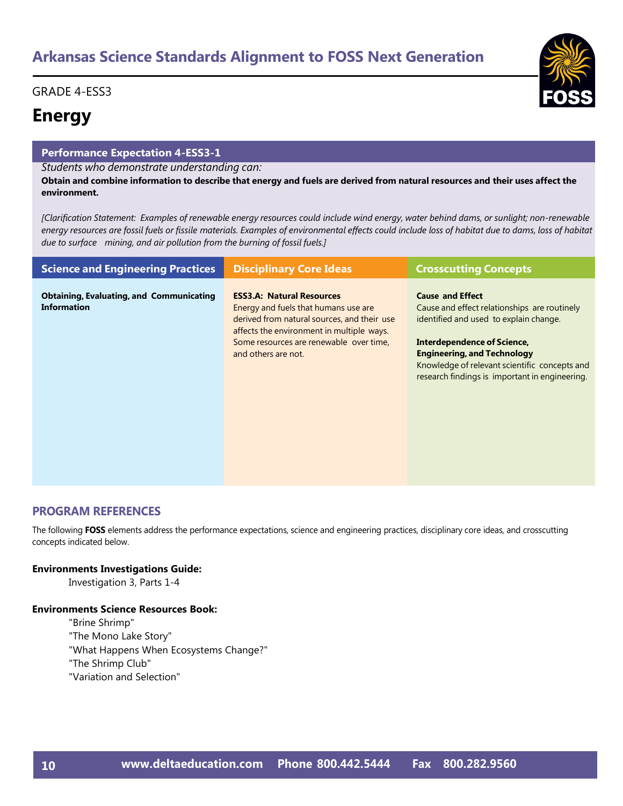## GRADE 4-ESS3

## **Energy**

## **Performance Expectation 4-ESS3-1**

## *Students who demonstrate understanding can:*

Obtain and combine information to describe that energy and fuels are derived from natural resources and their uses affect the **environment.**

[Clarification Statement: Examples of renewable energy resources could include wind energy, water behind dams, or sunlight; non-renewable energy resources are fossil fuels or fissile materials. Examples of environmental effects could include loss of habitat due to dams, loss of habitat *due to surface mining, and air pollution from the burning of fossil fuels.]*

| <b>Science and Engineering Practices</b>                              | <b>Disciplinary Core Ideas</b>                                                                                                                                                                                                         | <b>Crosscutting Concepts</b>                                                                                                                                                                                                                                                              |
|-----------------------------------------------------------------------|----------------------------------------------------------------------------------------------------------------------------------------------------------------------------------------------------------------------------------------|-------------------------------------------------------------------------------------------------------------------------------------------------------------------------------------------------------------------------------------------------------------------------------------------|
| <b>Obtaining, Evaluating, and Communicating</b><br><b>Information</b> | <b>ESS3.A: Natural Resources</b><br>Energy and fuels that humans use are<br>derived from natural sources, and their use<br>affects the environment in multiple ways.<br>Some resources are renewable over time,<br>and others are not. | <b>Cause and Effect</b><br>Cause and effect relationships are routinely<br>identified and used to explain change.<br>Interdependence of Science,<br><b>Engineering, and Technology</b><br>Knowledge of relevant scientific concepts and<br>research findings is important in engineering. |

## **PROGRAM REFERENCES**

The following **FOSS** elements address the performance expectations, science and engineering practices, disciplinary core ideas, and crosscutting concepts indicated below.

## **Environments Investigations Guide:**

Investigation 3, Parts 1-4

## **Environments Science Resources Book:**

"Brine Shrimp"

"The Mono Lake Story"

"What Happens When Ecosystems Change?"

"The Shrimp Club"

"Variation and Selection"

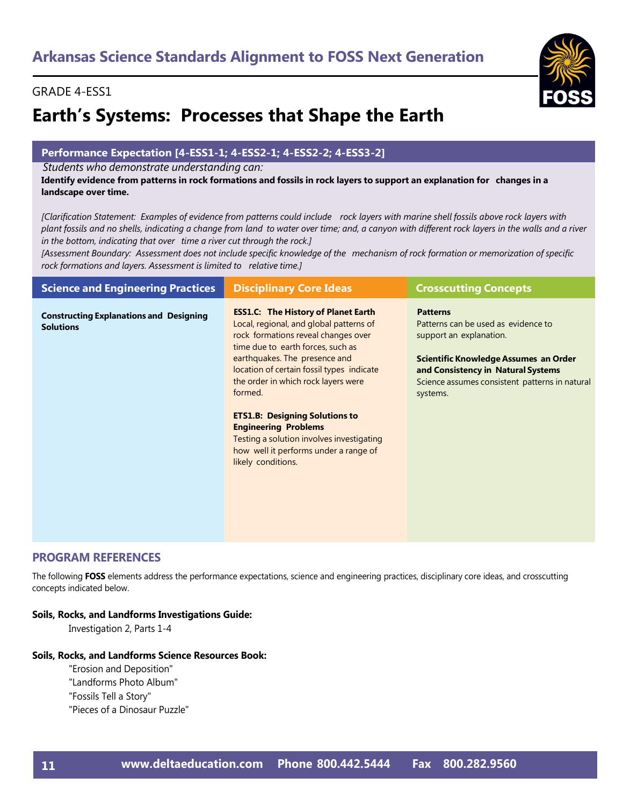# **Earth's Systems: Processes that Shape the Earth**

## **Performance Expectation [4-ESS1-1; 4-ESS2-1; 4-ESS2-2; 4-ESS3-2]**

*Students who demonstrate understanding can:*

Identify evidence from patterns in rock formations and fossils in rock layers to support an explanation for changes in a **landscape over time.**

[Clarification Statement: Examples of evidence from patterns could include rock layers with marine shell fossils above rock layers with plant fossils and no shells, indicating a change from land to water over time; and, a canyon with different rock layers in the walls and a river *in the bottom, indicating that over time a river cut through the rock.]*

[Assessment Boundary: Assessment does not include specific knowledge of the mechanism of rock formation or memorization of specific *rock formations and layers. Assessment is limited to relative time.]*

| <b>Science and Engineering Practices</b>                           | <b>Disciplinary Core Ideas</b>                                                                                                                                                                                                                                                                                                                                                                                                                                                        | <b>Crosscutting Concepts</b>                                                                                                                                                                                                   |
|--------------------------------------------------------------------|---------------------------------------------------------------------------------------------------------------------------------------------------------------------------------------------------------------------------------------------------------------------------------------------------------------------------------------------------------------------------------------------------------------------------------------------------------------------------------------|--------------------------------------------------------------------------------------------------------------------------------------------------------------------------------------------------------------------------------|
| <b>Constructing Explanations and Designing</b><br><b>Solutions</b> | <b>ESS1.C: The History of Planet Earth</b><br>Local, regional, and global patterns of<br>rock formations reveal changes over<br>time due to earth forces, such as<br>earthquakes. The presence and<br>location of certain fossil types indicate<br>the order in which rock layers were<br>formed.<br><b>ETS1.B: Designing Solutions to</b><br><b>Engineering Problems</b><br>Testing a solution involves investigating<br>how well it performs under a range of<br>likely conditions. | <b>Patterns</b><br>Patterns can be used as evidence to<br>support an explanation.<br>Scientific Knowledge Assumes an Order<br>and Consistency in Natural Systems<br>Science assumes consistent patterns in natural<br>systems. |
|                                                                    |                                                                                                                                                                                                                                                                                                                                                                                                                                                                                       |                                                                                                                                                                                                                                |

## **PROGRAM REFERENCES**

The following **FOSS** elements address the performance expectations, science and engineering practices, disciplinary core ideas, and crosscutting concepts indicated below.

## **Soils, Rocks, and Landforms Investigations Guide:**

Investigation 2, Parts 1-4

## **Soils, Rocks, and Landforms Science Resources Book:**

- "Erosion and Deposition"
- "Landforms Photo Album"
- "Fossils Tell a Story"
- "Pieces of a Dinosaur Puzzle"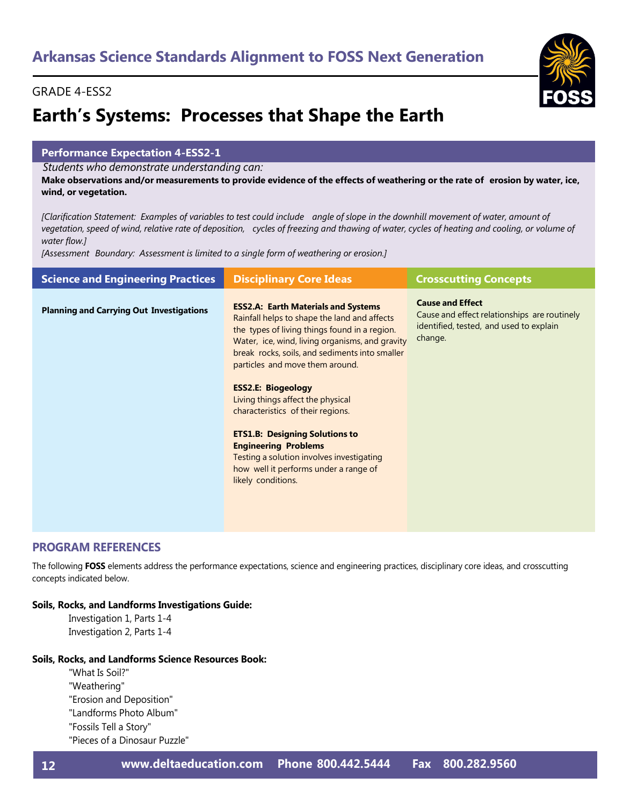# **Earth's Systems: Processes that Shape the Earth**

## **Performance Expectation 4-ESS2-1**

*Students who demonstrate understanding can:*

Make observations and/or measurements to provide evidence of the effects of weathering or the rate of erosion by water, ice, **wind, or vegetation.**

[Clarification Statement: Examples of variables to test could include angle of slope in the downhill movement of water, amount of vegetation, speed of wind, relative rate of deposition, cycles of freezing and thawing of water, cycles of heating and cooling, or volume of *water flow.]*

*[Assessment Boundary: Assessment is limited to a single form of weathering or erosion.]*

| <b>Science and Engineering Practices</b>        | <b>Disciplinary Core Ideas</b>                                                                                                                                                                                                                                                                                                                                                                                                                                                                                                                                                 | <b>Crosscutting Concepts</b>                                                                                                  |
|-------------------------------------------------|--------------------------------------------------------------------------------------------------------------------------------------------------------------------------------------------------------------------------------------------------------------------------------------------------------------------------------------------------------------------------------------------------------------------------------------------------------------------------------------------------------------------------------------------------------------------------------|-------------------------------------------------------------------------------------------------------------------------------|
| <b>Planning and Carrying Out Investigations</b> | <b>ESS2.A: Earth Materials and Systems</b><br>Rainfall helps to shape the land and affects<br>the types of living things found in a region.<br>Water, ice, wind, living organisms, and gravity<br>break rocks, soils, and sediments into smaller<br>particles and move them around.<br><b>ESS2.E: Biogeology</b><br>Living things affect the physical<br>characteristics of their regions.<br><b>ETS1.B: Designing Solutions to</b><br><b>Engineering Problems</b><br>Testing a solution involves investigating<br>how well it performs under a range of<br>likely conditions. | <b>Cause and Effect</b><br>Cause and effect relationships are routinely<br>identified, tested, and used to explain<br>change. |
|                                                 |                                                                                                                                                                                                                                                                                                                                                                                                                                                                                                                                                                                |                                                                                                                               |

## **PROGRAM REFERENCES**

The following **FOSS** elements address the performance expectations, science and engineering practices, disciplinary core ideas, and crosscutting concepts indicated below.

## **Soils, Rocks, and Landforms Investigations Guide:**

Investigation 1, Parts 1-4 Investigation 2, Parts 1-4

## **Soils, Rocks, and Landforms Science Resources Book:**

- "What Is Soil?"
- "Weathering"
- "Erosion and Deposition"
- "Landforms Photo Album"
- "Fossils Tell a Story"
- "Pieces of a Dinosaur Puzzle"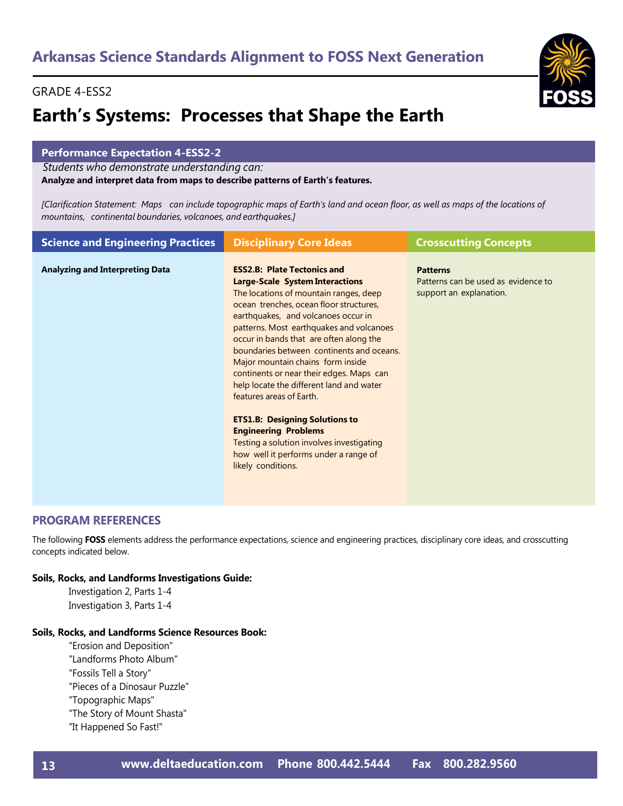# **Earth's Systems: Processes that Shape the Earth**

## **Performance Expectation 4-ESS2-2**

*Students who demonstrate understanding can:*

**Analyze and interpret data from maps to describe patterns of Earth's features.**

[Clarification Statement: Maps can include topographic maps of Earth's land and ocean floor, as well as maps of the locations of *mountains, continental boundaries, volcanoes, and earthquakes.]*

| <b>Science and Engineering Practices</b> | <b>Disciplinary Core Ideas</b>                                                                                                                                                                                                                                                                                                                                                                                                                                                                                                                                                                                                                                                            | <b>Crosscutting Concepts</b>                                                      |
|------------------------------------------|-------------------------------------------------------------------------------------------------------------------------------------------------------------------------------------------------------------------------------------------------------------------------------------------------------------------------------------------------------------------------------------------------------------------------------------------------------------------------------------------------------------------------------------------------------------------------------------------------------------------------------------------------------------------------------------------|-----------------------------------------------------------------------------------|
| <b>Analyzing and Interpreting Data</b>   | <b>ESS2.B: Plate Tectonics and</b><br><b>Large-Scale System Interactions</b><br>The locations of mountain ranges, deep<br>ocean trenches, ocean floor structures,<br>earthquakes, and volcanoes occur in<br>patterns. Most earthquakes and volcanoes<br>occur in bands that are often along the<br>boundaries between continents and oceans.<br>Major mountain chains form inside<br>continents or near their edges. Maps can<br>help locate the different land and water<br>features areas of Earth.<br><b>ETS1.B: Designing Solutions to</b><br><b>Engineering Problems</b><br>Testing a solution involves investigating<br>how well it performs under a range of<br>likely conditions. | <b>Patterns</b><br>Patterns can be used as evidence to<br>support an explanation. |

## **PROGRAM REFERENCES**

The following **FOSS** elements address the performance expectations, science and engineering practices, disciplinary core ideas, and crosscutting concepts indicated below.

## **Soils, Rocks, and Landforms Investigations Guide:**

Investigation 2, Parts 1-4 Investigation 3, Parts 1-4

## **Soils, Rocks, and Landforms Science Resources Book:**

"Erosion and Deposition" "Landforms Photo Album" "Fossils Tell a Story" "Pieces of a Dinosaur Puzzle" "Topographic Maps" "The Story of Mount Shasta" "It Happened So Fast!"

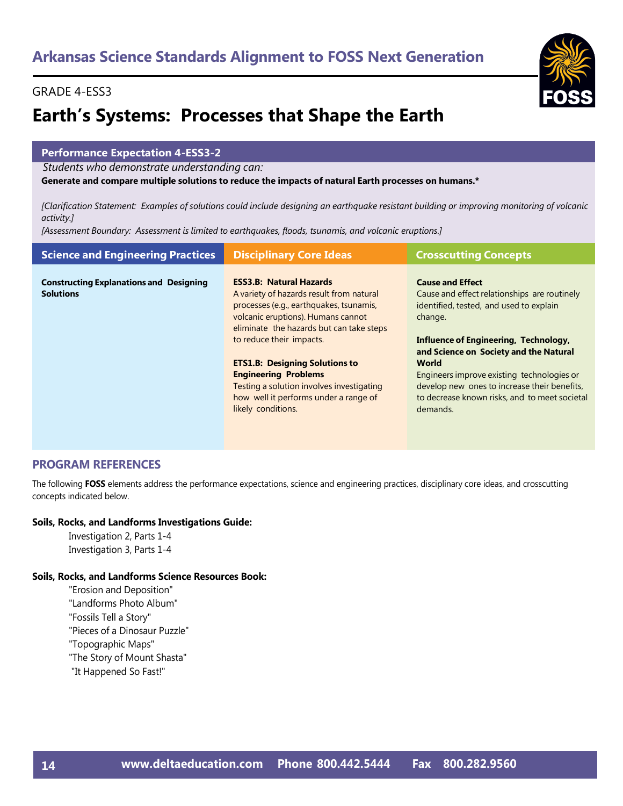# **Earth's Systems: Processes that Shape the Earth**

## **Performance Expectation 4-ESS3-2**

*Students who demonstrate understanding can:*

**Generate and compare multiple solutions to reduce the impacts of natural Earth processes on humans.\***

[Clarification Statement: Examples of solutions could include designing an earthquake resistant building or improving monitoring of volcanic *activity.]*

*[Assessment Boundary: Assessment is limited to earthquakes, floods, tsunamis, and volcanic eruptions.]*

| <b>Science and Engineering Practices</b>                           | <b>Disciplinary Core Ideas</b>                                                                                                                                                                                                                                                                                                                                                                                          | <b>Crosscutting Concepts</b>                                                                                                                                                                                                                                                                                                                                                                |
|--------------------------------------------------------------------|-------------------------------------------------------------------------------------------------------------------------------------------------------------------------------------------------------------------------------------------------------------------------------------------------------------------------------------------------------------------------------------------------------------------------|---------------------------------------------------------------------------------------------------------------------------------------------------------------------------------------------------------------------------------------------------------------------------------------------------------------------------------------------------------------------------------------------|
| <b>Constructing Explanations and Designing</b><br><b>Solutions</b> | <b>ESS3.B: Natural Hazards</b><br>A variety of hazards result from natural<br>processes (e.g., earthquakes, tsunamis,<br>volcanic eruptions). Humans cannot<br>eliminate the hazards but can take steps<br>to reduce their impacts.<br><b>ETS1.B: Designing Solutions to</b><br><b>Engineering Problems</b><br>Testing a solution involves investigating<br>how well it performs under a range of<br>likely conditions. | <b>Cause and Effect</b><br>Cause and effect relationships are routinely<br>identified, tested, and used to explain<br>change.<br><b>Influence of Engineering, Technology,</b><br>and Science on Society and the Natural<br>World<br>Engineers improve existing technologies or<br>develop new ones to increase their benefits,<br>to decrease known risks, and to meet societal<br>demands. |

## **PROGRAM REFERENCES**

The following **FOSS** elements address the performance expectations, science and engineering practices, disciplinary core ideas, and crosscutting concepts indicated below.

## **Soils, Rocks, and Landforms Investigations Guide:**

Investigation 2, Parts 1-4 Investigation 3, Parts 1-4

## **Soils, Rocks, and Landforms Science Resources Book:**

"Erosion and Deposition" "Landforms Photo Album" "Fossils Tell a Story" "Pieces of a Dinosaur Puzzle" "Topographic Maps" "The Story of Mount Shasta" "It Happened So Fast!"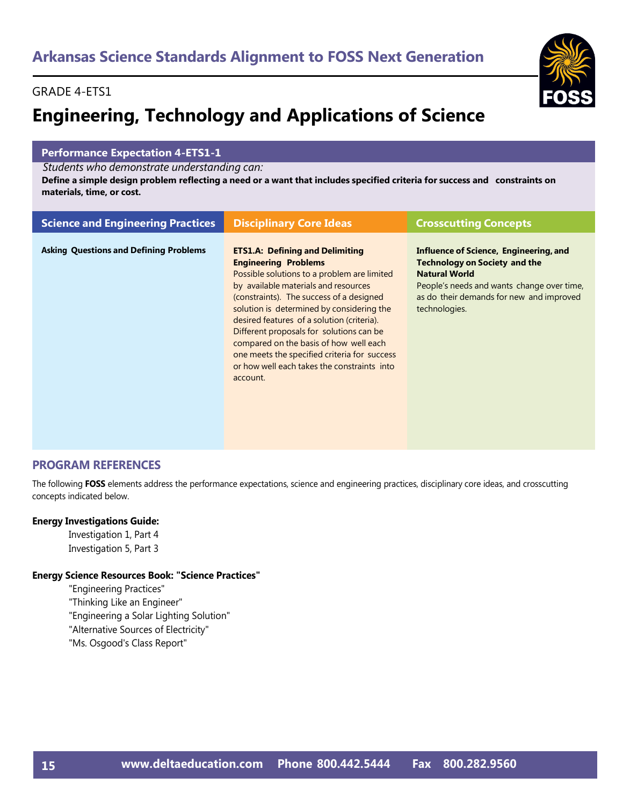# **Engineering, Technology and Applications of Science**

## **Performance Expectation 4-ETS1-1**

*Students who demonstrate understanding can:*

Define a simple design problem reflecting a need or a want that includes specified criteria for success and constraints on **materials, time, or cost.**

| <b>Science and Engineering Practices</b>      | <b>Disciplinary Core Ideas</b>                                                                                                                                                                                                                                                                                                                                                                                                                                                                       | <b>Crosscutting Concepts</b>                                                                                                                                                                                      |
|-----------------------------------------------|------------------------------------------------------------------------------------------------------------------------------------------------------------------------------------------------------------------------------------------------------------------------------------------------------------------------------------------------------------------------------------------------------------------------------------------------------------------------------------------------------|-------------------------------------------------------------------------------------------------------------------------------------------------------------------------------------------------------------------|
| <b>Asking Questions and Defining Problems</b> | <b>ETS1.A: Defining and Delimiting</b><br><b>Engineering Problems</b><br>Possible solutions to a problem are limited<br>by available materials and resources<br>(constraints). The success of a designed<br>solution is determined by considering the<br>desired features of a solution (criteria).<br>Different proposals for solutions can be<br>compared on the basis of how well each<br>one meets the specified criteria for success<br>or how well each takes the constraints into<br>account. | Influence of Science, Engineering, and<br><b>Technology on Society and the</b><br><b>Natural World</b><br>People's needs and wants change over time,<br>as do their demands for new and improved<br>technologies. |

## **PROGRAM REFERENCES**

The following **FOSS** elements address the performance expectations, science and engineering practices, disciplinary core ideas, and crosscutting concepts indicated below.

## **Energy Investigations Guide:**

Investigation 1, Part 4 Investigation 5, Part 3

## **Energy Science Resources Book: "Science Practices"**

"Engineering Practices"

- "Thinking Like an Engineer"
- "Engineering a Solar Lighting Solution"

"Alternative Sources of Electricity"

"Ms. Osgood's Class Report"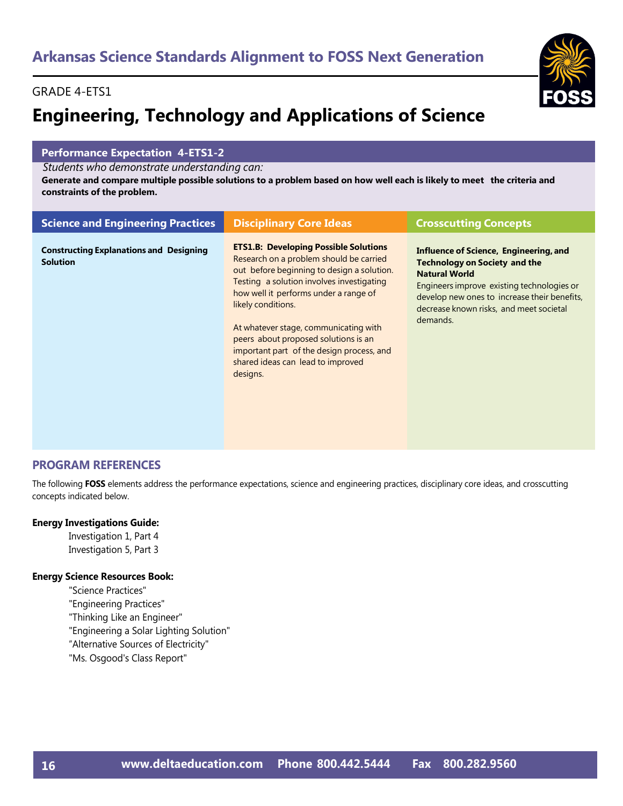# GRADE 4-ETS1

# **Engineering, Technology and Applications of Science**

### **Performance Expectation 4-ETS1-2**

*Students who demonstrate understanding can:*

Generate and compare multiple possible solutions to a problem based on how well each is likely to meet the criteria and **constraints of the problem.**

| <b>Science and Engineering Practices</b>                          | <b>Disciplinary Core Ideas</b>                                                                                                                                                                                                                                                                                                                                                                                                   | <b>Crosscutting Concepts</b>                                                                                                                                                                                                                                       |
|-------------------------------------------------------------------|----------------------------------------------------------------------------------------------------------------------------------------------------------------------------------------------------------------------------------------------------------------------------------------------------------------------------------------------------------------------------------------------------------------------------------|--------------------------------------------------------------------------------------------------------------------------------------------------------------------------------------------------------------------------------------------------------------------|
| <b>Constructing Explanations and Designing</b><br><b>Solution</b> | <b>ETS1.B: Developing Possible Solutions</b><br>Research on a problem should be carried<br>out before beginning to design a solution.<br>Testing a solution involves investigating<br>how well it performs under a range of<br>likely conditions.<br>At whatever stage, communicating with<br>peers about proposed solutions is an<br>important part of the design process, and<br>shared ideas can lead to improved<br>designs. | <b>Influence of Science, Engineering, and</b><br><b>Technology on Society and the</b><br><b>Natural World</b><br>Engineers improve existing technologies or<br>develop new ones to increase their benefits,<br>decrease known risks, and meet societal<br>demands. |

# **PROGRAM REFERENCES**

The following **FOSS** elements address the performance expectations, science and engineering practices, disciplinary core ideas, and crosscutting concepts indicated below.

#### **Energy Investigations Guide:**

Investigation 1, Part 4 Investigation 5, Part 3

### **Energy Science Resources Book:**

"Science Practices" "Engineering Practices" "Thinking Like an Engineer" "Engineering a Solar Lighting Solution" "Alternative Sources of Electricity" "Ms. Osgood's Class Report"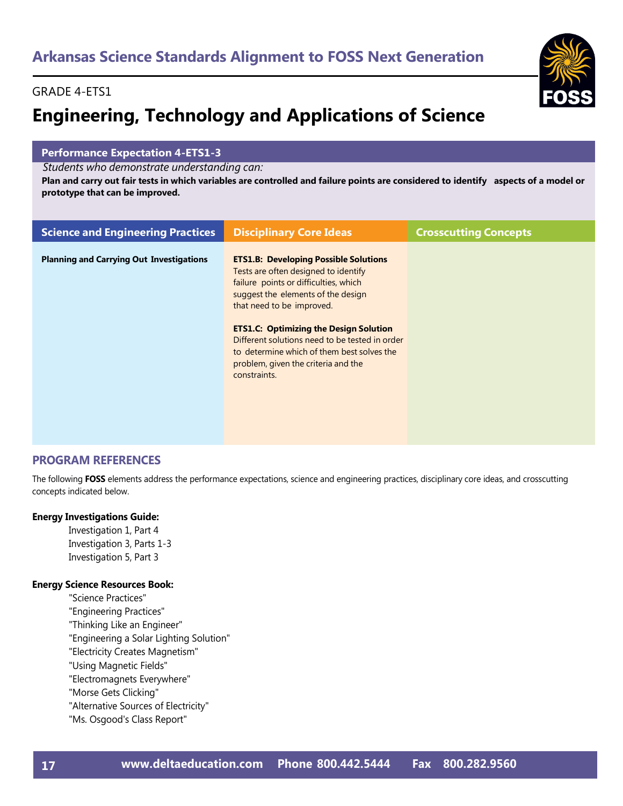# GRADE 4-ETS1

# **Engineering, Technology and Applications of Science**

### **Performance Expectation 4-ETS1-3**

*Students who demonstrate understanding can:*

Plan and carry out fair tests in which variables are controlled and failure points are considered to identify aspects of a model or **prototype that can be improved.**

| <b>Science and Engineering Practices</b>        | <b>Disciplinary Core Ideas</b>                                                                                                                                                                                                                                                                                                                                                                           | <b>Crosscutting Concepts</b> |
|-------------------------------------------------|----------------------------------------------------------------------------------------------------------------------------------------------------------------------------------------------------------------------------------------------------------------------------------------------------------------------------------------------------------------------------------------------------------|------------------------------|
| <b>Planning and Carrying Out Investigations</b> | <b>ETS1.B: Developing Possible Solutions</b><br>Tests are often designed to identify<br>failure points or difficulties, which<br>suggest the elements of the design<br>that need to be improved.<br><b>ETS1.C: Optimizing the Design Solution</b><br>Different solutions need to be tested in order<br>to determine which of them best solves the<br>problem, given the criteria and the<br>constraints. |                              |

# **PROGRAM REFERENCES**

The following **FOSS** elements address the performance expectations, science and engineering practices, disciplinary core ideas, and crosscutting concepts indicated below.

#### **Energy Investigations Guide:**

Investigation 1, Part 4 Investigation 3, Parts 1-3 Investigation 5, Part 3

#### **Energy Science Resources Book:**

- "Science Practices"
- "Engineering Practices"
- "Thinking Like an Engineer"
- "Engineering a Solar Lighting Solution"
- "Electricity Creates Magnetism"
- "Using Magnetic Fields"
- "Electromagnets Everywhere"
- "Morse Gets Clicking"
- "Alternative Sources of Electricity"
- "Ms. Osgood's Class Report"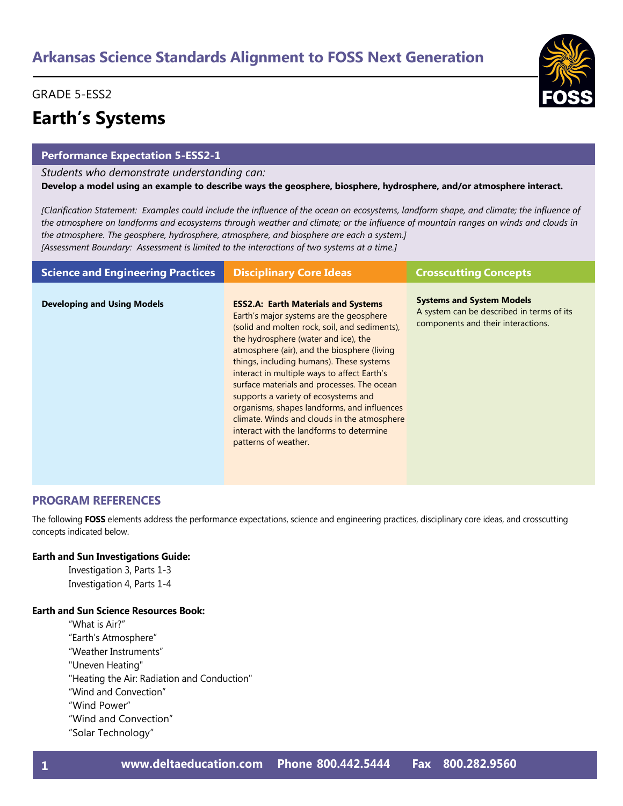# GRADE 5-ESS2

# **Earth's Systems**

#### **Performance Expectation 5-ESS2-1**

*Students who demonstrate understanding can:* **Develop a model using an example to describe ways the geosphere, biosphere, hydrosphere, and/or atmosphere interact.** 

*[Clarification Statement: Examples could include the influence of the ocean on ecosystems, landform shape, and climate; the influence of the atmosphere on landforms and ecosystems through weather and climate; or the influence of mountain ranges on winds and clouds in the atmosphere. The geosphere, hydrosphere, atmosphere, and biosphere are each a system.] [Assessment Boundary: Assessment is limited to the interactions of two systems at a time.]*

| <b>Science and Engineering Practices</b> | <b>Disciplinary Core Ideas</b>                                                                                                                                                                                                                                                                                                                                                                                                                                                                                                                                                   | <b>Crosscutting Concepts</b>                                                                                        |
|------------------------------------------|----------------------------------------------------------------------------------------------------------------------------------------------------------------------------------------------------------------------------------------------------------------------------------------------------------------------------------------------------------------------------------------------------------------------------------------------------------------------------------------------------------------------------------------------------------------------------------|---------------------------------------------------------------------------------------------------------------------|
| <b>Developing and Using Models</b>       | <b>ESS2.A: Earth Materials and Systems</b><br>Earth's major systems are the geosphere<br>(solid and molten rock, soil, and sediments),<br>the hydrosphere (water and ice), the<br>atmosphere (air), and the biosphere (living<br>things, including humans). These systems<br>interact in multiple ways to affect Earth's<br>surface materials and processes. The ocean<br>supports a variety of ecosystems and<br>organisms, shapes landforms, and influences<br>climate. Winds and clouds in the atmosphere<br>interact with the landforms to determine<br>patterns of weather. | <b>Systems and System Models</b><br>A system can be described in terms of its<br>components and their interactions. |

### **PROGRAM REFERENCES**

The following **FOSS** elements address the performance expectations, science and engineering practices, disciplinary core ideas, and crosscutting concepts indicated below.

#### **Earth and Sun Investigations Guide:**

Investigation 3, Parts 1-3 Investigation 4, Parts 1-4

### **Earth and Sun Science Resources Book:**

"What is Air?" "Earth's Atmosphere" "Weather Instruments" "Uneven Heating" "Heating the Air: Radiation and Conduction" "Wind and Convection" "Wind Power" "Wind and Convection" "Solar Technology"

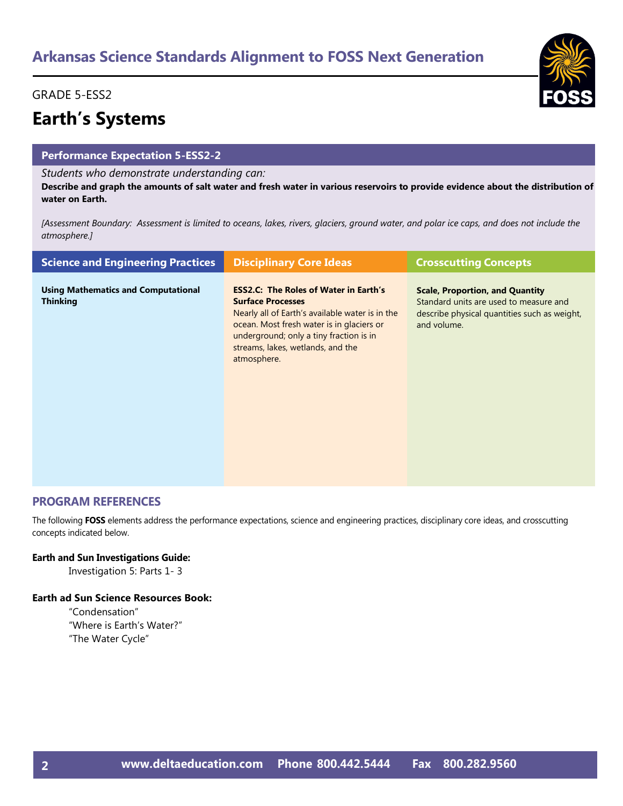# GRADE 5-ESS2

# **Earth's Systems**

### **Performance Expectation 5-ESS2-2**

### *Students who demonstrate understanding can:*

**Describe and graph the amounts of salt water and fresh water in various reservoirs to provide evidence about the distribution of water on Earth.** 

*[Assessment Boundary: Assessment is limited to oceans, lakes, rivers, glaciers, ground water, and polar ice caps, and does not include the atmosphere.]*

| <b>Science and Engineering Practices</b>                      | <b>Disciplinary Core Ideas</b>                                                                                                                                                                                                                                          | <b>Crosscutting Concepts</b>                                                                                                                    |
|---------------------------------------------------------------|-------------------------------------------------------------------------------------------------------------------------------------------------------------------------------------------------------------------------------------------------------------------------|-------------------------------------------------------------------------------------------------------------------------------------------------|
| <b>Using Mathematics and Computational</b><br><b>Thinking</b> | <b>ESS2.C: The Roles of Water in Earth's</b><br><b>Surface Processes</b><br>Nearly all of Earth's available water is in the<br>ocean. Most fresh water is in glaciers or<br>underground; only a tiny fraction is in<br>streams, lakes, wetlands, and the<br>atmosphere. | <b>Scale, Proportion, and Quantity</b><br>Standard units are used to measure and<br>describe physical quantities such as weight,<br>and volume. |

### **PROGRAM REFERENCES**

The following **FOSS** elements address the performance expectations, science and engineering practices, disciplinary core ideas, and crosscutting concepts indicated below.

#### **Earth and Sun Investigations Guide:**

Investigation 5: Parts 1- 3

#### **Earth ad Sun Science Resources Book:**

"Condensation" "Where is Earth's Water?" "The Water Cycle"



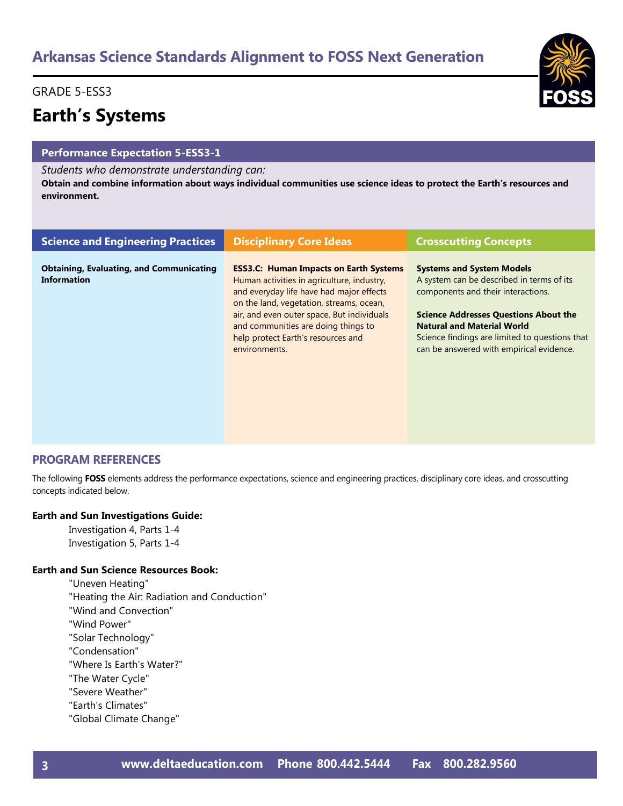# GRADE 5-ESS3

# **Earth's Systems**

### **Performance Expectation 5-ESS3-1**

#### *Students who demonstrate understanding can:*

**Obtain and combine information about ways individual communities use science ideas to protect the Earth's resources and environment.**

| <b>Science and Engineering Practices</b>                              | <b>Disciplinary Core Ideas</b>                                                                                                                                                                                                                                                                                                  | <b>Crosscutting Concepts</b>                                                                                                                                                                                                                                                                           |
|-----------------------------------------------------------------------|---------------------------------------------------------------------------------------------------------------------------------------------------------------------------------------------------------------------------------------------------------------------------------------------------------------------------------|--------------------------------------------------------------------------------------------------------------------------------------------------------------------------------------------------------------------------------------------------------------------------------------------------------|
| <b>Obtaining, Evaluating, and Communicating</b><br><b>Information</b> | <b>ESS3.C: Human Impacts on Earth Systems</b><br>Human activities in agriculture, industry,<br>and everyday life have had major effects<br>on the land, vegetation, streams, ocean,<br>air, and even outer space. But individuals<br>and communities are doing things to<br>help protect Earth's resources and<br>environments. | <b>Systems and System Models</b><br>A system can be described in terms of its<br>components and their interactions.<br><b>Science Addresses Questions About the</b><br><b>Natural and Material World</b><br>Science findings are limited to questions that<br>can be answered with empirical evidence. |

### **PROGRAM REFERENCES**

The following **FOSS** elements address the performance expectations, science and engineering practices, disciplinary core ideas, and crosscutting concepts indicated below.

#### **Earth and Sun Investigations Guide:**

Investigation 4, Parts 1-4 Investigation 5, Parts 1-4

### **Earth and Sun Science Resources Book:**

"Uneven Heating" "Heating the Air: Radiation and Conduction" "Wind and Convection" "Wind Power" "Solar Technology" "Condensation" "Where Is Earth's Water?" "The Water Cycle" "Severe Weather" "Earth's Climates" "Global Climate Change"

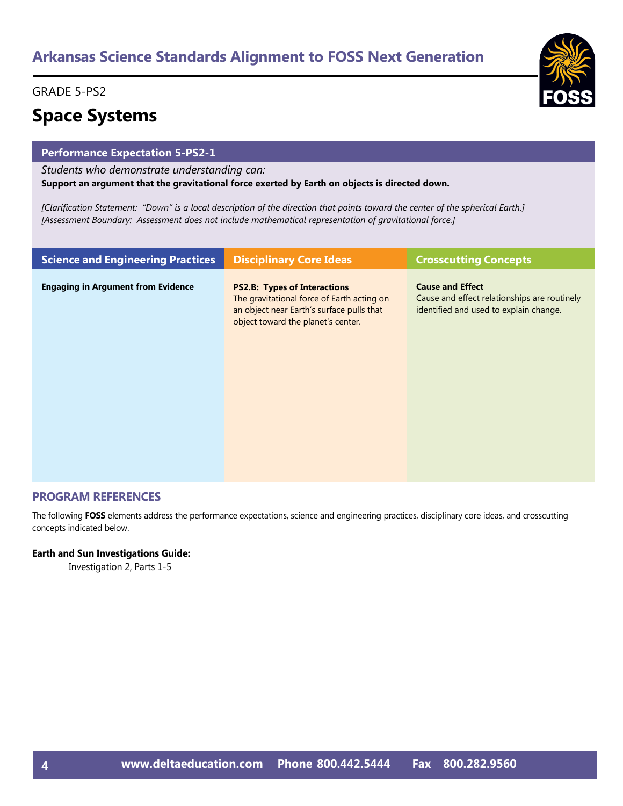# GRADE 5-PS2

# **Space Systems**

### **Performance Expectation 5-PS2-1**

*Students who demonstrate understanding can:*

**Support an argument that the gravitational force exerted by Earth on objects is directed down.** 

*[Clarification Statement: "Down" is a local description of the direction that points toward the center of the spherical Earth.] [Assessment Boundary: Assessment does not include mathematical representation of gravitational force.]*

| <b>Science and Engineering Practices</b>  | <b>Disciplinary Core Ideas</b>                                                                                                                                       | <b>Crosscutting Concepts</b>                                                                                      |
|-------------------------------------------|----------------------------------------------------------------------------------------------------------------------------------------------------------------------|-------------------------------------------------------------------------------------------------------------------|
| <b>Engaging in Argument from Evidence</b> | <b>PS2.B: Types of Interactions</b><br>The gravitational force of Earth acting on<br>an object near Earth's surface pulls that<br>object toward the planet's center. | <b>Cause and Effect</b><br>Cause and effect relationships are routinely<br>identified and used to explain change. |

# **PROGRAM REFERENCES**

The following **FOSS** elements address the performance expectations, science and engineering practices, disciplinary core ideas, and crosscutting concepts indicated below.

#### **Earth and Sun Investigations Guide:**

Investigation 2, Parts 1-5

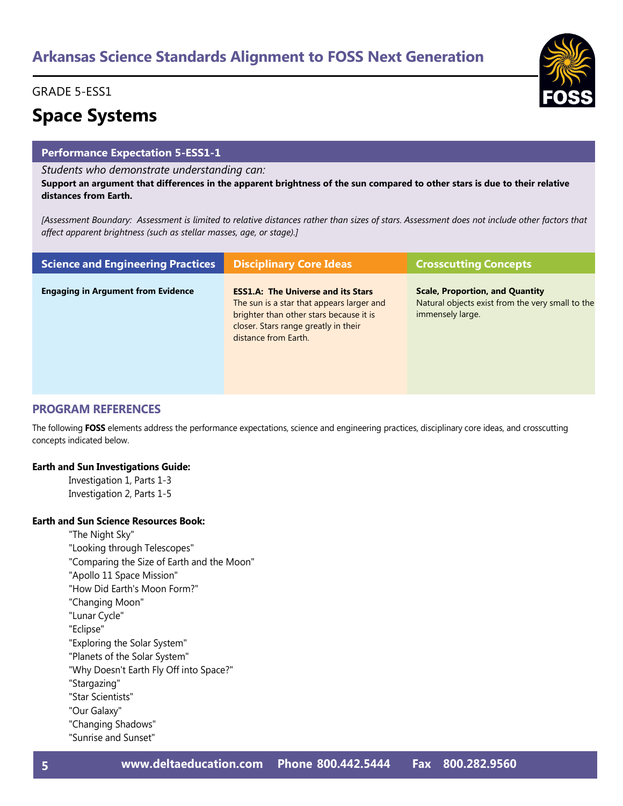# GRADE 5-ESS1

# **Space Systems**

# **Performance Expectation 5-ESS1-1**

#### *Students who demonstrate understanding can:*

**Support an argument that differences in the apparent brightness of the sun compared to other stars is due to their relative distances from Earth.** 

*[Assessment Boundary: Assessment is limited to relative distances rather than sizes of stars. Assessment does not include other factors that affect apparent brightness (such as stellar masses, age, or stage).]*

| <b>Science and Engineering Practices</b>  | <b>Disciplinary Core Ideas</b>                                                                                                                                                                    | <b>Crosscutting Concepts</b>                                                                                   |
|-------------------------------------------|---------------------------------------------------------------------------------------------------------------------------------------------------------------------------------------------------|----------------------------------------------------------------------------------------------------------------|
| <b>Engaging in Argument from Evidence</b> | <b>ESS1.A: The Universe and its Stars</b><br>The sun is a star that appears larger and<br>brighter than other stars because it is<br>closer. Stars range greatly in their<br>distance from Earth. | <b>Scale, Proportion, and Quantity</b><br>Natural objects exist from the very small to the<br>immensely large. |

# **PROGRAM REFERENCES**

The following **FOSS** elements address the performance expectations, science and engineering practices, disciplinary core ideas, and crosscutting concepts indicated below.

#### **Earth and Sun Investigations Guide:**

Investigation 1, Parts 1-3 Investigation 2, Parts 1-5

#### **Earth and Sun Science Resources Book:**

"The Night Sky"

- "Looking through Telescopes"
- "Comparing the Size of Earth and the Moon"
- "Apollo 11 Space Mission"

"How Did Earth's Moon Form?"

- "Changing Moon"
- "Lunar Cycle"

"Eclipse"

- "Exploring the Solar System"
- "Planets of the Solar System"
- "Why Doesn't Earth Fly Off into Space?"
- "Stargazing"
- "Star Scientists"
- "Our Galaxy"
- "Changing Shadows"
- "Sunrise and Sunset"

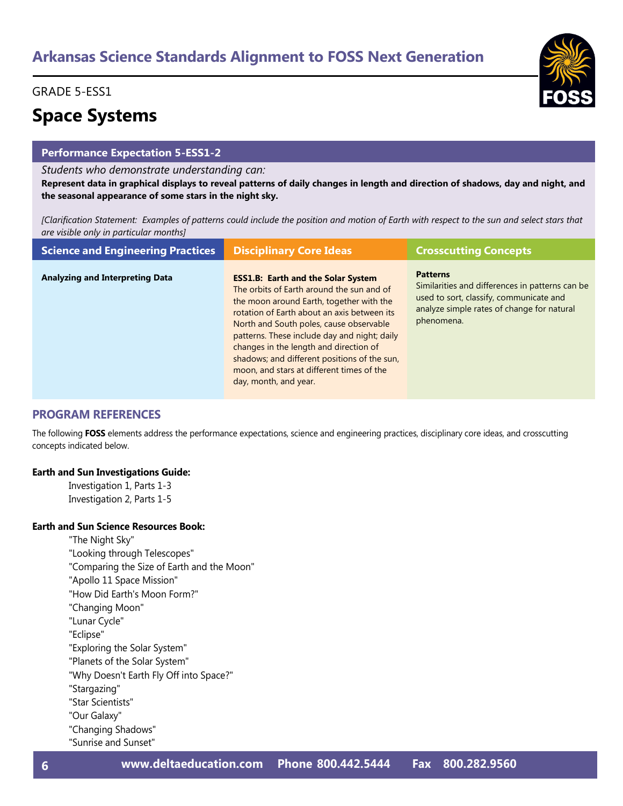# GRADE 5-ESS1

# **Space Systems**

# **Performance Expectation 5-ESS1-2**

#### *Students who demonstrate understanding can:*

**Represent data in graphical displays to reveal patterns of daily changes in length and direction of shadows, day and night, and the seasonal appearance of some stars in the night sky.** 

*[Clarification Statement: Examples of patterns could include the position and motion of Earth with respect to the sun and select stars that are visible only in particular months]*

| <b>Science and Engineering Practices</b> | <b>Disciplinary Core Ideas</b>                                                                                                                                                                                                                                                                                                                                                                                                               | <b>Crosscutting Concepts</b>                                                                                                                                              |
|------------------------------------------|----------------------------------------------------------------------------------------------------------------------------------------------------------------------------------------------------------------------------------------------------------------------------------------------------------------------------------------------------------------------------------------------------------------------------------------------|---------------------------------------------------------------------------------------------------------------------------------------------------------------------------|
| <b>Analyzing and Interpreting Data</b>   | <b>ESS1.B: Earth and the Solar System</b><br>The orbits of Earth around the sun and of<br>the moon around Earth, together with the<br>rotation of Earth about an axis between its<br>North and South poles, cause observable<br>patterns. These include day and night; daily<br>changes in the length and direction of<br>shadows; and different positions of the sun,<br>moon, and stars at different times of the<br>day, month, and year. | <b>Patterns</b><br>Similarities and differences in patterns can be<br>used to sort, classify, communicate and<br>analyze simple rates of change for natural<br>phenomena. |

### **PROGRAM REFERENCES**

The following **FOSS** elements address the performance expectations, science and engineering practices, disciplinary core ideas, and crosscutting concepts indicated below.

#### **Earth and Sun Investigations Guide:**

Investigation 1, Parts 1-3 Investigation 2, Parts 1-5

### **Earth and Sun Science Resources Book:**

- "The Night Sky"
- "Looking through Telescopes"
- "Comparing the Size of Earth and the Moon"
- "Apollo 11 Space Mission"
- "How Did Earth's Moon Form?"
- "Changing Moon"
- "Lunar Cycle"
- "Eclipse"
- "Exploring the Solar System"
- "Planets of the Solar System"
- "Why Doesn't Earth Fly Off into Space?"
- "Stargazing"
- "Star Scientists"
- "Our Galaxy"
- "Changing Shadows"
- "Sunrise and Sunset"

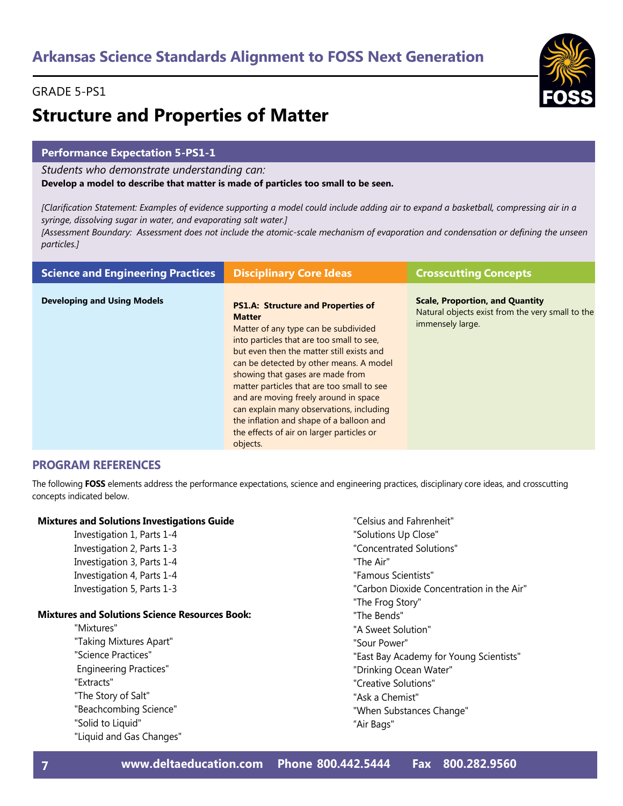# **Structure and Properties of Matter**

## **Performance Expectation 5-PS1-1**

*Students who demonstrate understanding can:*

**Develop a model to describe that matter is made of particles too small to be seen.** 

*[Clarification Statement: Examples of evidence supporting a model could include adding air to expand a basketball, compressing air in a syringe, dissolving sugar in water, and evaporating salt water.]* 

*[Assessment Boundary: Assessment does not include the atomic-scale mechanism of evaporation and condensation or defining the unseen particles.]*

| <b>Science and Engineering Practices</b> | <b>Disciplinary Core Ideas</b>                                                                                                                                                                                                                                                                                                                                                                                                                                                                                      | <b>Crosscutting Concepts</b>                                                                                   |
|------------------------------------------|---------------------------------------------------------------------------------------------------------------------------------------------------------------------------------------------------------------------------------------------------------------------------------------------------------------------------------------------------------------------------------------------------------------------------------------------------------------------------------------------------------------------|----------------------------------------------------------------------------------------------------------------|
| <b>Developing and Using Models</b>       | <b>PS1.A: Structure and Properties of</b><br><b>Matter</b><br>Matter of any type can be subdivided<br>into particles that are too small to see,<br>but even then the matter still exists and<br>can be detected by other means. A model<br>showing that gases are made from<br>matter particles that are too small to see<br>and are moving freely around in space<br>can explain many observations, including<br>the inflation and shape of a balloon and<br>the effects of air on larger particles or<br>objects. | <b>Scale, Proportion, and Quantity</b><br>Natural objects exist from the very small to the<br>immensely large. |

### **PROGRAM REFERENCES**

The following **FOSS** elements address the performance expectations, science and engineering practices, disciplinary core ideas, and crosscutting concepts indicated below.

### **Mixtures and Solutions Investigations Guide**

Investigation 1, Parts 1-4 Investigation 2, Parts 1-3 Investigation 3, Parts 1-4 Investigation 4, Parts 1-4 Investigation 5, Parts 1-3

#### **Mixtures and Solutions Science Resources Book:**

"Mixtures" "Taking Mixtures Apart" "Science Practices" Engineering Practices" "Extracts" "The Story of Salt" "Beachcombing Science" "Solid to Liquid" "Liquid and Gas Changes"

- "Celsius and Fahrenheit" "Solutions Up Close" "Concentrated Solutions"
- "The Air"
- "Famous Scientists"
- "Carbon Dioxide Concentration in the Air"
- "The Frog Story"
- "The Bends"
- "A Sweet Solution"
- "Sour Power"
- "East Bay Academy for Young Scientists"
- "Drinking Ocean Water"
- "Creative Solutions"
- "Ask a Chemist"
- "When Substances Change"
- "Air Bags"

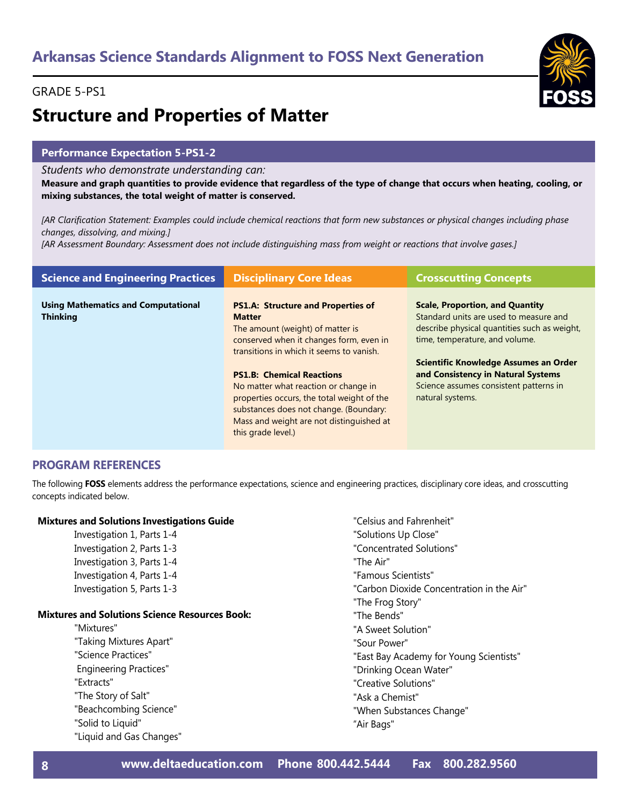# GRADE 5-PS1



### **Performance Expectation 5-PS1-2**

#### *Students who demonstrate understanding can:*

**Measure and graph quantities to provide evidence that regardless of the type of change that occurs when heating, cooling, or mixing substances, the total weight of matter is conserved.** 

*[AR Clarification Statement: Examples could include chemical reactions that form new substances or physical changes including phase changes, dissolving, and mixing.]* 

*[AR Assessment Boundary: Assessment does not include distinguishing mass from weight or reactions that involve gases.]*

| <b>Science and Engineering Practices</b>                      | <b>Disciplinary Core Ideas</b>                                                                                                                                                                                                                                                                                                                                                                        | <b>Crosscutting Concepts</b>                                                                                                                                                                                                                                                                                    |
|---------------------------------------------------------------|-------------------------------------------------------------------------------------------------------------------------------------------------------------------------------------------------------------------------------------------------------------------------------------------------------------------------------------------------------------------------------------------------------|-----------------------------------------------------------------------------------------------------------------------------------------------------------------------------------------------------------------------------------------------------------------------------------------------------------------|
| <b>Using Mathematics and Computational</b><br><b>Thinking</b> | <b>PS1.A: Structure and Properties of</b><br><b>Matter</b><br>The amount (weight) of matter is<br>conserved when it changes form, even in<br>transitions in which it seems to vanish.<br><b>PS1.B: Chemical Reactions</b><br>No matter what reaction or change in<br>properties occurs, the total weight of the<br>substances does not change. (Boundary:<br>Mass and weight are not distinguished at | <b>Scale, Proportion, and Quantity</b><br>Standard units are used to measure and<br>describe physical quantities such as weight,<br>time, temperature, and volume.<br>Scientific Knowledge Assumes an Order<br>and Consistency in Natural Systems<br>Science assumes consistent patterns in<br>natural systems. |
|                                                               | this grade level.)                                                                                                                                                                                                                                                                                                                                                                                    |                                                                                                                                                                                                                                                                                                                 |

#### **PROGRAM REFERENCES**

The following **FOSS** elements address the performance expectations, science and engineering practices, disciplinary core ideas, and crosscutting concepts indicated below.

#### **Mixtures and Solutions Investigations Guide**

Investigation 1, Parts 1-4 Investigation 2, Parts 1-3 Investigation 3, Parts 1-4 Investigation 4, Parts 1-4 Investigation 5, Parts 1-3

#### **Mixtures and Solutions Science Resources Book:**

"Mixtures" "Taking Mixtures Apart" "Science Practices" Engineering Practices" "Extracts" "The Story of Salt" "Beachcombing Science" "Solid to Liquid" "Liquid and Gas Changes" "Solutions Up Close" "Concentrated Solutions" "The Air" "Famous Scientists" "Carbon Dioxide Concentration in the Air" "The Frog Story" "The Bends" "A Sweet Solution" "Sour Power" "East Bay Academy for Young Scientists" "Drinking Ocean Water" "Creative Solutions" "Ask a Chemist" "When Substances Change"

"Celsius and Fahrenheit"

"Air Bags"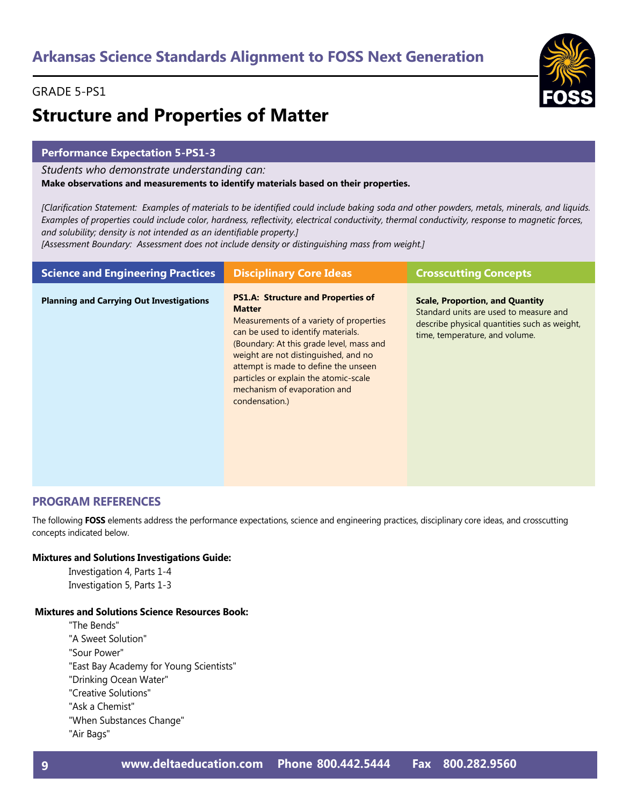# **Structure and Properties of Matter**

## **Performance Expectation 5-PS1-3**

*Students who demonstrate understanding can:*

**Make observations and measurements to identify materials based on their properties.** 

*[Clarification Statement: Examples of materials to be identified could include baking soda and other powders, metals, minerals, and liquids. Examples of properties could include color, hardness, reflectivity, electrical conductivity, thermal conductivity, response to magnetic forces, and solubility; density is not intended as an identifiable property.]* 

*[Assessment Boundary: Assessment does not include density or distinguishing mass from weight.]*

| <b>Science and Engineering Practices</b>        | <b>Disciplinary Core Ideas</b>                                                                                                                                                                                                                                                                                                                                     | <b>Crosscutting Concepts</b>                                                                                                                                       |
|-------------------------------------------------|--------------------------------------------------------------------------------------------------------------------------------------------------------------------------------------------------------------------------------------------------------------------------------------------------------------------------------------------------------------------|--------------------------------------------------------------------------------------------------------------------------------------------------------------------|
| <b>Planning and Carrying Out Investigations</b> | <b>PS1.A: Structure and Properties of</b><br><b>Matter</b><br>Measurements of a variety of properties<br>can be used to identify materials.<br>(Boundary: At this grade level, mass and<br>weight are not distinguished, and no<br>attempt is made to define the unseen<br>particles or explain the atomic-scale<br>mechanism of evaporation and<br>condensation.) | <b>Scale, Proportion, and Quantity</b><br>Standard units are used to measure and<br>describe physical quantities such as weight,<br>time, temperature, and volume. |

### **PROGRAM REFERENCES**

The following **FOSS** elements address the performance expectations, science and engineering practices, disciplinary core ideas, and crosscutting concepts indicated below.

#### **Mixtures and Solutions Investigations Guide:**

Investigation 4, Parts 1-4 Investigation 5, Parts 1-3

#### **Mixtures and Solutions Science Resources Book:**

"The Bends" "A Sweet Solution" "Sour Power"

"East Bay Academy for Young Scientists"

"Drinking Ocean Water"

"Creative Solutions"

"Ask a Chemist"

"When Substances Change"

"Air Bags"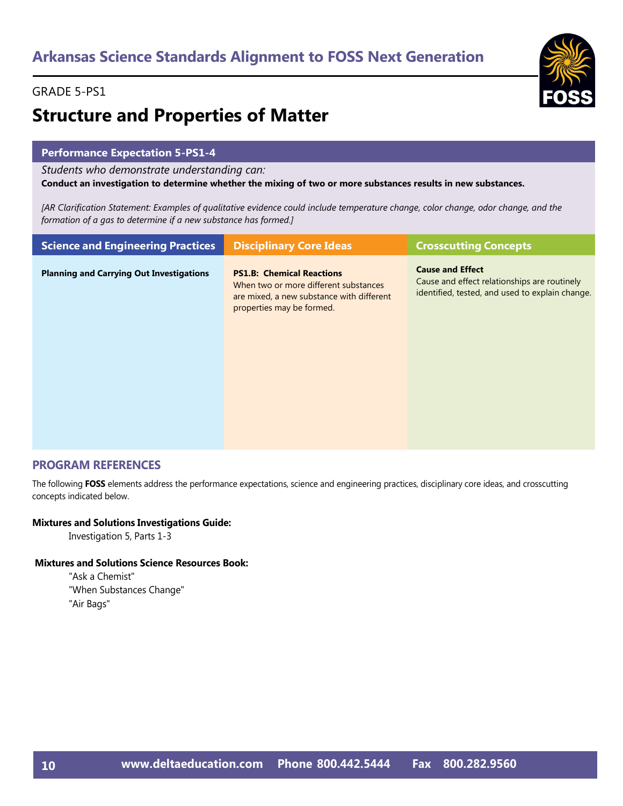# **Structure and Properties of Matter**

# **Performance Expectation 5-PS1-4**

*Students who demonstrate understanding can:*

**Conduct an investigation to determine whether the mixing of two or more substances results in new substances.** 

*[AR Clarification Statement: Examples of qualitative evidence could include temperature change, color change, odor change, and the formation of a gas to determine if a new substance has formed.]*

|                                                                                                                                                                                                                                                                       | <b>Science and Engineering Practices</b> | <b>Crosscutting Concepts</b> | <b>Disciplinary Core Ideas</b>   |  |
|-----------------------------------------------------------------------------------------------------------------------------------------------------------------------------------------------------------------------------------------------------------------------|------------------------------------------|------------------------------|----------------------------------|--|
| <b>Planning and Carrying Out Investigations</b><br>Cause and effect relationships are routinely<br>When two or more different substances<br>identified, tested, and used to explain change.<br>are mixed, a new substance with different<br>properties may be formed. |                                          | <b>Cause and Effect</b>      | <b>PS1.B: Chemical Reactions</b> |  |

### **PROGRAM REFERENCES**

The following **FOSS** elements address the performance expectations, science and engineering practices, disciplinary core ideas, and crosscutting concepts indicated below.

#### **Mixtures and Solutions Investigations Guide:**

Investigation 5, Parts 1-3

### **Mixtures and Solutions Science Resources Book:**

"Ask a Chemist" "When Substances Change" "Air Bags"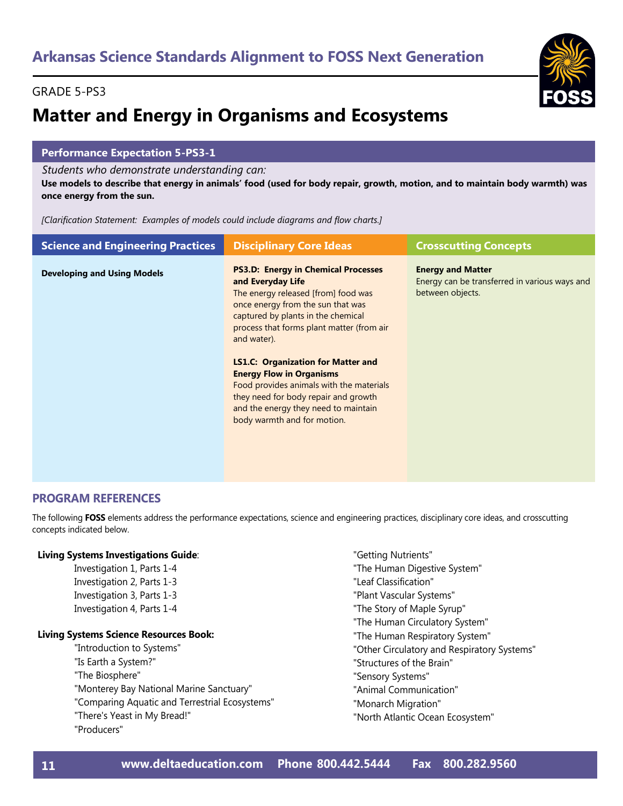# **Matter and Energy in Organisms and Ecosystems**

# **Performance Expectation 5-PS3-1**

*Students who demonstrate understanding can:*

**Use models to describe that energy in animals' food (used for body repair, growth, motion, and to maintain body warmth) was once energy from the sun.** 

*[Clarification Statement: Examples of models could include diagrams and flow charts.]*

| <b>Science and Engineering Practices</b> | <b>Disciplinary Core Ideas</b>                                                                                                                                                                                                                | <b>Crosscutting Concepts</b>                                                                  |
|------------------------------------------|-----------------------------------------------------------------------------------------------------------------------------------------------------------------------------------------------------------------------------------------------|-----------------------------------------------------------------------------------------------|
| <b>Developing and Using Models</b>       | <b>PS3.D: Energy in Chemical Processes</b><br>and Everyday Life<br>The energy released [from] food was<br>once energy from the sun that was<br>captured by plants in the chemical<br>process that forms plant matter (from air<br>and water). | <b>Energy and Matter</b><br>Energy can be transferred in various ways and<br>between objects. |
|                                          | <b>LS1.C: Organization for Matter and</b><br><b>Energy Flow in Organisms</b><br>Food provides animals with the materials<br>they need for body repair and growth<br>and the energy they need to maintain<br>body warmth and for motion.       |                                                                                               |

# **PROGRAM REFERENCES**

The following **FOSS** elements address the performance expectations, science and engineering practices, disciplinary core ideas, and crosscutting concepts indicated below.

### **Living Systems Investigations Guide**:

Investigation 1, Parts 1-4 Investigation 2, Parts 1-3 Investigation 3, Parts 1-3 Investigation 4, Parts 1-4

#### **Living Systems Science Resources Book:**

"Introduction to Systems" "Is Earth a System?" "The Biosphere" "Monterey Bay National Marine Sanctuary" "Comparing Aquatic and Terrestrial Ecosystems" "There's Yeast in My Bread!" "Producers"

- "Getting Nutrients"
- "The Human Digestive System"
- "Leaf Classification"
- "Plant Vascular Systems"
- "The Story of Maple Syrup"
- "The Human Circulatory System"
- "The Human Respiratory System"
- "Other Circulatory and Respiratory Systems"
- "Structures of the Brain"
- "Sensory Systems"
- "Animal Communication"
- "Monarch Migration"
- "North Atlantic Ocean Ecosystem"

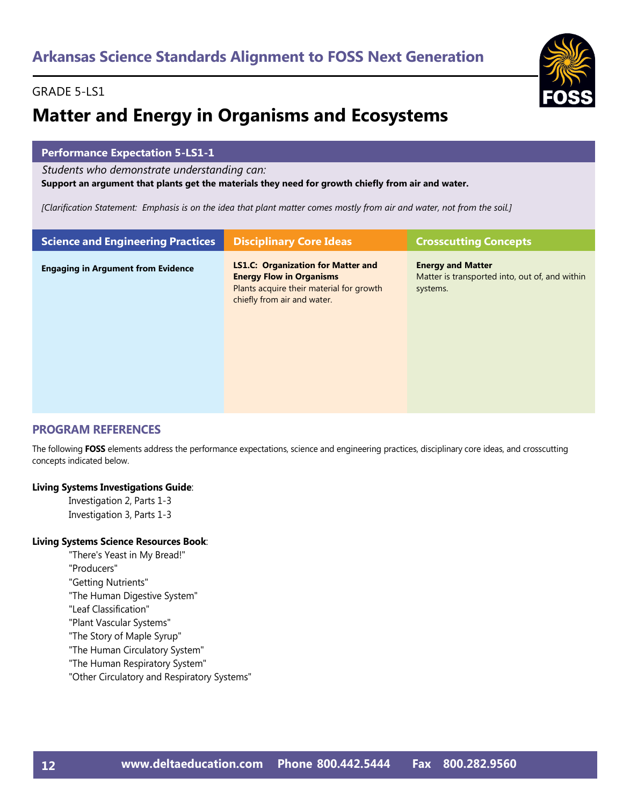# GRADE 5-LS1

# **Matter and Energy in Organisms and Ecosystems**

# **Performance Expectation 5-LS1-1**

*Students who demonstrate understanding can:*

**Support an argument that plants get the materials they need for growth chiefly from air and water.** 

*[Clarification Statement: Emphasis is on the idea that plant matter comes mostly from air and water, not from the soil.]*

| <b>Science and Engineering Practices</b>  | <b>Disciplinary Core Ideas</b>                                                                                                                          | <b>Crosscutting Concepts</b>                                                           |
|-------------------------------------------|---------------------------------------------------------------------------------------------------------------------------------------------------------|----------------------------------------------------------------------------------------|
| <b>Engaging in Argument from Evidence</b> | <b>LS1.C: Organization for Matter and</b><br><b>Energy Flow in Organisms</b><br>Plants acquire their material for growth<br>chiefly from air and water. | <b>Energy and Matter</b><br>Matter is transported into, out of, and within<br>systems. |

# **PROGRAM REFERENCES**

The following **FOSS** elements address the performance expectations, science and engineering practices, disciplinary core ideas, and crosscutting concepts indicated below.

#### **Living Systems Investigations Guide**:

Investigation 2, Parts 1-3 Investigation 3, Parts 1-3

#### **Living Systems Science Resources Book**:

"There's Yeast in My Bread!"

"Producers"

- "Getting Nutrients"
- "The Human Digestive System"
- "Leaf Classification"
- "Plant Vascular Systems"
- "The Story of Maple Syrup"
- "The Human Circulatory System"
- "The Human Respiratory System"
- "Other Circulatory and Respiratory Systems"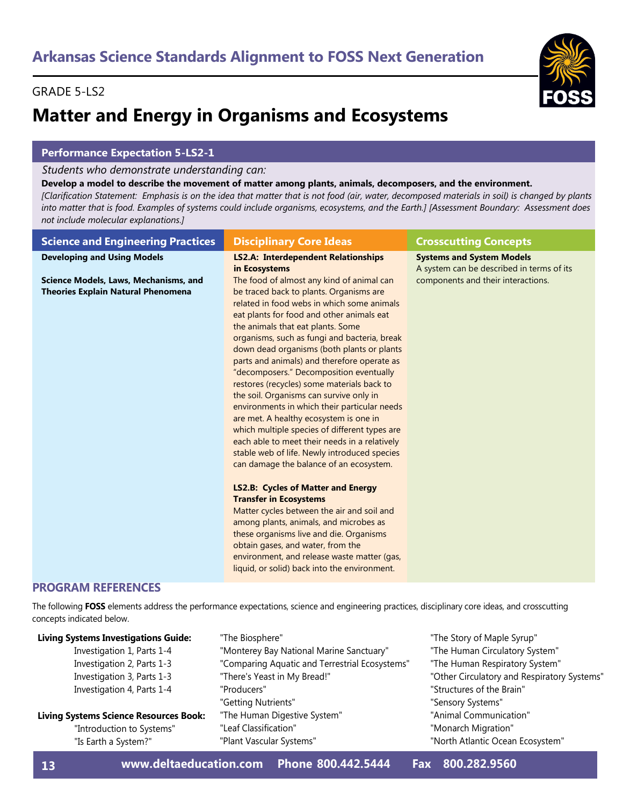# GRADE 5-LS2

# **Matter and Energy in Organisms and Ecosystems**

# **Performance Expectation 5-LS2-1**

### *Students who demonstrate understanding can:*

#### **Develop a model to describe the movement of matter among plants, animals, decomposers, and the environment.**

*[Clarification Statement: Emphasis is on the idea that matter that is not food (air, water, decomposed materials in soil) is changed by plants into matter that is food. Examples of systems could include organisms, ecosystems, and the Earth.] [Assessment Boundary: Assessment does not include molecular explanations.]*

| <b>Science and Engineering Practices</b>                                           | <b>Disciplinary Core Ideas</b>                                                                                                                                                                                                                                                                                                                                                                                                                                                                                                                                                                                                                                                                                                                                                                                                                                                                                                                                                                                                                                                                                                                    | <b>Crosscutting Concepts</b>                                                  |
|------------------------------------------------------------------------------------|---------------------------------------------------------------------------------------------------------------------------------------------------------------------------------------------------------------------------------------------------------------------------------------------------------------------------------------------------------------------------------------------------------------------------------------------------------------------------------------------------------------------------------------------------------------------------------------------------------------------------------------------------------------------------------------------------------------------------------------------------------------------------------------------------------------------------------------------------------------------------------------------------------------------------------------------------------------------------------------------------------------------------------------------------------------------------------------------------------------------------------------------------|-------------------------------------------------------------------------------|
| <b>Developing and Using Models</b>                                                 | <b>LS2.A: Interdependent Relationships</b><br>in Ecosystems                                                                                                                                                                                                                                                                                                                                                                                                                                                                                                                                                                                                                                                                                                                                                                                                                                                                                                                                                                                                                                                                                       | <b>Systems and System Models</b><br>A system can be described in terms of its |
| Science Models, Laws, Mechanisms, and<br><b>Theories Explain Natural Phenomena</b> | The food of almost any kind of animal can<br>be traced back to plants. Organisms are<br>related in food webs in which some animals<br>eat plants for food and other animals eat<br>the animals that eat plants. Some<br>organisms, such as fungi and bacteria, break<br>down dead organisms (both plants or plants<br>parts and animals) and therefore operate as<br>"decomposers." Decomposition eventually<br>restores (recycles) some materials back to<br>the soil. Organisms can survive only in<br>environments in which their particular needs<br>are met. A healthy ecosystem is one in<br>which multiple species of different types are<br>each able to meet their needs in a relatively<br>stable web of life. Newly introduced species<br>can damage the balance of an ecosystem.<br><b>LS2.B: Cycles of Matter and Energy</b><br><b>Transfer in Ecosystems</b><br>Matter cycles between the air and soil and<br>among plants, animals, and microbes as<br>these organisms live and die. Organisms<br>obtain gases, and water, from the<br>environment, and release waste matter (gas,<br>liquid, or solid) back into the environment. | components and their interactions.                                            |

# **PROGRAM REFERENCES**

The following **FOSS** elements address the performance expectations, science and engineering practices, disciplinary core ideas, and crosscutting concepts indicated below.

| <b>Living Systems Investigations Guide:</b>   | "The Biosphere"                                | "The Story of Maple Syrup"                  |
|-----------------------------------------------|------------------------------------------------|---------------------------------------------|
| Investigation 1, Parts 1-4                    | "Monterey Bay National Marine Sanctuary"       | "The Human Circulatory System"              |
| Investigation 2, Parts 1-3                    | "Comparing Aquatic and Terrestrial Ecosystems" | "The Human Respiratory System"              |
| Investigation 3, Parts 1-3                    | "There's Yeast in My Bread!"                   | "Other Circulatory and Respiratory Systems" |
| Investigation 4, Parts 1-4                    | "Producers"                                    | "Structures of the Brain"                   |
|                                               | "Getting Nutrients"                            | "Sensory Systems"                           |
| <b>Living Systems Science Resources Book:</b> | "The Human Digestive System"                   | "Animal Communication"                      |
| "Introduction to Systems"                     | "Leaf Classification"                          | "Monarch Migration"                         |
| "Is Earth a System?"                          | "Plant Vascular Systems"                       | "North Atlantic Ocean Ecosystem"            |
|                                               |                                                |                                             |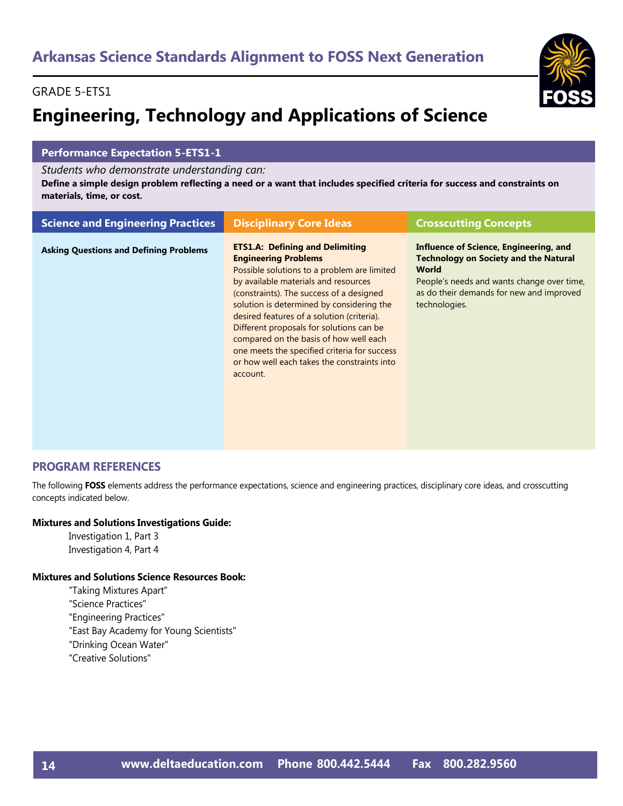# GRADE 5-ETS1

# **Engineering, Technology and Applications of Science**



# **Performance Expectation 5-ETS1-1**

*Students who demonstrate understanding can:*

**Define a simple design problem reflecting a need or a want that includes specified criteria for success and constraints on materials, time, or cost.** 

| <b>Science and Engineering Practices</b>      | <b>Disciplinary Core Ideas</b>                                                                                                                                                                                                                                                                                                                                                                                                                                                                       | <b>Crosscutting Concepts</b>                                                                                                                                                                                      |
|-----------------------------------------------|------------------------------------------------------------------------------------------------------------------------------------------------------------------------------------------------------------------------------------------------------------------------------------------------------------------------------------------------------------------------------------------------------------------------------------------------------------------------------------------------------|-------------------------------------------------------------------------------------------------------------------------------------------------------------------------------------------------------------------|
| <b>Asking Questions and Defining Problems</b> | <b>ETS1.A: Defining and Delimiting</b><br><b>Engineering Problems</b><br>Possible solutions to a problem are limited<br>by available materials and resources<br>(constraints). The success of a designed<br>solution is determined by considering the<br>desired features of a solution (criteria).<br>Different proposals for solutions can be<br>compared on the basis of how well each<br>one meets the specified criteria for success<br>or how well each takes the constraints into<br>account. | Influence of Science, Engineering, and<br><b>Technology on Society and the Natural</b><br><b>World</b><br>People's needs and wants change over time,<br>as do their demands for new and improved<br>technologies. |

### **PROGRAM REFERENCES**

The following **FOSS** elements address the performance expectations, science and engineering practices, disciplinary core ideas, and crosscutting concepts indicated below.

#### **Mixtures and Solutions Investigations Guide:**

Investigation 1, Part 3 Investigation 4, Part 4

#### **Mixtures and Solutions Science Resources Book:**

"Taking Mixtures Apart" "Science Practices" "Engineering Practices" "East Bay Academy for Young Scientists" "Drinking Ocean Water"

"Creative Solutions"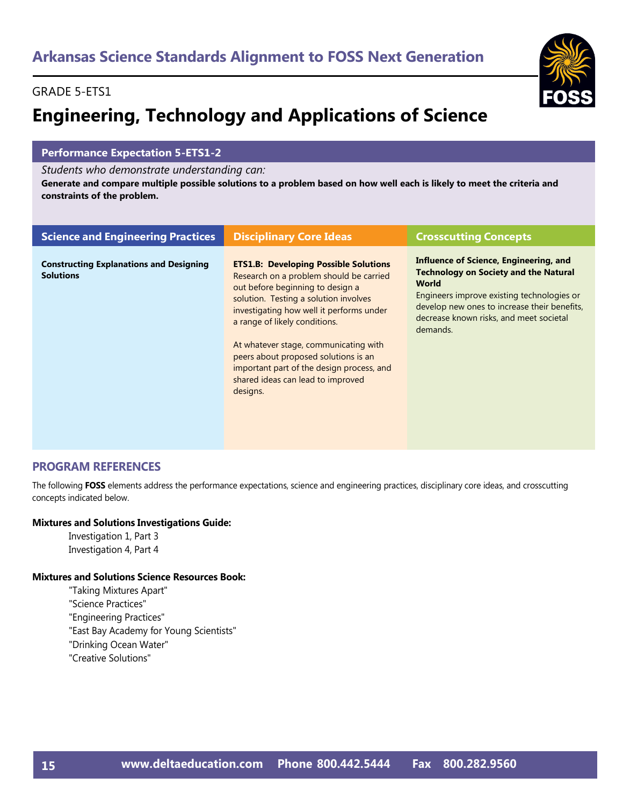# GRADE 5-ETS1

# **Engineering, Technology and Applications of Science**

# **Performance Expectation 5-ETS1-2**

#### *Students who demonstrate understanding can:*

**Generate and compare multiple possible solutions to a problem based on how well each is likely to meet the criteria and constraints of the problem.** 

| <b>Science and Engineering Practices</b>                           | <b>Disciplinary Core Ideas</b>                                                                                                                                                                                                                                                                                                                                                                                                   | <b>Crosscutting Concepts</b>                                                                                                                                                                                                                                       |
|--------------------------------------------------------------------|----------------------------------------------------------------------------------------------------------------------------------------------------------------------------------------------------------------------------------------------------------------------------------------------------------------------------------------------------------------------------------------------------------------------------------|--------------------------------------------------------------------------------------------------------------------------------------------------------------------------------------------------------------------------------------------------------------------|
| <b>Constructing Explanations and Designing</b><br><b>Solutions</b> | <b>ETS1.B: Developing Possible Solutions</b><br>Research on a problem should be carried<br>out before beginning to design a<br>solution. Testing a solution involves<br>investigating how well it performs under<br>a range of likely conditions.<br>At whatever stage, communicating with<br>peers about proposed solutions is an<br>important part of the design process, and<br>shared ideas can lead to improved<br>designs. | <b>Influence of Science, Engineering, and</b><br><b>Technology on Society and the Natural</b><br><b>World</b><br>Engineers improve existing technologies or<br>develop new ones to increase their benefits,<br>decrease known risks, and meet societal<br>demands. |

# **PROGRAM REFERENCES**

The following **FOSS** elements address the performance expectations, science and engineering practices, disciplinary core ideas, and crosscutting concepts indicated below.

#### **Mixtures and Solutions Investigations Guide:**

Investigation 1, Part 3 Investigation 4, Part 4

#### **Mixtures and Solutions Science Resources Book:**

- "Taking Mixtures Apart" "Science Practices" "Engineering Practices" "East Bay Academy for Young Scientists" "Drinking Ocean Water"
- "Creative Solutions"